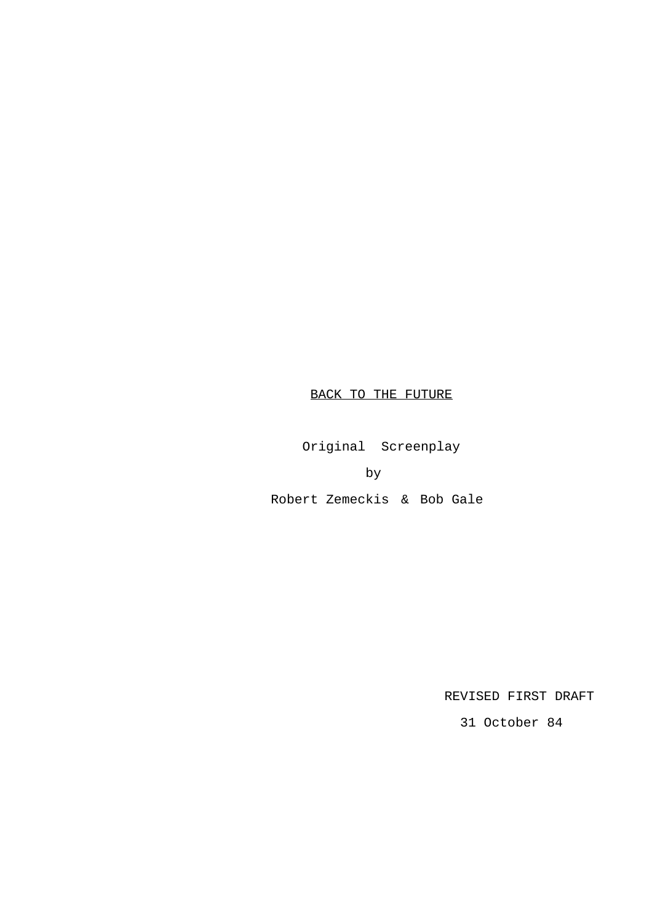# BACK TO THE FUTURE

Original Screenplay

by

Robert Zemeckis & Bob Gale

REVISED FIRST DRAFT

31 October 84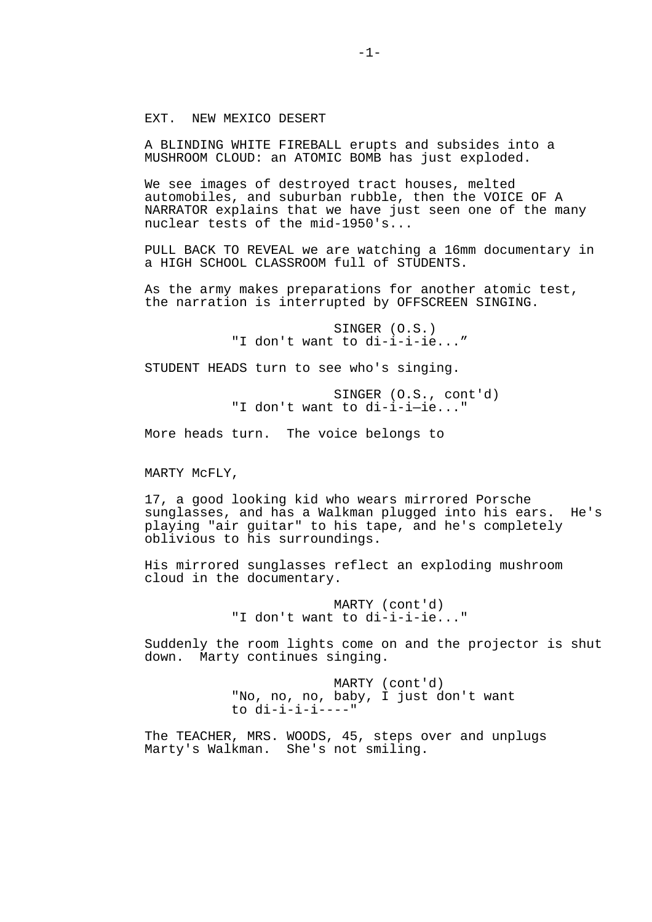### EXT. NEW MEXICO DESERT

A BLINDING WHITE FIREBALL erupts and subsides into a MUSHROOM CLOUD: an ATOMIC BOMB has just exploded.

We see images of destroyed tract houses, melted automobiles, and suburban rubble, then the VOICE OF A NARRATOR explains that we have just seen one of the many nuclear tests of the mid-1950's...

PULL BACK TO REVEAL we are watching a 16mm documentary in a HIGH SCHOOL CLASSROOM full of STUDENTS.

As the army makes preparations for another atomic test, the narration is interrupted by OFFSCREEN SINGING.

> SINGER (O.S.) "I don't want to di-i-i-ie..."

STUDENT HEADS turn to see who's singing.

 SINGER (O.S., cont'd) "I don't want to di-i-i—ie..."

More heads turn. The voice belongs to

MARTY McFLY,

17, a good looking kid who wears mirrored Porsche sunglasses, and has a Walkman plugged into his ears. He's playing "air guitar" to his tape, and he's completely oblivious to his surroundings.

His mirrored sunglasses reflect an exploding mushroom cloud in the documentary.

> MARTY (cont'd) "I don't want to di-i-i-ie..."

Suddenly the room lights come on and the projector is shut down. Marty continues singing.

> MARTY (cont'd) "No, no, no, baby, I just don't want  $to$   $di-i-i-i---"$

The TEACHER, MRS. WOODS, 45, steps over and unplugs Marty's Walkman. She's not smiling.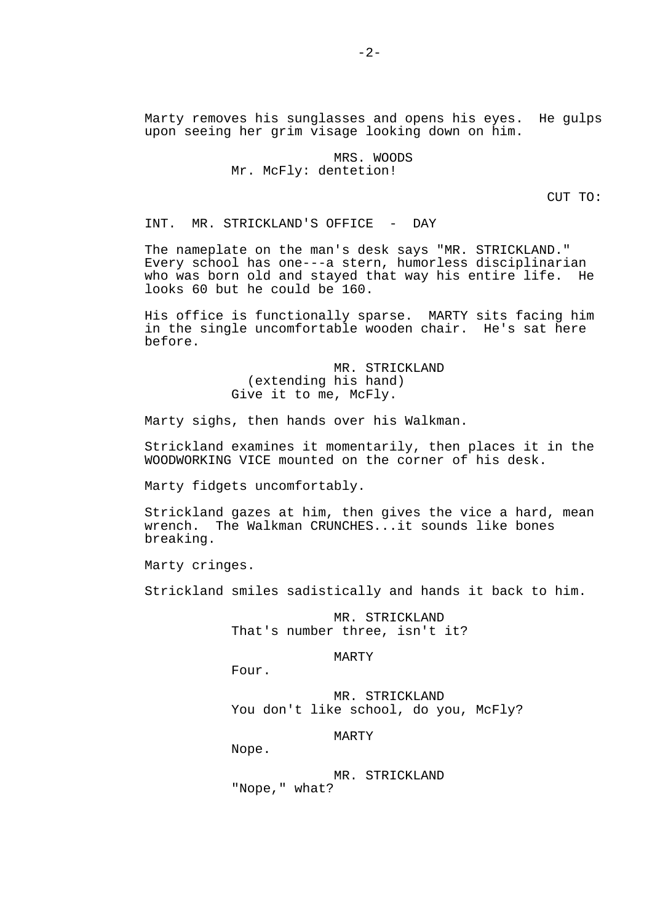Marty removes his sunglasses and opens his eyes. He gulps upon seeing her grim visage looking down on him.

> MRS. WOODS Mr. McFly: dentetion!

> > CUT TO:

INT. MR. STRICKLAND'S OFFICE - DAY

The nameplate on the man's desk says "MR. STRICKLAND." Every school has one---a stern, humorless disciplinarian who was born old and stayed that way his entire life. He looks 60 but he could be 160.

His office is functionally sparse. MARTY sits facing him in the single uncomfortable wooden chair. He's sat here before.

> MR. STRICKLAND (extending his hand) Give it to me, McFly.

Marty sighs, then hands over his Walkman.

Strickland examines it momentarily, then places it in the WOODWORKING VICE mounted on the corner of his desk.

Marty fidgets uncomfortably.

Strickland gazes at him, then gives the vice a hard, mean wrench. The Walkman CRUNCHES...it sounds like bones breaking.

Marty cringes.

Strickland smiles sadistically and hands it back to him.

 MR. STRICKLAND That's number three, isn't it?

MARTY

Four.

 MR. STRICKLAND You don't like school, do you, McFly?

MARTY

Nope.

 MR. STRICKLAND "Nope," what?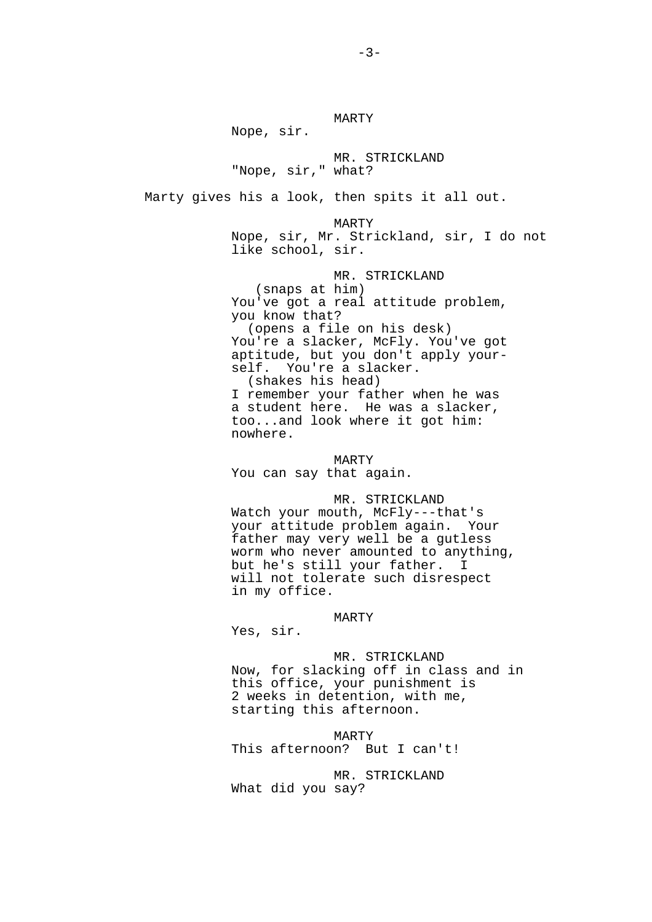Nope, sir.

 MR. STRICKLAND "Nope, sir," what?

MARTY

Marty gives his a look, then spits it all out.

MARTY

 Nope, sir, Mr. Strickland, sir, I do not like school, sir.

 MR. STRICKLAND (snaps at him) You've got a real attitude problem, you know that? (opens a file on his desk) You're a slacker, McFly. You've got aptitude, but you don't apply your self. You're a slacker. (shakes his head) I remember your father when he was

 a student here. He was a slacker, too...and look where it got him: nowhere.

 MARTY You can say that again.

 MR. STRICKLAND Watch your mouth, McFly---that's your attitude problem again. Your father may very well be a gutless worm who never amounted to anything, but he's still your father. I will not tolerate such disrespect in my office.

MARTY

Yes, sir.

 MR. STRICKLAND Now, for slacking off in class and in this office, your punishment is 2 weeks in detention, with me, starting this afternoon.

 MARTY This afternoon? But I can't!

 MR. STRICKLAND What did you say?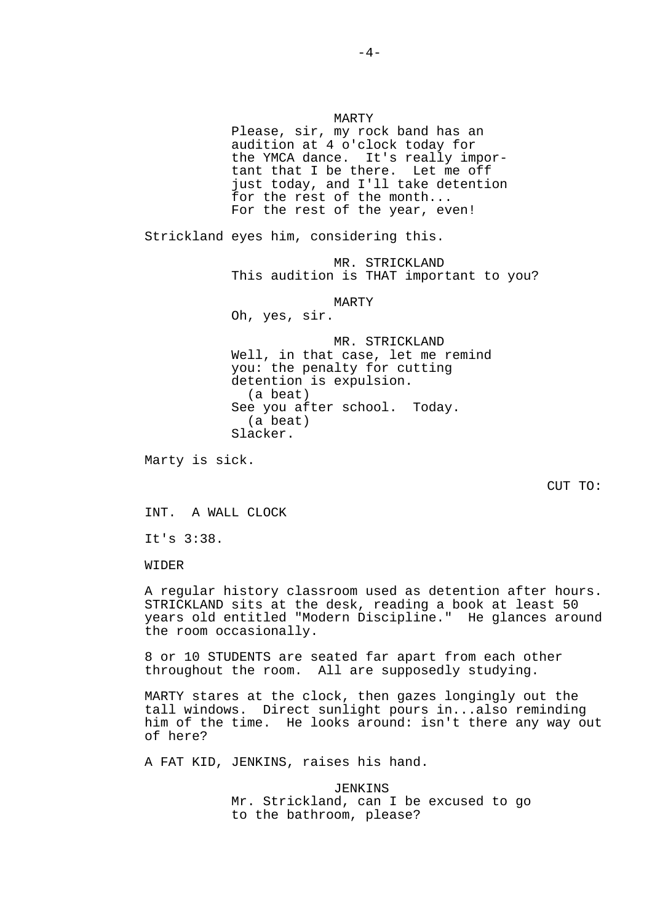MARTY Please, sir, my rock band has an audition at 4 o'clock today for the YMCA dance. It's really impor tant that I be there. Let me off just today, and I'll take detention for the rest of the month... For the rest of the year, even! Strickland eyes him, considering this. MR. STRICKLAND This audition is THAT important to you? MARTY Oh, yes, sir. MR. STRICKLAND Well, in that case, let me remind you: the penalty for cutting detention is expulsion. (a beat) See you after school. Today. (a beat) Slacker. Marty is sick. CUT TO: INT. A WALL CLOCK It's 3:38.

WIDER

A regular history classroom used as detention after hours. STRICKLAND sits at the desk, reading a book at least 50 years old entitled "Modern Discipline." He glances around the room occasionally.

8 or 10 STUDENTS are seated far apart from each other throughout the room. All are supposedly studying.

MARTY stares at the clock, then gazes longingly out the tall windows. Direct sunlight pours in...also reminding him of the time. He looks around: isn't there any way out of here?

A FAT KID, JENKINS, raises his hand.

 JENKINS Mr. Strickland, can I be excused to go to the bathroom, please?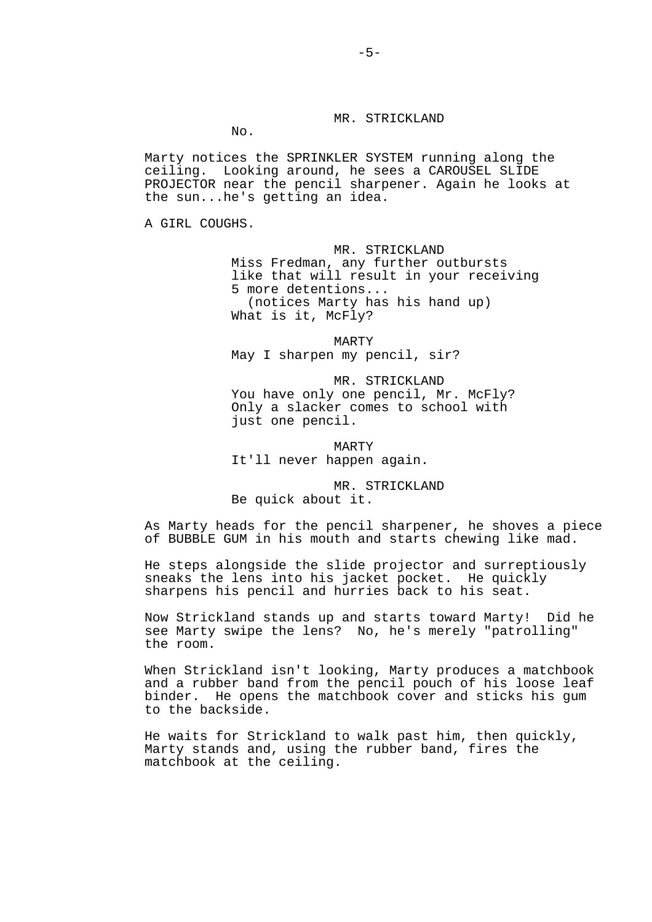# MR. STRICKLAND

No.

Marty notices the SPRINKLER SYSTEM running along the ceiling. Looking around, he sees a CAROUSEL SLIDE PROJECTOR near the pencil sharpener. Again he looks at the sun...he's getting an idea.

A GIRL COUGHS.

## MR. STRICKLAND

 Miss Fredman, any further outbursts like that will result in your receiving 5 more detentions... (notices Marty has his hand up) What is it, McFly?

 MARTY May I sharpen my pencil, sir?

 MR. STRICKLAND You have only one pencil, Mr. McFly? Only a slacker comes to school with just one pencil.

 MARTY It'll never happen again.

 MR. STRICKLAND Be quick about it.

As Marty heads for the pencil sharpener, he shoves a piece of BUBBLE GUM in his mouth and starts chewing like mad.

He steps alongside the slide projector and surreptiously sneaks the lens into his jacket pocket. He quickly sharpens his pencil and hurries back to his seat.

Now Strickland stands up and starts toward Marty! Did he see Marty swipe the lens? No, he's merely "patrolling" the room.

When Strickland isn't looking, Marty produces a matchbook and a rubber band from the pencil pouch of his loose leaf binder. He opens the matchbook cover and sticks his gum to the backside.

He waits for Strickland to walk past him, then quickly, Marty stands and, using the rubber band, fires the matchbook at the ceiling.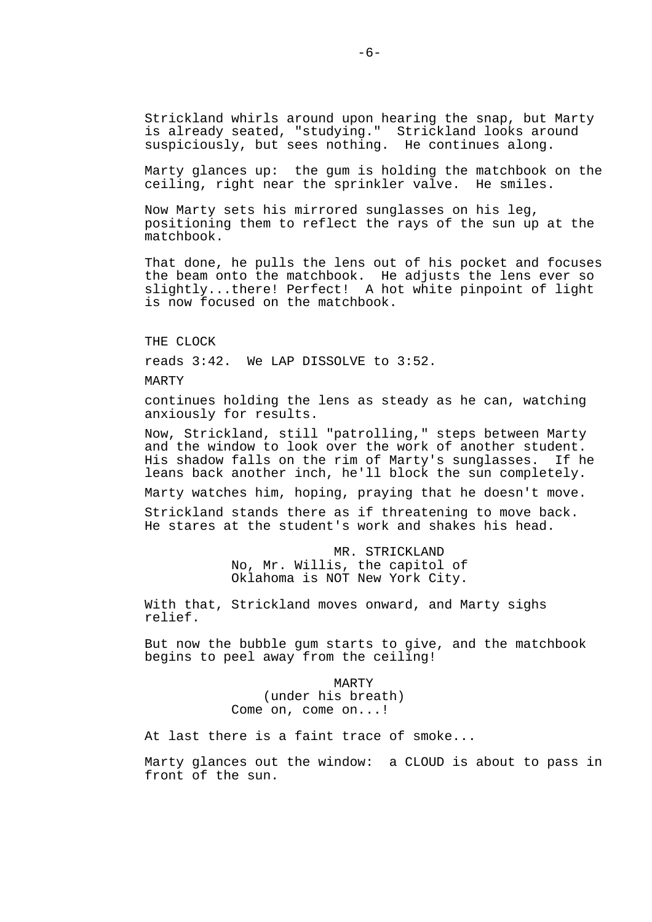Strickland whirls around upon hearing the snap, but Marty is already seated, "studying." Strickland looks around suspiciously, but sees nothing. He continues along.

Marty glances up: the gum is holding the matchbook on the ceiling, right near the sprinkler valve. He smiles.

Now Marty sets his mirrored sunglasses on his leg, positioning them to reflect the rays of the sun up at the matchbook.

That done, he pulls the lens out of his pocket and focuses the beam onto the matchbook. He adjusts the lens ever so slightly...there! Perfect! A hot white pinpoint of light is now focused on the matchbook.

THE CLOCK

reads 3:42. We LAP DISSOLVE to 3:52.

MARTY

continues holding the lens as steady as he can, watching anxiously for results.

Now, Strickland, still "patrolling," steps between Marty and the window to look over the work of another student. His shadow falls on the rim of Marty's sunglasses. If he leans back another inch, he'll block the sun completely.

Marty watches him, hoping, praying that he doesn't move.

Strickland stands there as if threatening to move back. He stares at the student's work and shakes his head.

> MR. STRICKLAND No, Mr. Willis, the capitol of Oklahoma is NOT New York City.

With that, Strickland moves onward, and Marty sighs relief.

But now the bubble gum starts to give, and the matchbook begins to peel away from the ceiling!

> MARTY (under his breath) Come on, come on...!

At last there is a faint trace of smoke...

Marty glances out the window: a CLOUD is about to pass in front of the sun.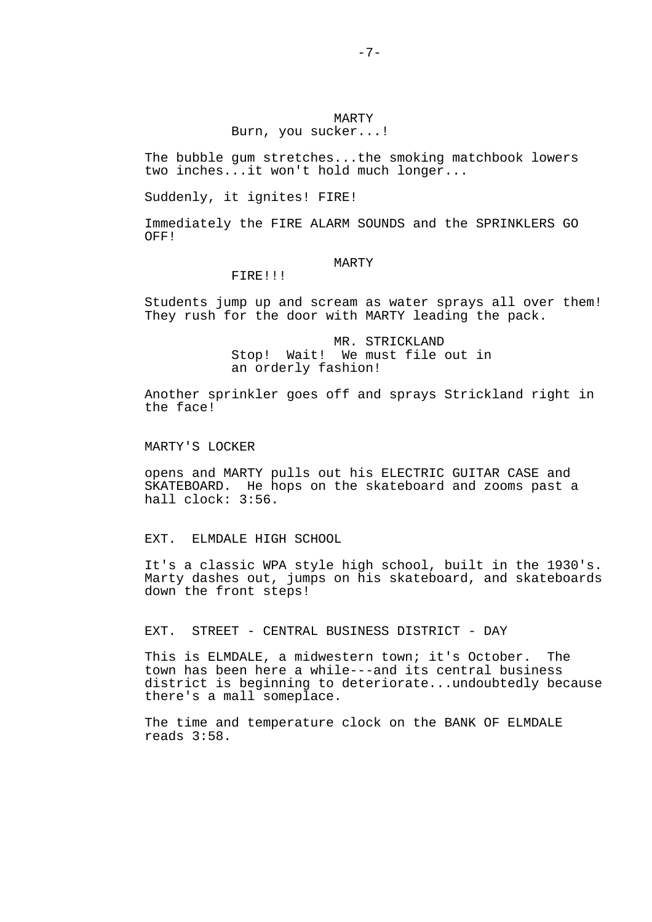## MARTY Burn, you sucker...!

The bubble gum stretches...the smoking matchbook lowers two inches...it won't hold much longer...

Suddenly, it ignites! FIRE!

Immediately the FIRE ALARM SOUNDS and the SPRINKLERS GO OFF!

## MARTY

### FIRE!!!

Students jump up and scream as water sprays all over them! They rush for the door with MARTY leading the pack.

> MR. STRICKLAND Stop! Wait! We must file out in an orderly fashion!

Another sprinkler goes off and sprays Strickland right in the face!

### MARTY'S LOCKER

opens and MARTY pulls out his ELECTRIC GUITAR CASE and SKATEBOARD. He hops on the skateboard and zooms past a hall clock: 3:56.

### EXT. ELMDALE HIGH SCHOOL

It's a classic WPA style high school, built in the 1930's. Marty dashes out, jumps on his skateboard, and skateboards down the front steps!

## EXT. STREET - CENTRAL BUSINESS DISTRICT - DAY

This is ELMDALE, a midwestern town; it's October. The town has been here a while---and its central business district is beginning to deteriorate...undoubtedly because there's a mall someplace.

The time and temperature clock on the BANK OF ELMDALE reads 3:58.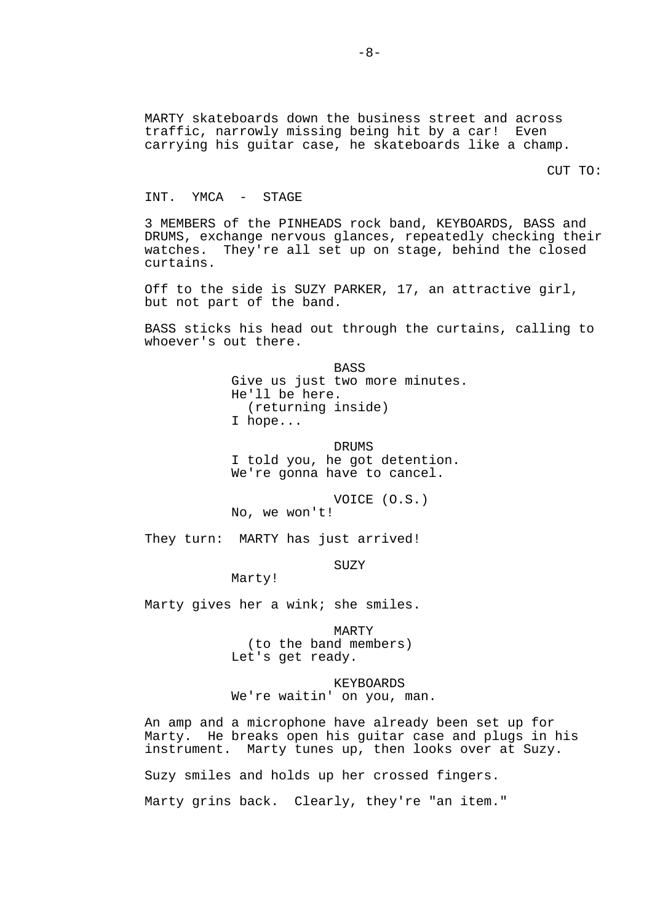MARTY skateboards down the business street and across traffic, narrowly missing being hit by a car! Even carrying his guitar case, he skateboards like a champ.

CUT TO:

### INT. YMCA - STAGE

3 MEMBERS of the PINHEADS rock band, KEYBOARDS, BASS and DRUMS, exchange nervous glances, repeatedly checking their watches. They're all set up on stage, behind the closed curtains.

Off to the side is SUZY PARKER, 17, an attractive girl, but not part of the band.

BASS sticks his head out through the curtains, calling to whoever's out there.

> **BASS**  Give us just two more minutes. He'll be here. (returning inside) I hope...

 DRUMS I told you, he got detention. We're gonna have to cancel.

 VOICE (O.S.) No, we won't!

They turn: MARTY has just arrived!

**SUZY** 

Marty!

Marty gives her a wink; she smiles.

 MARTY (to the band members) Let's get ready.

 KEYBOARDS We're waitin' on you, man.

An amp and a microphone have already been set up for Marty. He breaks open his guitar case and plugs in his instrument. Marty tunes up, then looks over at Suzy.

Suzy smiles and holds up her crossed fingers.

Marty grins back. Clearly, they're "an item."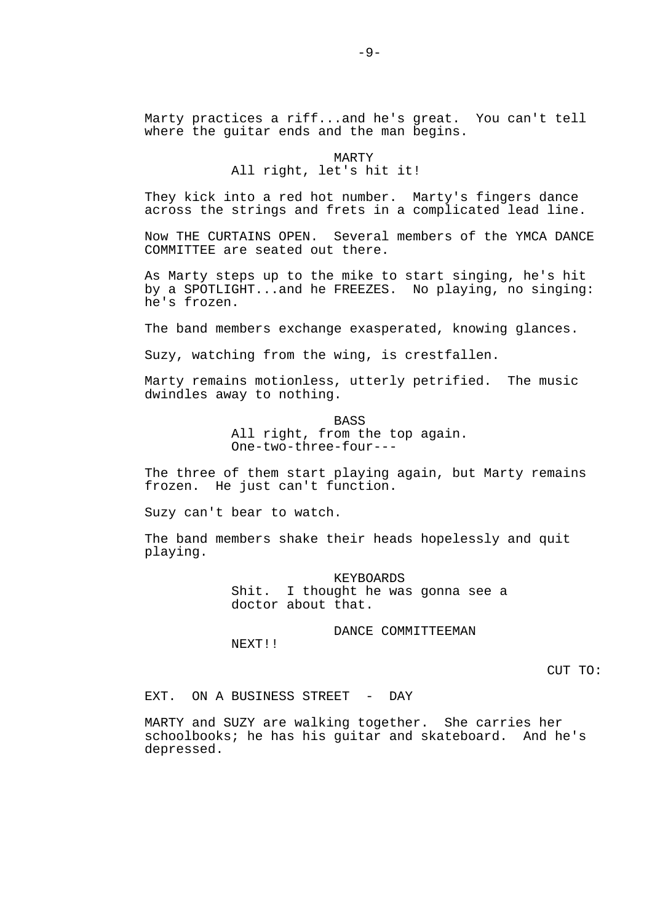Marty practices a riff...and he's great. You can't tell where the guitar ends and the man begins.

> MARTY All right, let's hit it!

They kick into a red hot number. Marty's fingers dance across the strings and frets in a complicated lead line.

Now THE CURTAINS OPEN. Several members of the YMCA DANCE COMMITTEE are seated out there.

As Marty steps up to the mike to start singing, he's hit by a SPOTLIGHT...and he FREEZES. No playing, no singing: he's frozen.

The band members exchange exasperated, knowing glances.

Suzy, watching from the wing, is crestfallen.

Marty remains motionless, utterly petrified. The music dwindles away to nothing.

> BASS All right, from the top again. One-two-three-four---

The three of them start playing again, but Marty remains frozen. He just can't function.

Suzy can't bear to watch.

The band members shake their heads hopelessly and quit playing.

> KEYBOARDS<br>Shit. I thought he was I thought he was gonna see a doctor about that.

> > DANCE COMMITTEEMAN

CUT TO:

EXT. ON A BUSINESS STREET - DAY

NEXT!!

MARTY and SUZY are walking together. She carries her schoolbooks; he has his guitar and skateboard. And he's depressed.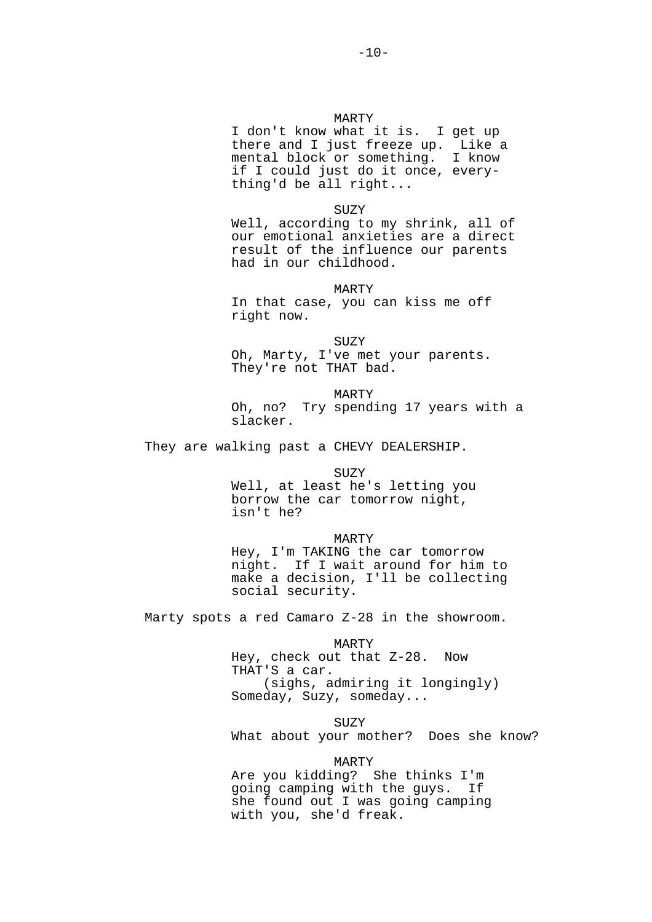I don't know what it is. I get up there and I just freeze up. Like a mental block or something. I know if I could just do it once, every thing'd be all right...

SUZY

Well, according to my shrink, all of our emotional anxieties are a direct result of the influence our parents had in our childhood.

MARTY

 In that case, you can kiss me off right now.

 SUZY Oh, Marty, I've met your parents. They're not THAT bad.

 MARTY Oh, no? Try spending 17 years with a slacker.

They are walking past a CHEVY DEALERSHIP.

SUZY

 Well, at least he's letting you borrow the car tomorrow night, isn't he?

MARTY

 Hey, I'm TAKING the car tomorrow night. If I wait around for him to make a decision, I'll be collecting social security.

Marty spots a red Camaro Z-28 in the showroom.

 MARTY Hey, check out that Z-28. Now THAT'S a car. (sighs, admiring it longingly) Someday, Suzy, someday...

**SUZY** What about your mother? Does she know?

 MARTY Are you kidding? She thinks I'm going camping with the guys. If she found out I was going camping with you, she'd freak.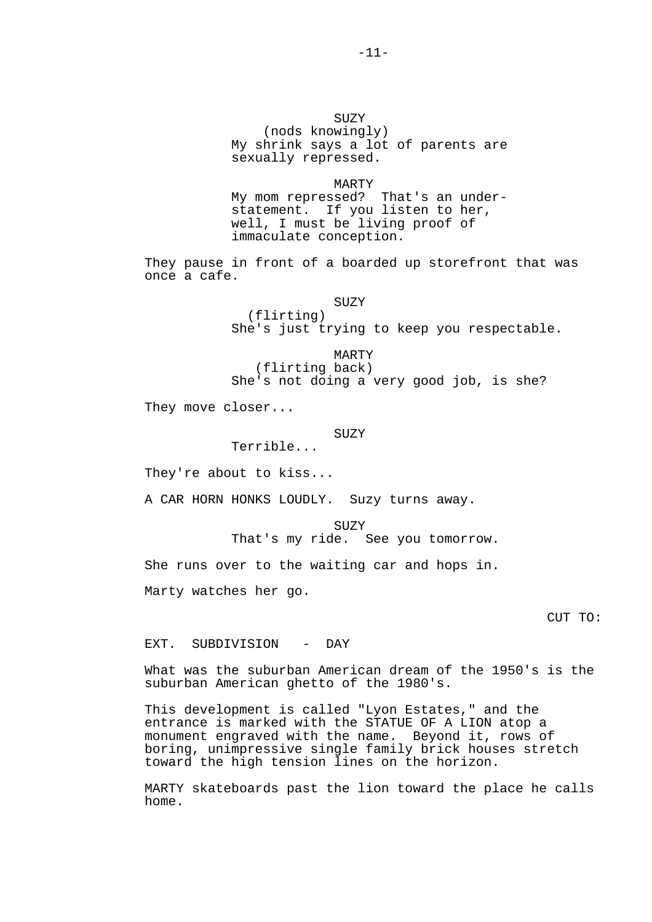## SUZY (nods knowingly) My shrink says a lot of parents are sexually repressed.

 MARTY My mom repressed? That's an under statement. If you listen to her, well, I must be living proof of immaculate conception.

They pause in front of a boarded up storefront that was once a cafe.

**SUZY** 

 (flirting) She's just trying to keep you respectable.

 MARTY (flirting back) She's not doing a very good job, is she?

They move closer...

#### **SUZY**

Terrible...

They're about to kiss...

A CAR HORN HONKS LOUDLY. Suzy turns away.

 SUZY That's my ride. See you tomorrow.

She runs over to the waiting car and hops in.

Marty watches her go.

CUT TO:

EXT. SUBDIVISION - DAY

What was the suburban American dream of the 1950's is the suburban American ghetto of the 1980's.

This development is called "Lyon Estates," and the entrance is marked with the STATUE OF A LION atop a monument engraved with the name. Beyond it, rows of boring, unimpressive single family brick houses stretch toward the high tension lines on the horizon.

MARTY skateboards past the lion toward the place he calls home.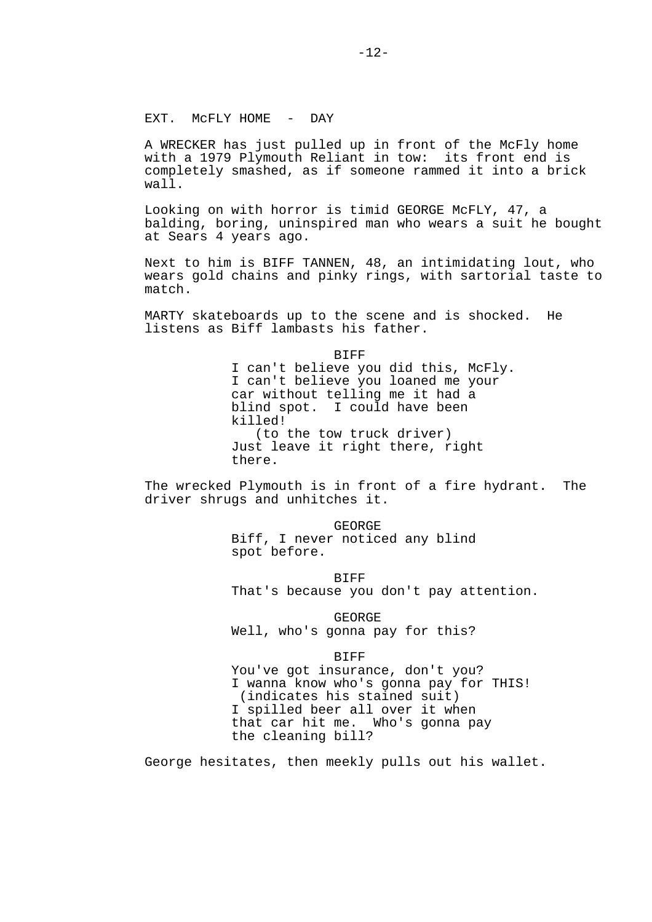## EXT. MCFLY HOME - DAY

A WRECKER has just pulled up in front of the McFly home with a 1979 Plymouth Reliant in tow: its front end is completely smashed, as if someone rammed it into a brick wall.

Looking on with horror is timid GEORGE McFLY, 47, a balding, boring, uninspired man who wears a suit he bought at Sears 4 years ago.

Next to him is BIFF TANNEN, 48, an intimidating lout, who wears gold chains and pinky rings, with sartorial taste to match.

MARTY skateboards up to the scene and is shocked. He listens as Biff lambasts his father.

> BIFF I can't believe you did this, McFly. I can't believe you loaned me your car without telling me it had a blind spot. I could have been killed! (to the tow truck driver) Just leave it right there, right there.

The wrecked Plymouth is in front of a fire hydrant. The driver shrugs and unhitches it.

> GEORGE Biff, I never noticed any blind spot before.

 BIFF That's because you don't pay attention.

 GEORGE Well, who's gonna pay for this?

 BIFF You've got insurance, don't you? I wanna know who's gonna pay for THIS! (indicates his stained suit) I spilled beer all over it when that car hit me. Who's gonna pay the cleaning bill?

George hesitates, then meekly pulls out his wallet.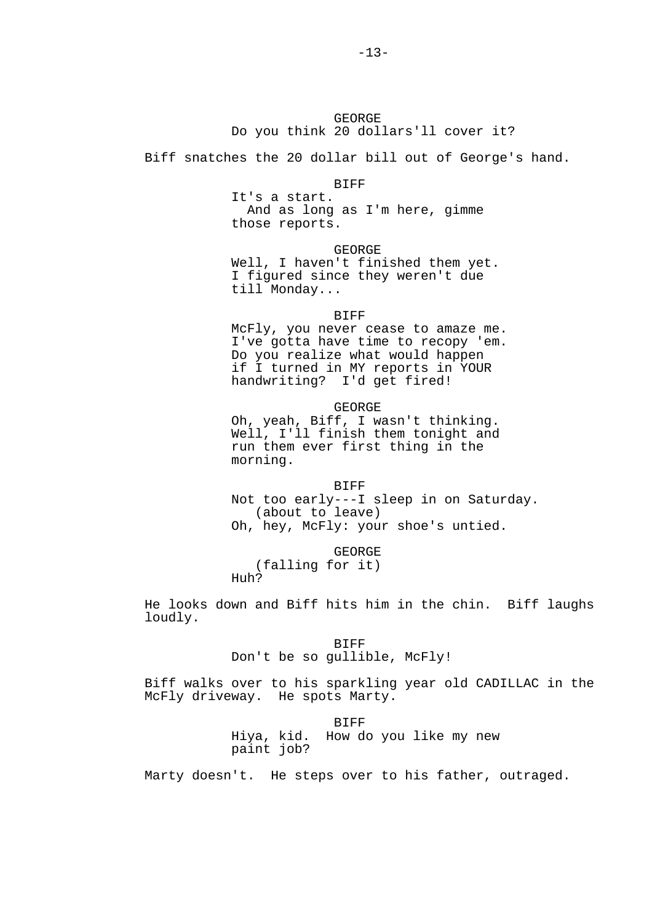## GEORGE Do you think 20 dollars'll cover it?

Biff snatches the 20 dollar bill out of George's hand.

### BIFF

 It's a start. And as long as I'm here, gimme those reports.

### GEORGE

 Well, I haven't finished them yet. I figured since they weren't due till Monday...

#### BIFF

 McFly, you never cease to amaze me. I've gotta have time to recopy 'em. Do you realize what would happen if I turned in MY reports in YOUR handwriting? I'd get fired!

## GEORGE Oh, yeah, Biff, I wasn't thinking. Well, I'll finish them tonight and run them ever first thing in the morning.

 BIFF Not too early---I sleep in on Saturday. (about to leave) Oh, hey, McFly: your shoe's untied.

GEORGE

 (falling for it) Huh?

He looks down and Biff hits him in the chin. Biff laughs loudly.

## BIFF Don't be so gullible, McFly!

Biff walks over to his sparkling year old CADILLAC in the McFly driveway. He spots Marty.

#### **BIFF**

 Hiya, kid. How do you like my new paint job?

Marty doesn't. He steps over to his father, outraged.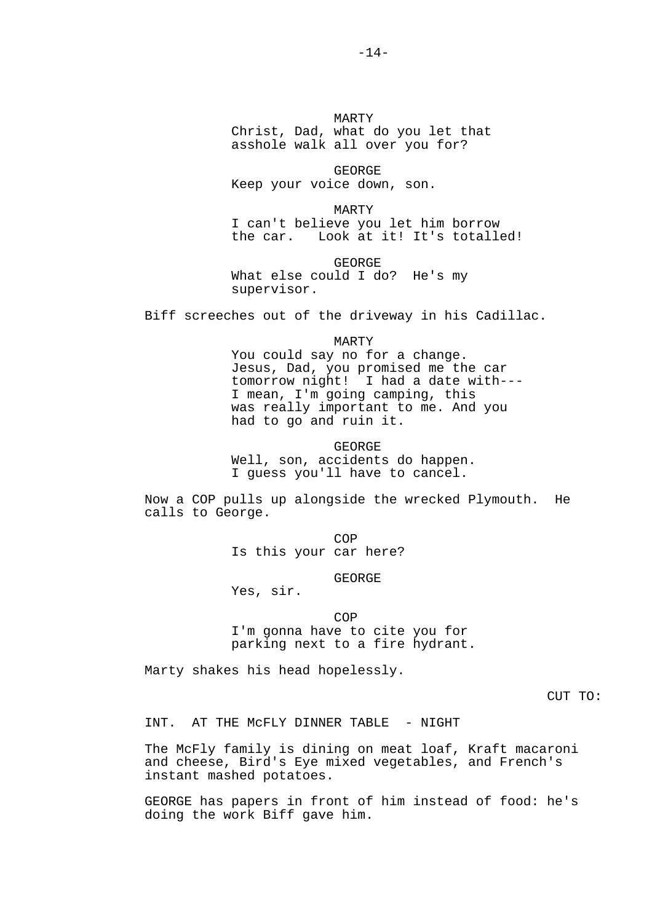MARTY Christ, Dad, what do you let that asshole walk all over you for?

 GEORGE Keep your voice down, son.

 MARTY I can't believe you let him borrow<br>the car. Look at it! It's totall Look at it! It's totalled!

 GEORGE What else could I do? He's my supervisor.

Biff screeches out of the driveway in his Cadillac.

MARTY

 You could say no for a change. Jesus, Dad, you promised me the car tomorrow night! I had a date with--- I mean, I'm going camping, this was really important to me. And you had to go and ruin it.

 GEORGE Well, son, accidents do happen. I guess you'll have to cancel.

Now a COP pulls up alongside the wrecked Plymouth. He calls to George.

**COP** Is this your car here?

GEORGE

Yes, sir.

**COP**  I'm gonna have to cite you for parking next to a fire hydrant.

Marty shakes his head hopelessly.

CUT TO:

INT. AT THE McFLY DINNER TABLE - NIGHT

The McFly family is dining on meat loaf, Kraft macaroni and cheese, Bird's Eye mixed vegetables, and French's instant mashed potatoes.

GEORGE has papers in front of him instead of food: he's doing the work Biff gave him.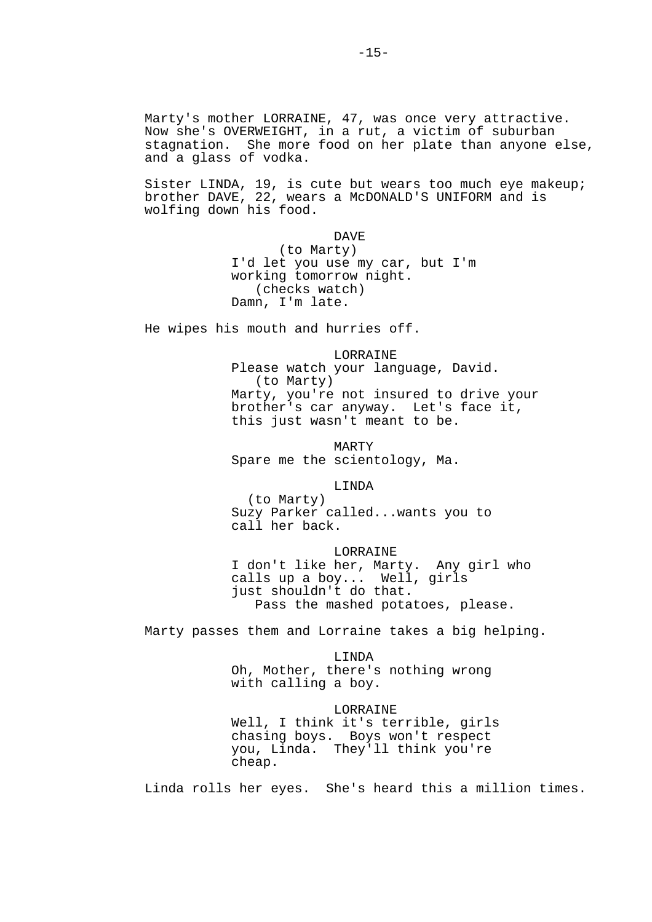Marty's mother LORRAINE, 47, was once very attractive. Now she's OVERWEIGHT, in a rut, a victim of suburban stagnation. She more food on her plate than anyone else, and a glass of vodka.

Sister LINDA, 19, is cute but wears too much eye makeup; brother DAVE, 22, wears a McDONALD'S UNIFORM and is wolfing down his food.

## DAVE (to Marty) I'd let you use my car, but I'm working tomorrow night. (checks watch) Damn, I'm late.

He wipes his mouth and hurries off.

## LORRAINE Please watch your language, David. (to Marty) Marty, you're not insured to drive your brother's car anyway. Let's face it, this just wasn't meant to be.

 MARTY Spare me the scientology, Ma.

#### LINDA

 (to Marty) Suzy Parker called...wants you to call her back.

### LORRAINE

 I don't like her, Marty. Any girl who calls up a boy... Well, girls just shouldn't do that. Pass the mashed potatoes, please.

Marty passes them and Lorraine takes a big helping.

#### LINDA

 Oh, Mother, there's nothing wrong with calling a boy.

#### LORRAINE

 Well, I think it's terrible, girls chasing boys. Boys won't respect you, Linda. They'll think you're cheap.

Linda rolls her eyes. She's heard this a million times.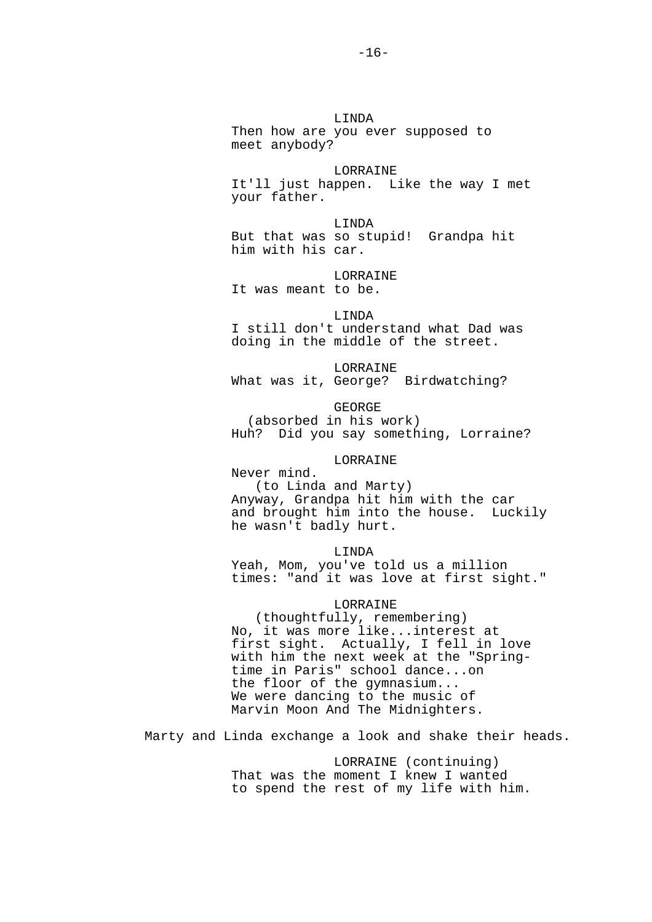## LINDA

 Then how are you ever supposed to meet anybody?

### LORRAINE

 It'll just happen. Like the way I met your father.

 LINDA But that was so stupid! Grandpa hit him with his car.

## **LORRAINE**

It was meant to be.

### LINDA

 I still don't understand what Dad was doing in the middle of the street.

 LORRAINE What was it, George? Birdwatching?

#### GEORGE

 (absorbed in his work) Huh? Did you say something, Lorraine?

### LORRAINE

 Never mind. (to Linda and Marty) Anyway, Grandpa hit him with the car and brought him into the house. Luckily he wasn't badly hurt.

#### LINDA

 Yeah, Mom, you've told us a million times: "and it was love at first sight."

### LORRAINE

 (thoughtfully, remembering) No, it was more like...interest at first sight. Actually, I fell in love with him the next week at the "Spring time in Paris" school dance...on the floor of the gymnasium... We were dancing to the music of Marvin Moon And The Midnighters.

Marty and Linda exchange a look and shake their heads.

 LORRAINE (continuing) That was the moment I knew I wanted to spend the rest of my life with him.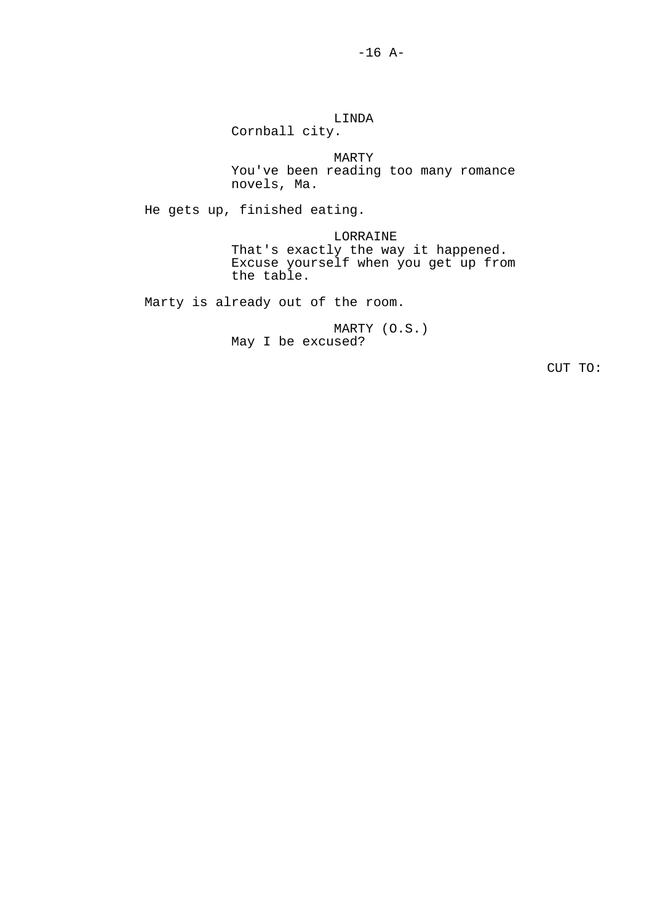LINDA Cornball city. MARTY You've been reading too many romance novels, Ma. He gets up, finished eating. LORRAINE That's exactly the way it happened. Excuse yourself when you get up from the table. Marty is already out of the room.

> MARTY (O.S.) May I be excused?

> > CUT TO: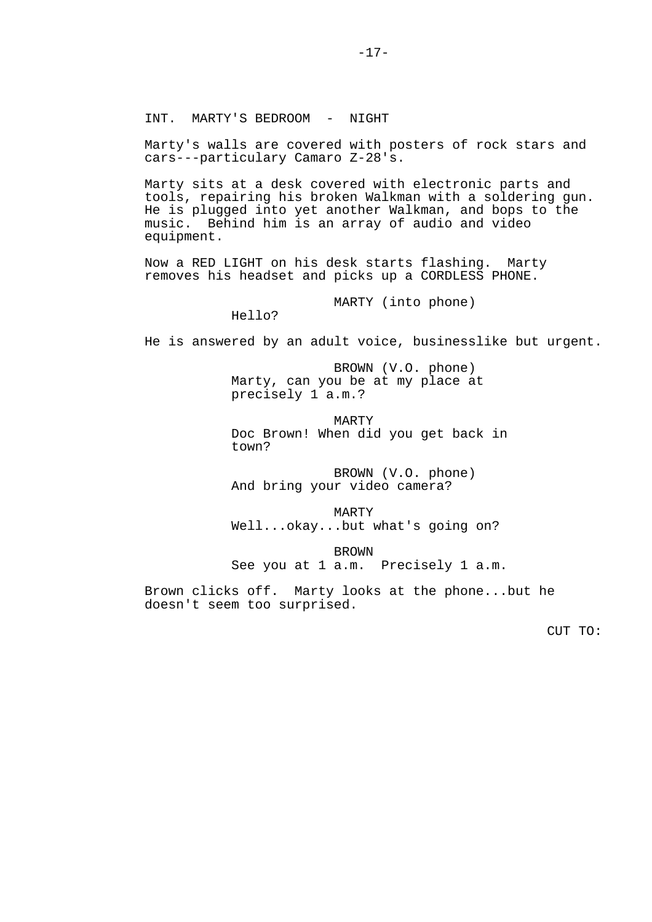INT. MARTY'S BEDROOM - NIGHT

Marty's walls are covered with posters of rock stars and cars---particulary Camaro Z-28's.

Marty sits at a desk covered with electronic parts and tools, repairing his broken Walkman with a soldering gun. He is plugged into yet another Walkman, and bops to the music. Behind him is an array of audio and video equipment.

Now a RED LIGHT on his desk starts flashing. Marty removes his headset and picks up a CORDLESS PHONE.

MARTY (into phone)

Hello?

He is answered by an adult voice, businesslike but urgent.

 BROWN (V.O. phone) Marty, can you be at my place at precisely 1 a.m.?

 MARTY Doc Brown! When did you get back in town?

 BROWN (V.O. phone) And bring your video camera?

 MARTY Well...okay...but what's going on?

 BROWN See you at 1 a.m. Precisely 1 a.m.

Brown clicks off. Marty looks at the phone...but he doesn't seem too surprised.

CUT TO: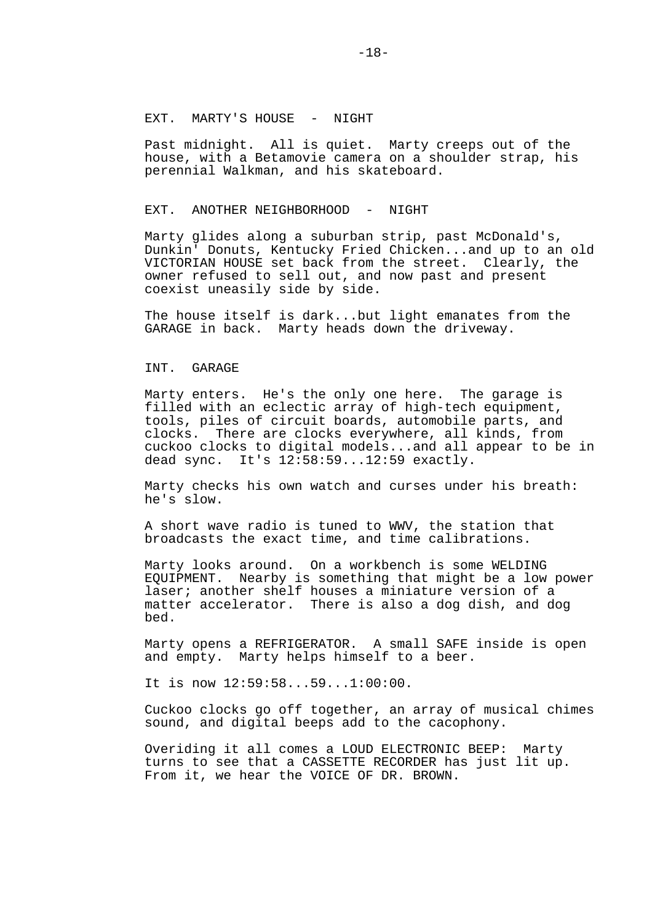Past midnight. All is quiet. Marty creeps out of the house, with a Betamovie camera on a shoulder strap, his perennial Walkman, and his skateboard.

### EXT. ANOTHER NEIGHBORHOOD - NIGHT

Marty glides along a suburban strip, past McDonald's, Dunkin' Donuts, Kentucky Fried Chicken...and up to an old VICTORIAN HOUSE set back from the street. Clearly, the owner refused to sell out, and now past and present coexist uneasily side by side.

The house itself is dark...but light emanates from the GARAGE in back. Marty heads down the driveway.

### INT. GARAGE

Marty enters. He's the only one here. The garage is filled with an eclectic array of high-tech equipment, tools, piles of circuit boards, automobile parts, and clocks. There are clocks everywhere, all kinds, from cuckoo clocks to digital models...and all appear to be in dead sync. It's 12:58:59...12:59 exactly.

Marty checks his own watch and curses under his breath: he's slow.

A short wave radio is tuned to WWV, the station that broadcasts the exact time, and time calibrations.

Marty looks around. On a workbench is some WELDING EQUIPMENT. Nearby is something that might be a low power laser; another shelf houses a miniature version of a matter accelerator. There is also a dog dish, and dog bed.

Marty opens a REFRIGERATOR. A small SAFE inside is open and empty. Marty helps himself to a beer.

It is now 12:59:58...59...1:00:00.

Cuckoo clocks go off together, an array of musical chimes sound, and digital beeps add to the cacophony.

Overiding it all comes a LOUD ELECTRONIC BEEP: Marty turns to see that a CASSETTE RECORDER has just lit up. From it, we hear the VOICE OF DR. BROWN.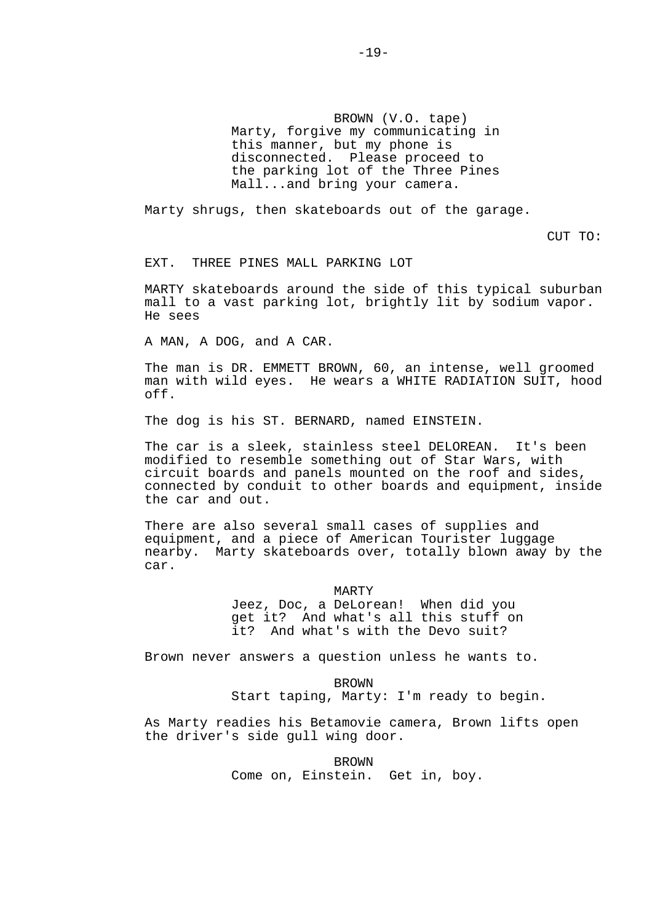BROWN (V.O. tape) Marty, forgive my communicating in this manner, but my phone is disconnected. Please proceed to the parking lot of the Three Pines Mall...and bring your camera.

Marty shrugs, then skateboards out of the garage.

CUT TO:

EXT. THREE PINES MALL PARKING LOT

MARTY skateboards around the side of this typical suburban mall to a vast parking lot, brightly lit by sodium vapor. He sees

A MAN, A DOG, and A CAR.

The man is DR. EMMETT BROWN, 60, an intense, well groomed man with wild eyes. He wears a WHITE RADIATION SUIT, hood off.

The dog is his ST. BERNARD, named EINSTEIN.

The car is a sleek, stainless steel DELOREAN. It's been modified to resemble something out of Star Wars, with circuit boards and panels mounted on the roof and sides, connected by conduit to other boards and equipment, inside the car and out.

There are also several small cases of supplies and equipment, and a piece of American Tourister luggage nearby. Marty skateboards over, totally blown away by the car.

MARTY

 Jeez, Doc, a DeLorean! When did you get it? And what's all this stuff on it? And what's with the Devo suit?

Brown never answers a question unless he wants to.

 BROWN Start taping, Marty: I'm ready to begin.

As Marty readies his Betamovie camera, Brown lifts open the driver's side gull wing door.

> **BROWN** Come on, Einstein. Get in, boy.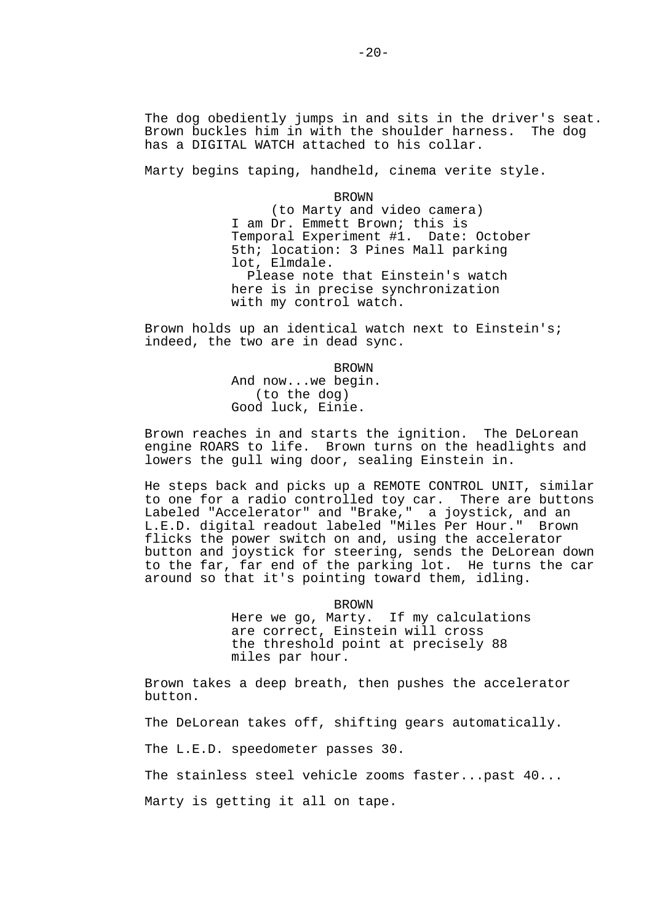The dog obediently jumps in and sits in the driver's seat. Brown buckles him in with the shoulder harness. The dog has a DIGITAL WATCH attached to his collar.

Marty begins taping, handheld, cinema verite style.

**BROWN**  (to Marty and video camera) I am Dr. Emmett Brown; this is Temporal Experiment #1. Date: October 5th; location: 3 Pines Mall parking lot, Elmdale. Please note that Einstein's watch here is in precise synchronization with my control watch.

Brown holds up an identical watch next to Einstein's; indeed, the two are in dead sync.

> BROWN And now...we begin. (to the dog) Good luck, Einie.

Brown reaches in and starts the ignition. The DeLorean engine ROARS to life. Brown turns on the headlights and lowers the gull wing door, sealing Einstein in.

He steps back and picks up a REMOTE CONTROL UNIT, similar to one for a radio controlled toy car. There are buttons Labeled "Accelerator" and "Brake," a joystick, and an L.E.D. digital readout labeled "Miles Per Hour." Brown flicks the power switch on and, using the accelerator button and joystick for steering, sends the DeLorean down to the far, far end of the parking lot. He turns the car around so that it's pointing toward them, idling.

> BROWN<br>Here we go, Marty. If my calculations are correct, Einstein will cross the threshold point at precisely 88 miles par hour.

Brown takes a deep breath, then pushes the accelerator button.

The DeLorean takes off, shifting gears automatically.

The L.E.D. speedometer passes 30.

The stainless steel vehicle zooms faster...past 40...

Marty is getting it all on tape.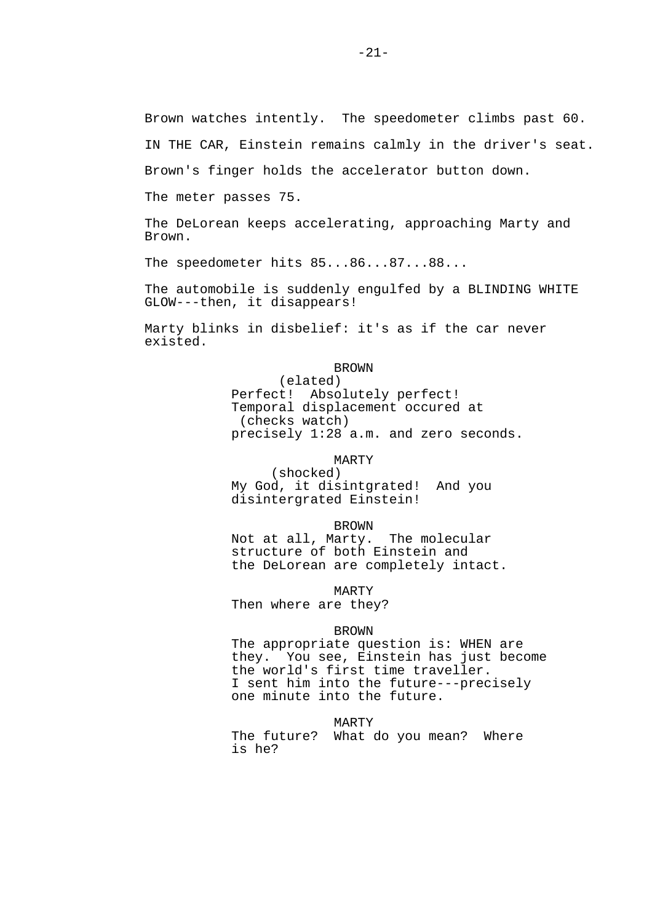IN THE CAR, Einstein remains calmly in the driver's seat.

Brown's finger holds the accelerator button down.

The meter passes 75.

The DeLorean keeps accelerating, approaching Marty and Brown.

The speedometer hits 85...86...87...88...

The automobile is suddenly engulfed by a BLINDING WHITE GLOW---then, it disappears!

Marty blinks in disbelief: it's as if the car never existed.

> BROWN (elated) Perfect! Absolutely perfect! Temporal displacement occured at (checks watch) precisely 1:28 a.m. and zero seconds.

> > MARTY

 (shocked) My God, it disintgrated! And you disintergrated Einstein!

 BROWN Not at all, Marty. The molecular structure of both Einstein and the DeLorean are completely intact.

MARTY

Then where are they?

### **BROWN**

The appropriate question is: WHEN are they. You see, Einstein has just become the world's first time traveller. I sent him into the future---precisely one minute into the future.

#### MARTY

 The future? What do you mean? Where is he?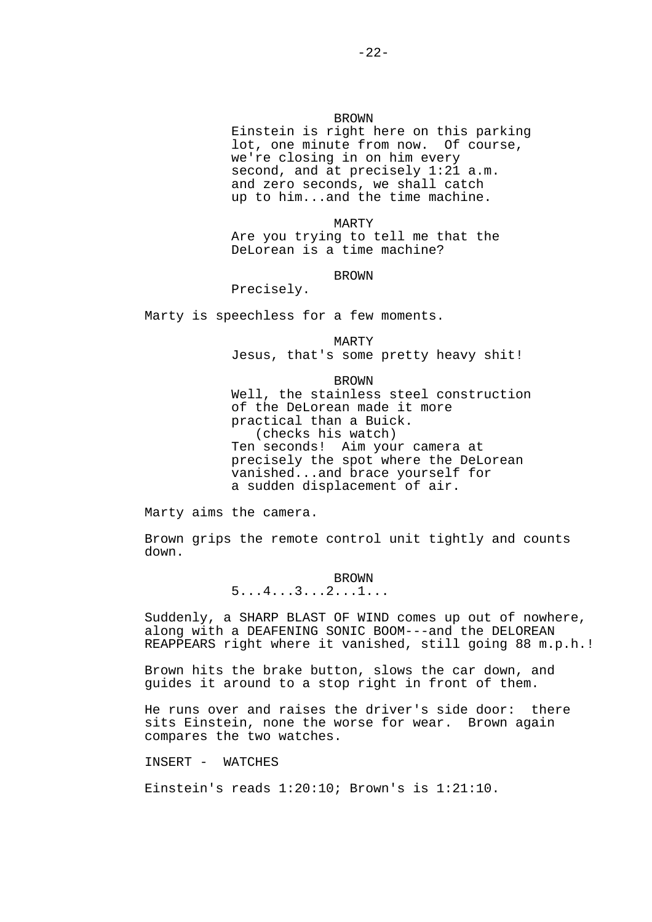### BROWN

 Einstein is right here on this parking lot, one minute from now. Of course, we're closing in on him every second, and at precisely 1:21 a.m. and zero seconds, we shall catch up to him...and the time machine.

 MARTY Are you trying to tell me that the DeLorean is a time machine?

### BROWN

Precisely.

Marty is speechless for a few moments.

#### MARTY

Jesus, that's some pretty heavy shit!

#### **BROWN**

 Well, the stainless steel construction of the DeLorean made it more practical than a Buick. (checks his watch) Ten seconds! Aim your camera at precisely the spot where the DeLorean vanished...and brace yourself for a sudden displacement of air.

Marty aims the camera.

Brown grips the remote control unit tightly and counts down.

**BROWN**  $5...4...3...2...1...$ 

Suddenly, a SHARP BLAST OF WIND comes up out of nowhere, along with a DEAFENING SONIC BOOM---and the DELOREAN REAPPEARS right where it vanished, still going 88 m.p.h.!

Brown hits the brake button, slows the car down, and guides it around to a stop right in front of them.

He runs over and raises the driver's side door: there sits Einstein, none the worse for wear. Brown again compares the two watches.

INSERT - WATCHES

Einstein's reads 1:20:10; Brown's is 1:21:10.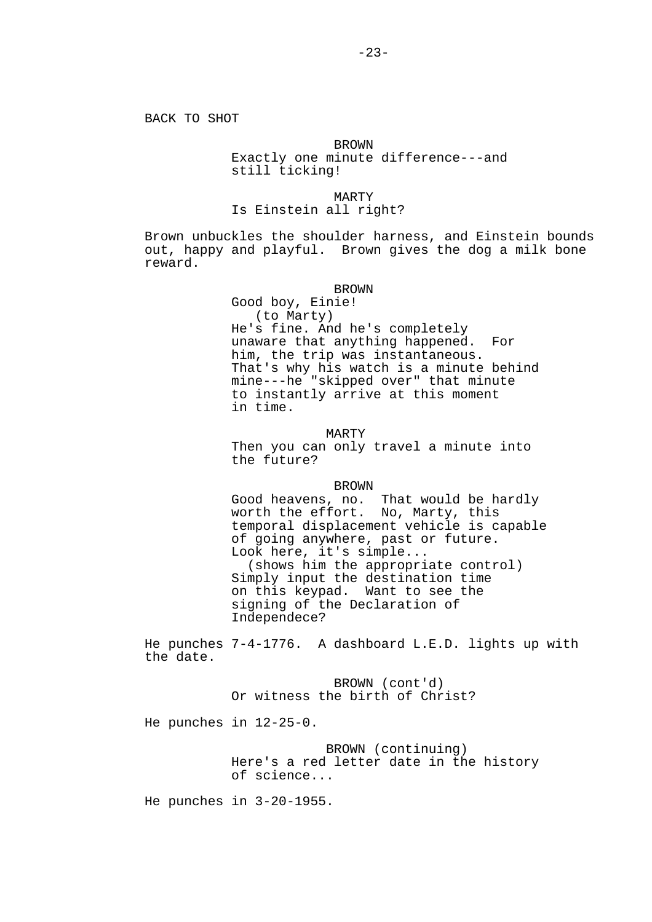## BROWN Exactly one minute difference---and still ticking!

MARTY

## Is Einstein all right?

Brown unbuckles the shoulder harness, and Einstein bounds out, happy and playful. Brown gives the dog a milk bone reward.

#### BROWN

 Good boy, Einie! (to Marty) He's fine. And he's completely unaware that anything happened. For him, the trip was instantaneous. That's why his watch is a minute behind mine---he "skipped over" that minute to instantly arrive at this moment in time.

#### MARTY

 Then you can only travel a minute into the future?

### BROWN

 Good heavens, no. That would be hardly worth the effort. No, Marty, this temporal displacement vehicle is capable of going anywhere, past or future. Look here, it's simple... (shows him the appropriate control) Simply input the destination time on this keypad. Want to see the signing of the Declaration of Independece?

He punches 7-4-1776. A dashboard L.E.D. lights up with the date.

> BROWN (cont'd) Or witness the birth of Christ?

He punches in 12-25-0.

 BROWN (continuing) Here's a red letter date in the history of science...

He punches in 3-20-1955.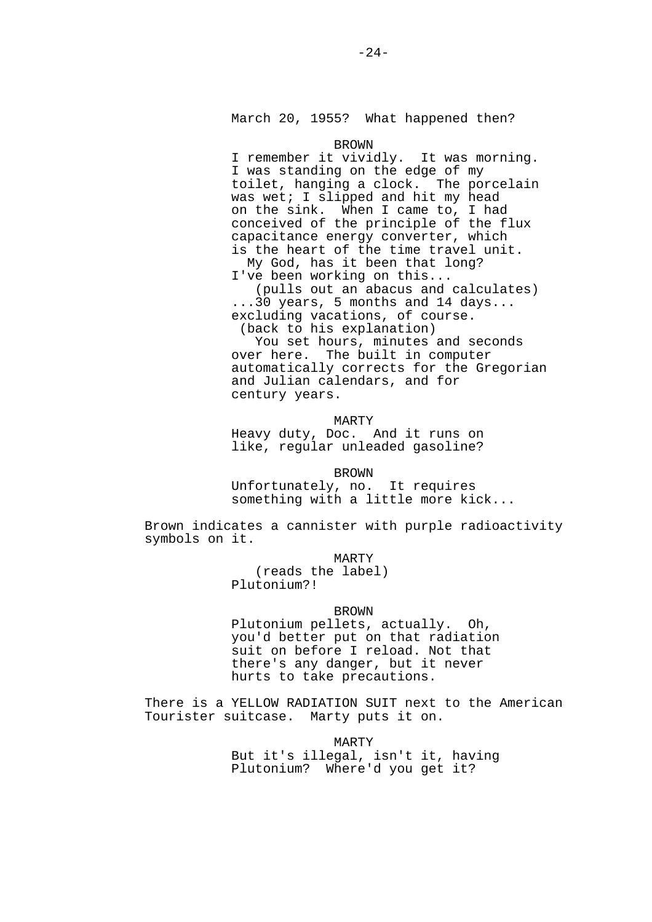March 20, 1955? What happened then?

#### BROWN

 I remember it vividly. It was morning. I was standing on the edge of my toilet, hanging a clock. The porcelain was wet; I slipped and hit my head on the sink. When I came to, I had conceived of the principle of the flux capacitance energy converter, which is the heart of the time travel unit. My God, has it been that long?

I've been working on this...

 (pulls out an abacus and calculates) ...30 years, 5 months and 14 days... excluding vacations, of course. (back to his explanation)

 You set hours, minutes and seconds over here. The built in computer automatically corrects for the Gregorian

 and Julian calendars, and for century years.

MARTY

 Heavy duty, Doc. And it runs on like, regular unleaded gasoline?

BROWN

 Unfortunately, no. It requires something with a little more kick...

Brown indicates a cannister with purple radioactivity symbols on it.

MARTY

 (reads the label) Plutonium?!

#### **BROWN**

 Plutonium pellets, actually. Oh, you'd better put on that radiation suit on before I reload. Not that there's any danger, but it never hurts to take precautions.

There is a YELLOW RADIATION SUIT next to the American Tourister suitcase. Marty puts it on.

> MARTY But it's illegal, isn't it, having Plutonium? Where'd you get it?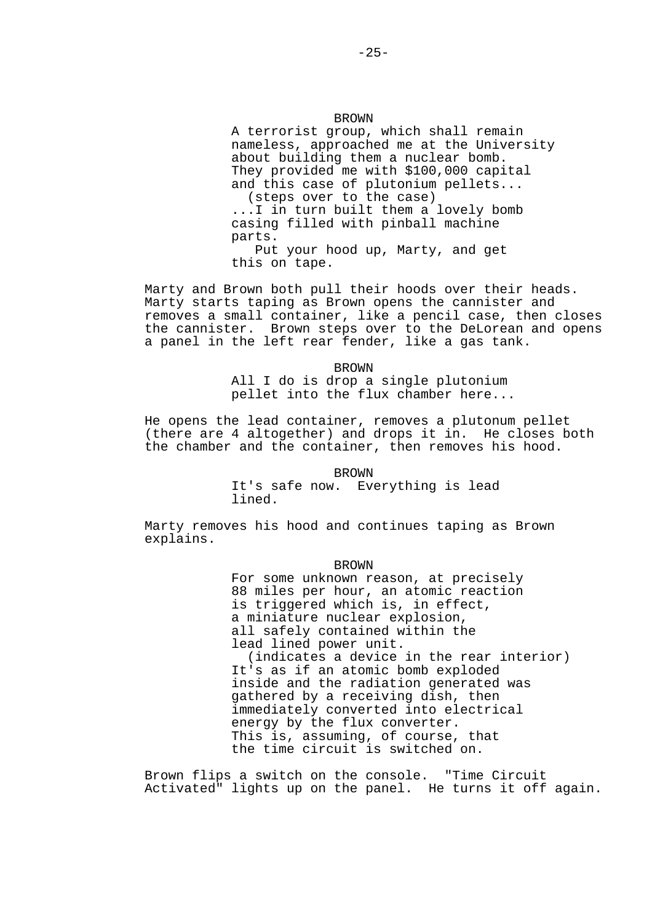### BROWN

 A terrorist group, which shall remain nameless, approached me at the University about building them a nuclear bomb. They provided me with \$100,000 capital and this case of plutonium pellets... (steps over to the case) ...I in turn built them a lovely bomb casing filled with pinball machine parts. Put your hood up, Marty, and get this on tape.

Marty and Brown both pull their hoods over their heads. Marty starts taping as Brown opens the cannister and removes a small container, like a pencil case, then closes the cannister. Brown steps over to the DeLorean and opens a panel in the left rear fender, like a gas tank.

> BROWN All I do is drop a single plutonium pellet into the flux chamber here...

He opens the lead container, removes a plutonum pellet (there are 4 altogether) and drops it in. He closes both the chamber and the container, then removes his hood.

BROWN

 It's safe now. Everything is lead lined.

Marty removes his hood and continues taping as Brown explains.

BROWN

 For some unknown reason, at precisely 88 miles per hour, an atomic reaction is triggered which is, in effect, a miniature nuclear explosion, all safely contained within the lead lined power unit. (indicates a device in the rear interior) It's as if an atomic bomb exploded inside and the radiation generated was gathered by a receiving dish, then immediately converted into electrical energy by the flux converter. This is, assuming, of course, that the time circuit is switched on.

Brown flips a switch on the console. "Time Circuit Activated" lights up on the panel. He turns it off again.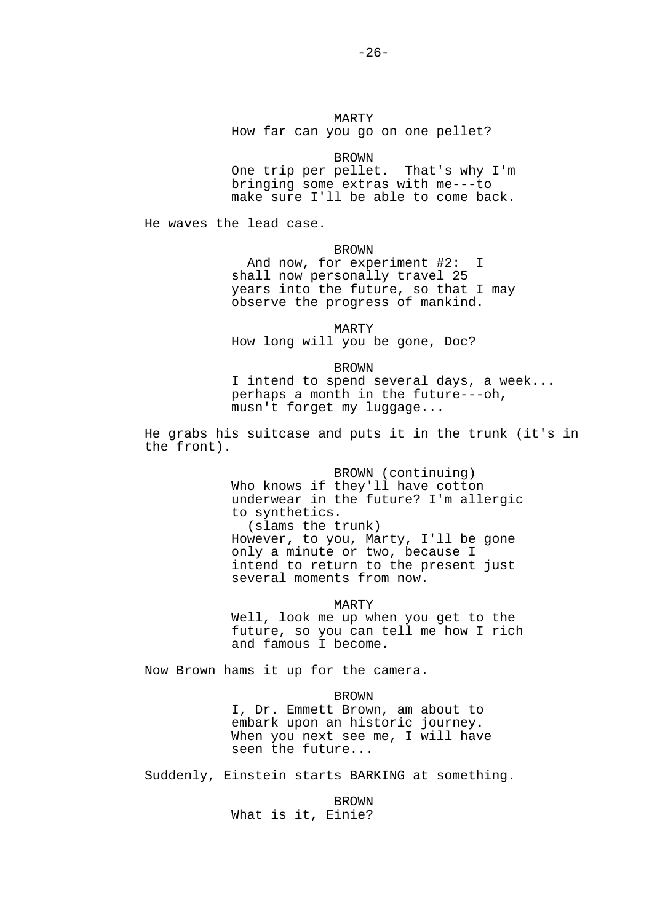#### BROWN

 One trip per pellet. That's why I'm bringing some extras with me---to make sure I'll be able to come back.

He waves the lead case.

#### BROWN

 And now, for experiment #2: I shall now personally travel 25 years into the future, so that I may observe the progress of mankind.

 MARTY How long will you be gone, Doc?

BROWN

 I intend to spend several days, a week... perhaps a month in the future---oh, musn't forget my luggage...

He grabs his suitcase and puts it in the trunk (it's in the front).

> BROWN (continuing) Who knows if they'll have cotton underwear in the future? I'm allergic to synthetics. (slams the trunk) However, to you, Marty, I'll be gone only a minute or two, because I intend to return to the present just several moments from now.

> MARTY Well, look me up when you get to the future, so you can tell me how I rich and famous I become.

Now Brown hams it up for the camera.

#### BROWN

 I, Dr. Emmett Brown, am about to embark upon an historic journey. When you next see me, I will have seen the future...

Suddenly, Einstein starts BARKING at something.

 BROWN What is it, Einie?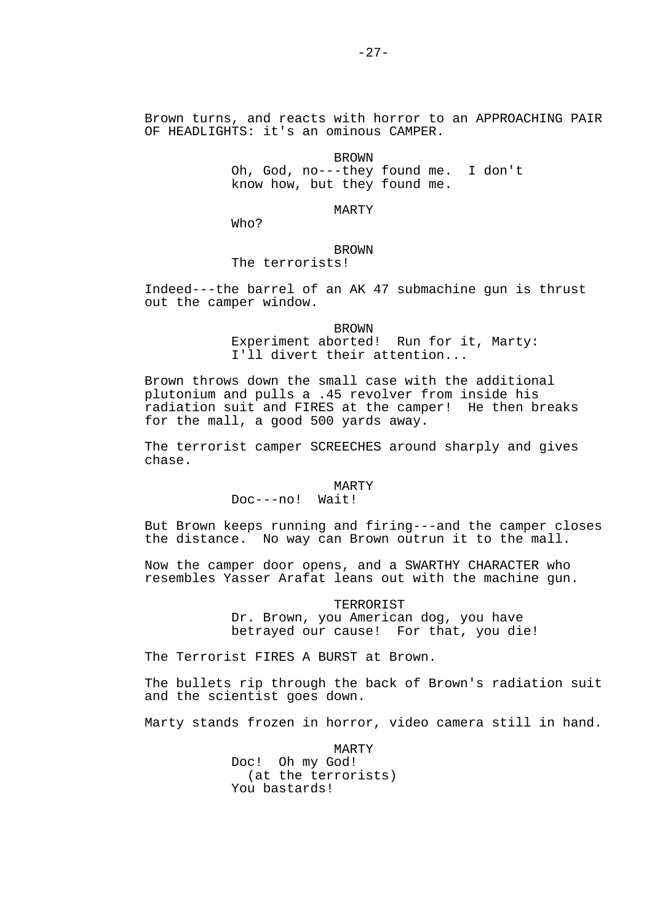Brown turns, and reacts with horror to an APPROACHING PAIR OF HEADLIGHTS: it's an ominous CAMPER.

**BROWN**  Oh, God, no---they found me. I don't know how, but they found me.

MARTY

Who?

# **BROWN**

The terrorists!

Indeed---the barrel of an AK 47 submachine gun is thrust out the camper window.

> BROWN Experiment aborted! Run for it, Marty: I'll divert their attention...

Brown throws down the small case with the additional plutonium and pulls a .45 revolver from inside his radiation suit and FIRES at the camper! He then breaks for the mall, a good 500 yards away.

The terrorist camper SCREECHES around sharply and gives chase.

### MARTY

Doc---no! Wait!

But Brown keeps running and firing---and the camper closes the distance. No way can Brown outrun it to the mall.

Now the camper door opens, and a SWARTHY CHARACTER who resembles Yasser Arafat leans out with the machine gun.

> TERRORIST Dr. Brown, you American dog, you have betrayed our cause! For that, you die!

The Terrorist FIRES A BURST at Brown.

The bullets rip through the back of Brown's radiation suit and the scientist goes down.

Marty stands frozen in horror, video camera still in hand.

 MARTY Doc! Oh my God! (at the terrorists) You bastards!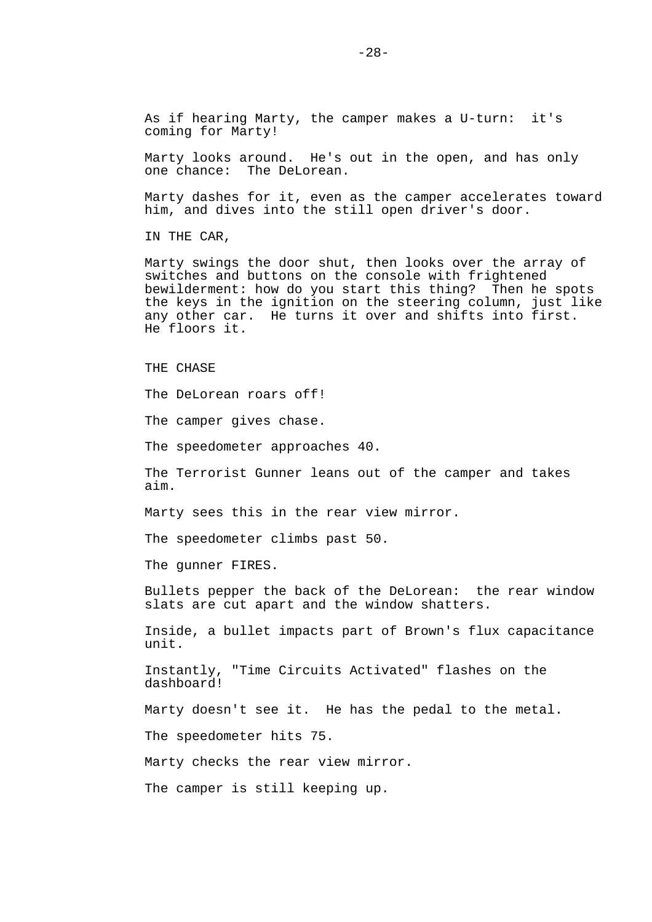As if hearing Marty, the camper makes a U-turn: it's coming for Marty!

Marty looks around. He's out in the open, and has only one chance: The DeLorean.

Marty dashes for it, even as the camper accelerates toward him, and dives into the still open driver's door.

IN THE CAR,

Marty swings the door shut, then looks over the array of switches and buttons on the console with frightened bewilderment: how do you start this thing? Then he spots the keys in the ignition on the steering column, just like any other car. He turns it over and shifts into first. He floors it.

THE CHASE

The DeLorean roars off!

The camper gives chase.

The speedometer approaches 40.

The Terrorist Gunner leans out of the camper and takes aim.

Marty sees this in the rear view mirror.

The speedometer climbs past 50.

The gunner FIRES.

Bullets pepper the back of the DeLorean: the rear window slats are cut apart and the window shatters.

Inside, a bullet impacts part of Brown's flux capacitance unit.

Instantly, "Time Circuits Activated" flashes on the dashboard!

Marty doesn't see it. He has the pedal to the metal.

The speedometer hits 75.

Marty checks the rear view mirror.

The camper is still keeping up.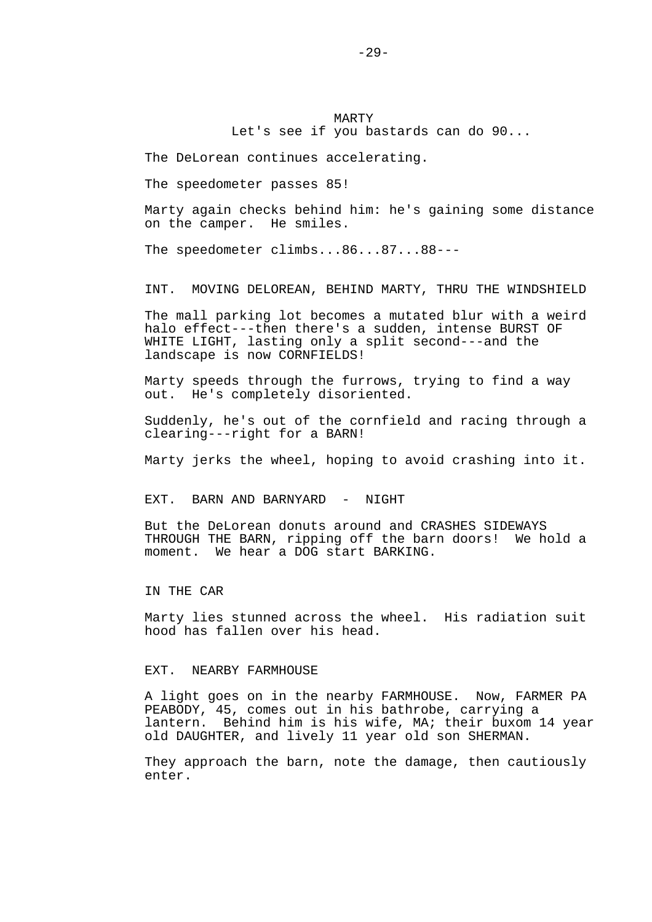MARTY Let's see if you bastards can do 90...

The DeLorean continues accelerating.

The speedometer passes 85!

Marty again checks behind him: he's gaining some distance on the camper. He smiles.

The speedometer climbs...86...87...88---

INT. MOVING DELOREAN, BEHIND MARTY, THRU THE WINDSHIELD

The mall parking lot becomes a mutated blur with a weird halo effect---then there's a sudden, intense BURST OF WHITE LIGHT, lasting only a split second---and the landscape is now CORNFIELDS!

Marty speeds through the furrows, trying to find a way out. He's completely disoriented.

Suddenly, he's out of the cornfield and racing through a clearing---right for a BARN!

Marty jerks the wheel, hoping to avoid crashing into it.

EXT. BARN AND BARNYARD - NIGHT

But the DeLorean donuts around and CRASHES SIDEWAYS THROUGH THE BARN, ripping off the barn doors! We hold a moment. We hear a DOG start BARKING.

IN THE CAR

Marty lies stunned across the wheel. His radiation suit hood has fallen over his head.

### EXT. NEARBY FARMHOUSE

A light goes on in the nearby FARMHOUSE. Now, FARMER PA PEABODY, 45, comes out in his bathrobe, carrying a lantern. Behind him is his wife, MA; their buxom 14 year old DAUGHTER, and lively 11 year old son SHERMAN.

They approach the barn, note the damage, then cautiously enter.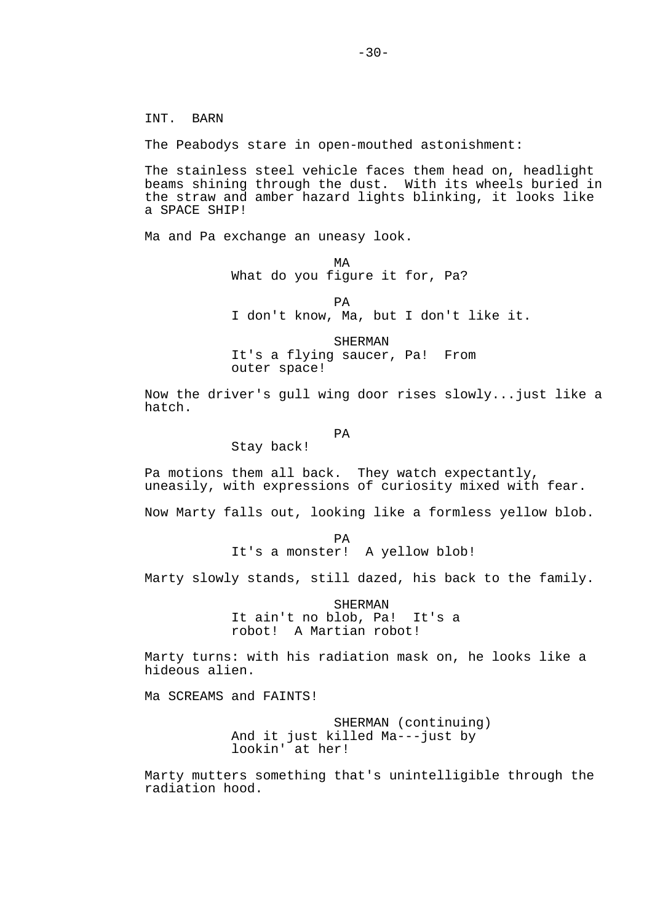INT. BARN

The Peabodys stare in open-mouthed astonishment:

The stainless steel vehicle faces them head on, headlight beams shining through the dust. With its wheels buried in the straw and amber hazard lights blinking, it looks like a SPACE SHIP!

Ma and Pa exchange an uneasy look.

**MA** What do you figure it for, Pa?

**PA** I don't know, Ma, but I don't like it.

> SHERMAN It's a flying saucer, Pa! From outer space!

Now the driver's gull wing door rises slowly...just like a hatch.

**PA** 

Stay back!

Pa motions them all back. They watch expectantly, uneasily, with expressions of curiosity mixed with fear.

Now Marty falls out, looking like a formless yellow blob.

**PA** It's a monster! A yellow blob!

Marty slowly stands, still dazed, his back to the family.

 SHERMAN It ain't no blob, Pa! It's a robot! A Martian robot!

Marty turns: with his radiation mask on, he looks like a hideous alien.

Ma SCREAMS and FAINTS!

 SHERMAN (continuing) And it just killed Ma---just by lookin' at her!

Marty mutters something that's unintelligible through the radiation hood.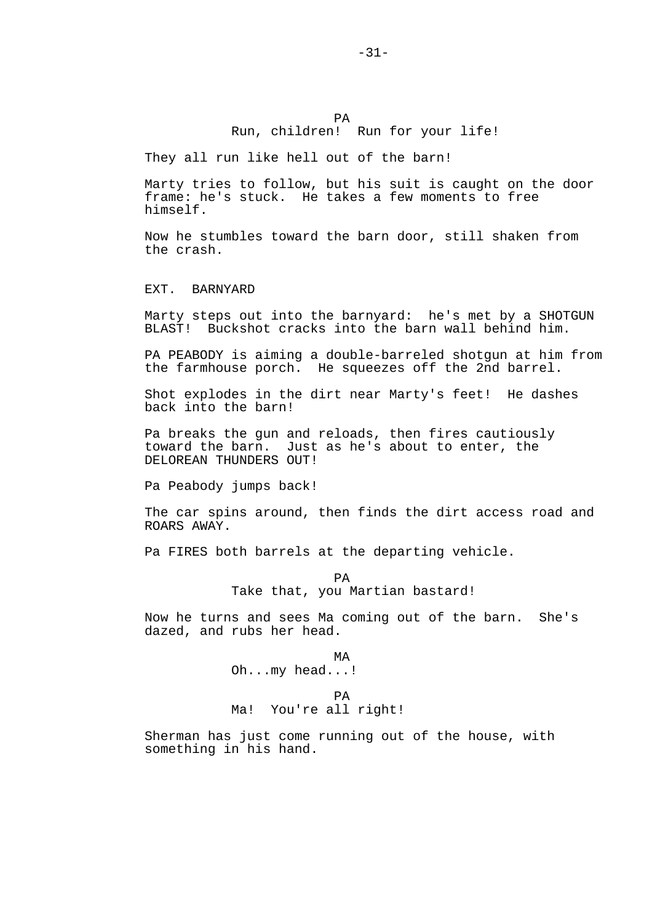## PA Run, children! Run for your life!

They all run like hell out of the barn!

Marty tries to follow, but his suit is caught on the door frame: he's stuck. He takes a few moments to free himself.

Now he stumbles toward the barn door, still shaken from the crash.

EXT. BARNYARD

Marty steps out into the barnyard: he's met by a SHOTGUN BLAST! Buckshot cracks into the barn wall behind him.

PA PEABODY is aiming a double-barreled shotgun at him from the farmhouse porch. He squeezes off the 2nd barrel.

Shot explodes in the dirt near Marty's feet! He dashes back into the barn!

Pa breaks the gun and reloads, then fires cautiously toward the barn. Just as he's about to enter, the DELOREAN THUNDERS OUT!

Pa Peabody jumps back!

The car spins around, then finds the dirt access road and ROARS AWAY.

Pa FIRES both barrels at the departing vehicle.

**PA** Take that, you Martian bastard!

Now he turns and sees Ma coming out of the barn. She's dazed, and rubs her head.

**MA** Oh...my head...!

## **PA**

Ma! You're all right!

Sherman has just come running out of the house, with something in his hand.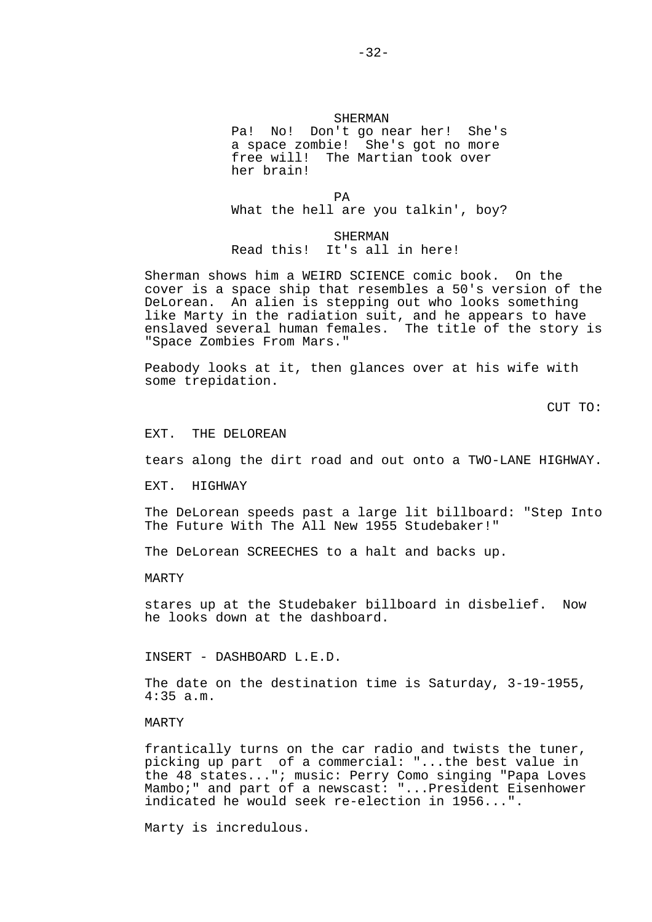## SHERMAN Pa! No! Don't go near her! She's a space zombie! She's got no more free will! The Martian took over her brain!

**PA** What the hell are you talkin', boy?

> **SHERMAN** Read this! It's all in here!

Sherman shows him a WEIRD SCIENCE comic book. On the cover is a space ship that resembles a 50's version of the DeLorean. An alien is stepping out who looks something like Marty in the radiation suit, and he appears to have enslaved several human females. The title of the story is "Space Zombies From Mars."

Peabody looks at it, then glances over at his wife with some trepidation.

CUT TO:

EXT. THE DELOREAN

tears along the dirt road and out onto a TWO-LANE HIGHWAY.

EXT. HIGHWAY

The DeLorean speeds past a large lit billboard: "Step Into The Future With The All New 1955 Studebaker!"

The DeLorean SCREECHES to a halt and backs up.

MARTY

stares up at the Studebaker billboard in disbelief. Now he looks down at the dashboard.

INSERT - DASHBOARD L.E.D.

The date on the destination time is Saturday, 3-19-1955, 4:35 a.m.

#### MARTY

frantically turns on the car radio and twists the tuner, picking up part of a commercial: "...the best value in the 48 states..."; music: Perry Como singing "Papa Loves Mambo;" and part of a newscast: "...President Eisenhower indicated he would seek re-election in 1956...".

Marty is incredulous.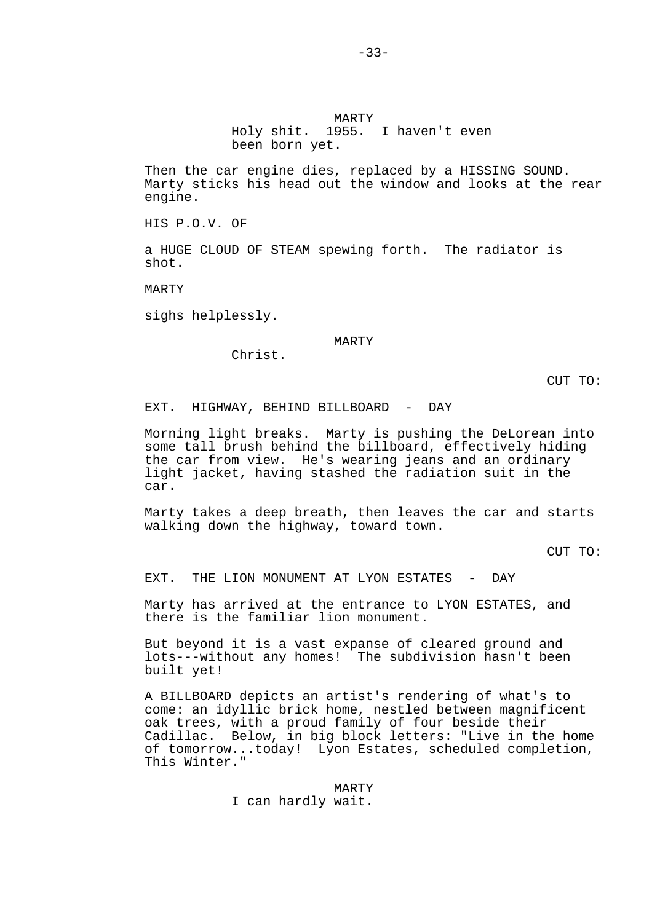MARTY Holy shit. 1955. I haven't even been born yet.

Then the car engine dies, replaced by a HISSING SOUND. Marty sticks his head out the window and looks at the rear engine.

HIS P.O.V. OF

a HUGE CLOUD OF STEAM spewing forth. The radiator is shot.

MARTY

sighs helplessly.

MARTY

Christ.

CUT TO:

EXT. HIGHWAY, BEHIND BILLBOARD - DAY

Morning light breaks. Marty is pushing the DeLorean into some tall brush behind the billboard, effectively hiding the car from view. He's wearing jeans and an ordinary light jacket, having stashed the radiation suit in the car.

Marty takes a deep breath, then leaves the car and starts walking down the highway, toward town.

CUT TO:

EXT. THE LION MONUMENT AT LYON ESTATES - DAY

Marty has arrived at the entrance to LYON ESTATES, and there is the familiar lion monument.

But beyond it is a vast expanse of cleared ground and lots---without any homes! The subdivision hasn't been built yet!

A BILLBOARD depicts an artist's rendering of what's to come: an idyllic brick home, nestled between magnificent oak trees, with a proud family of four beside their Cadillac. Below, in big block letters: "Live in the home of tomorrow...today! Lyon Estates, scheduled completion, This Winter."

> MARTY I can hardly wait.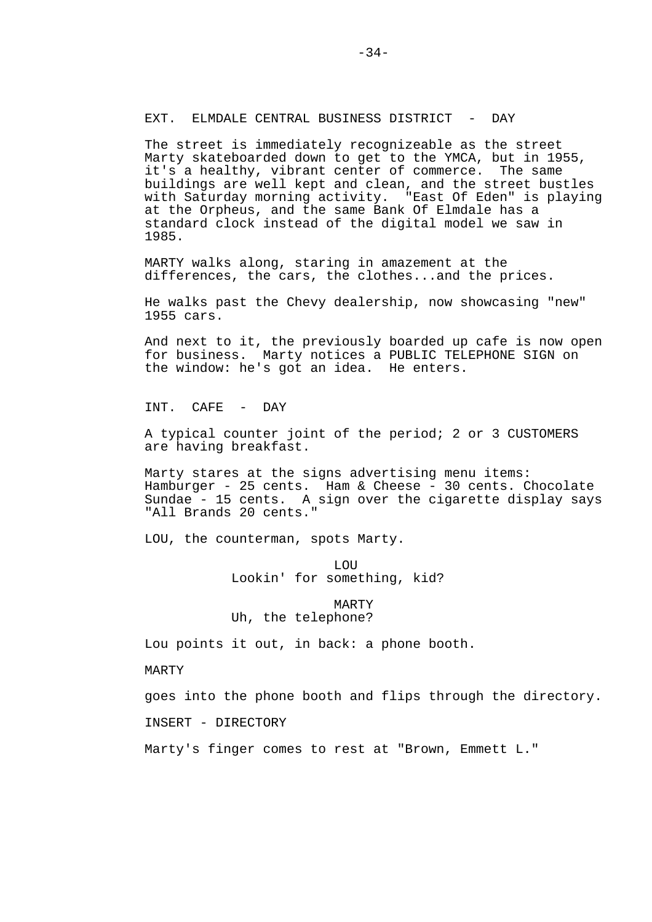## EXT. ELMDALE CENTRAL BUSINESS DISTRICT - DAY

The street is immediately recognizeable as the street Marty skateboarded down to get to the YMCA, but in 1955, it's a healthy, vibrant center of commerce. The same buildings are well kept and clean, and the street bustles with Saturday morning activity. "East Of Eden" is playing at the Orpheus, and the same Bank Of Elmdale has a standard clock instead of the digital model we saw in 1985.

MARTY walks along, staring in amazement at the differences, the cars, the clothes...and the prices.

He walks past the Chevy dealership, now showcasing "new" 1955 cars.

And next to it, the previously boarded up cafe is now open for business. Marty notices a PUBLIC TELEPHONE SIGN on the window: he's got an idea. He enters.

INT. CAFE - DAY

A typical counter joint of the period; 2 or 3 CUSTOMERS are having breakfast.

Marty stares at the signs advertising menu items: Hamburger - 25 cents. Ham & Cheese - 30 cents. Chocolate Sundae - 15 cents. A sign over the cigarette display says "All Brands 20 cents."

LOU, the counterman, spots Marty.

 LOU Lookin' for something, kid?

> MARTY Uh, the telephone?

Lou points it out, in back: a phone booth.

MARTY

goes into the phone booth and flips through the directory.

INSERT - DIRECTORY

Marty's finger comes to rest at "Brown, Emmett L."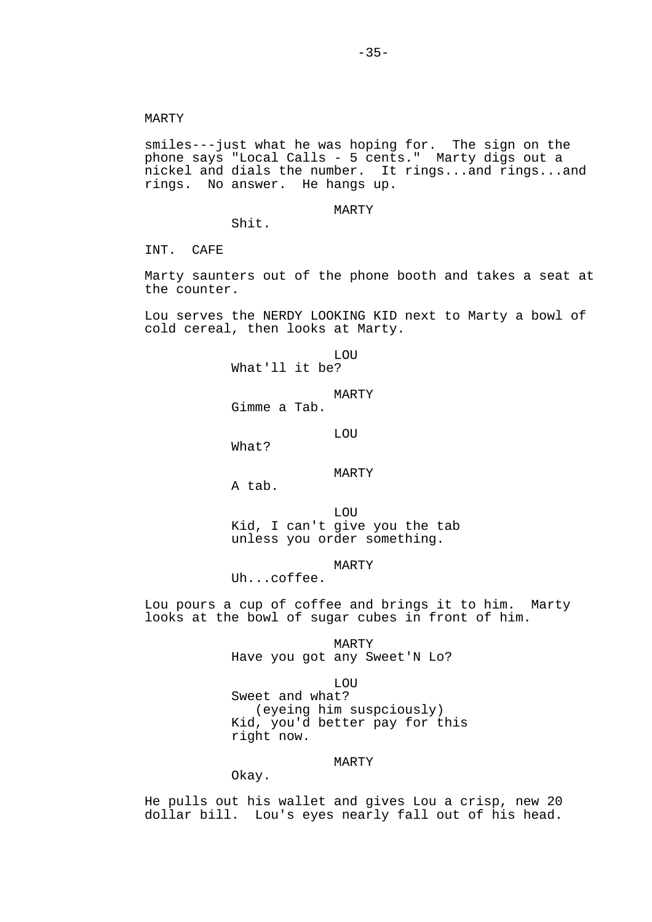smiles---just what he was hoping for. The sign on the phone says "Local Calls - 5 cents." Marty digs out a nickel and dials the number. It rings...and rings...and rings. No answer. He hangs up.

MARTY

INT. CAFE

Marty saunters out of the phone booth and takes a seat at the counter.

Lou serves the NERDY LOOKING KID next to Marty a bowl of cold cereal, then looks at Marty.

 LOU What'll it be?

MARTY

Gimme a Tab.

LOU

What?

Shit.

MARTY

A tab.

 LOU Kid, I can't give you the tab unless you order something.

MARTY

Uh...coffee.

Lou pours a cup of coffee and brings it to him. Marty looks at the bowl of sugar cubes in front of him.

> MARTY Have you got any Sweet'N Lo?

 LOU Sweet and what? (eyeing him suspciously) Kid, you'd better pay for this right now.

MARTY

Okay.

He pulls out his wallet and gives Lou a crisp, new 20 dollar bill. Lou's eyes nearly fall out of his head.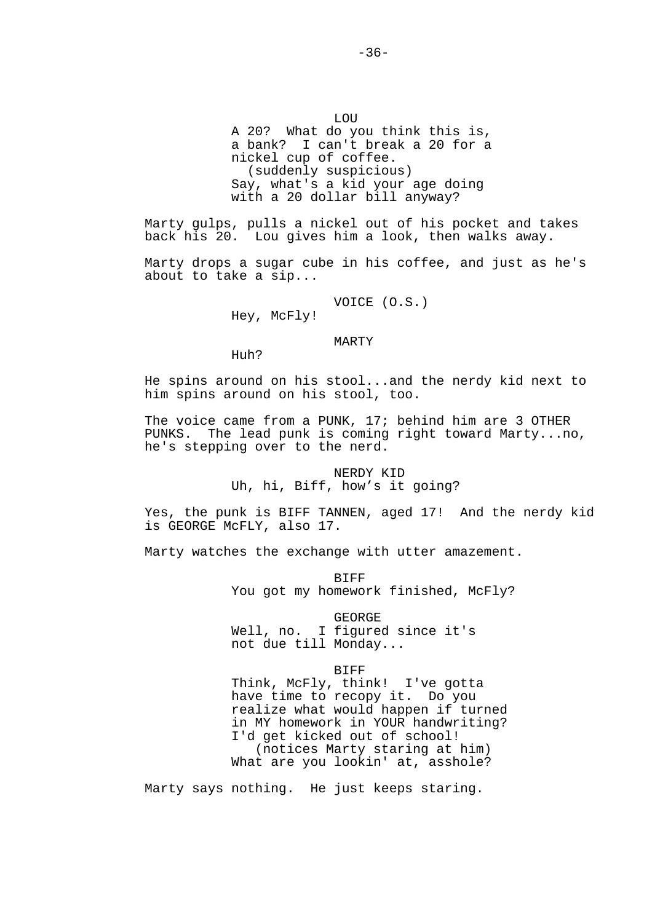LOU A 20? What do you think this is, a bank? I can't break a 20 for a nickel cup of coffee. (suddenly suspicious) Say, what's a kid your age doing with a 20 dollar bill anyway?

Marty gulps, pulls a nickel out of his pocket and takes back his 20. Lou gives him a look, then walks away.

Marty drops a sugar cube in his coffee, and just as he's about to take a sip...

VOICE (O.S.)

Hey, McFly!

MARTY

Huh?

He spins around on his stool...and the nerdy kid next to him spins around on his stool, too.

The voice came from a PUNK, 17; behind him are 3 OTHER PUNKS. The lead punk is coming right toward Marty...no, he's stepping over to the nerd.

> NERDY KID Uh, hi, Biff, how's it going?

Yes, the punk is BIFF TANNEN, aged 17! And the nerdy kid is GEORGE McFLY, also 17.

Marty watches the exchange with utter amazement.

 BIFF You got my homework finished, McFly?

 GEORGE Well, no. I figured since it's not due till Monday...

**BIFF** 

 Think, McFly, think! I've gotta have time to recopy it. Do you realize what would happen if turned in MY homework in YOUR handwriting? I'd get kicked out of school! (notices Marty staring at him) What are you lookin' at, asshole?

Marty says nothing. He just keeps staring.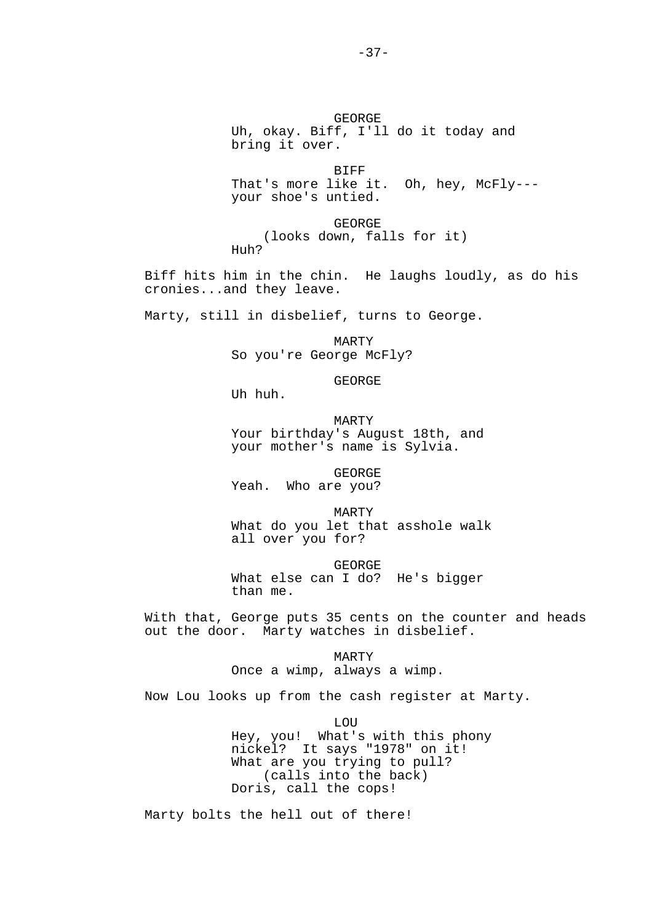GEORGE Uh, okay. Biff, I'll do it today and bring it over.

 BIFF That's more like it. Oh, hey, McFly--your shoe's untied.

 GEORGE (looks down, falls for it) Huh?

Biff hits him in the chin. He laughs loudly, as do his cronies...and they leave.

Marty, still in disbelief, turns to George.

 MARTY So you're George McFly?

GEORGE

Uh huh.

 MARTY Your birthday's August 18th, and your mother's name is Sylvia.

 GEORGE Yeah. Who are you?

 MARTY What do you let that asshole walk all over you for?

 GEORGE What else can I do? He's bigger than me.

With that, George puts 35 cents on the counter and heads out the door. Marty watches in disbelief.

> MARTY Once a wimp, always a wimp.

Now Lou looks up from the cash register at Marty.

 LOU Hey, you! What's with this phony nickel? It says "1978" on it! What are you trying to pull? (calls into the back) Doris, call the cops!

Marty bolts the hell out of there!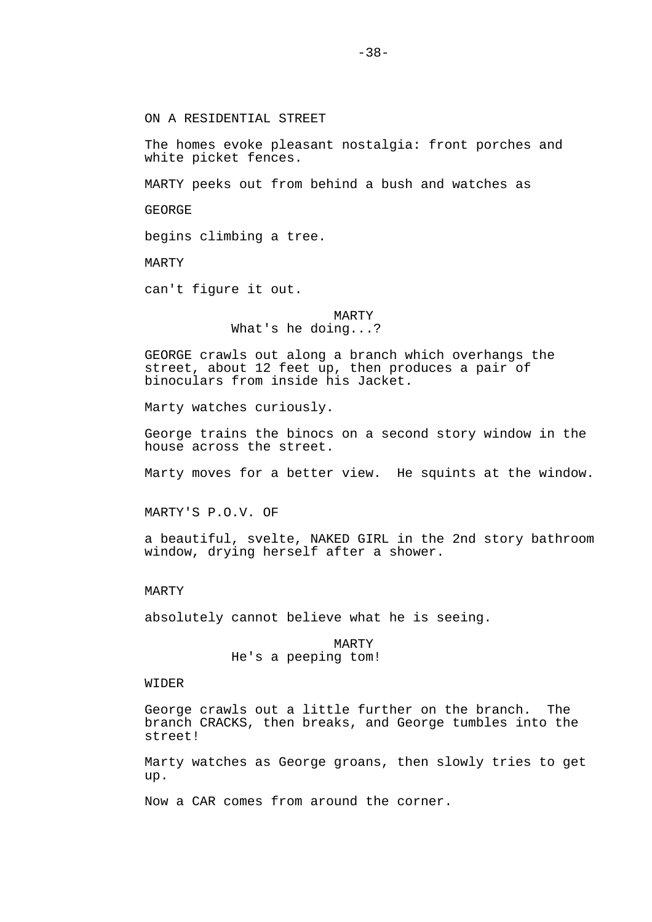ON A RESIDENTIAL STREET

The homes evoke pleasant nostalgia: front porches and white picket fences.

MARTY peeks out from behind a bush and watches as

GEORGE

begins climbing a tree.

MARTY

can't figure it out.

 MARTY What's he doing...?

GEORGE crawls out along a branch which overhangs the street, about 12 feet up, then produces a pair of binoculars from inside his Jacket.

Marty watches curiously.

George trains the binocs on a second story window in the house across the street.

Marty moves for a better view. He squints at the window.

MARTY'S P.O.V. OF

a beautiful, svelte, NAKED GIRL in the 2nd story bathroom window, drying herself after a shower.

### MARTY

absolutely cannot believe what he is seeing.

 MARTY He's a peeping tom!

## WIDER

George crawls out a little further on the branch. The branch CRACKS, then breaks, and George tumbles into the street!

Marty watches as George groans, then slowly tries to get up.

Now a CAR comes from around the corner.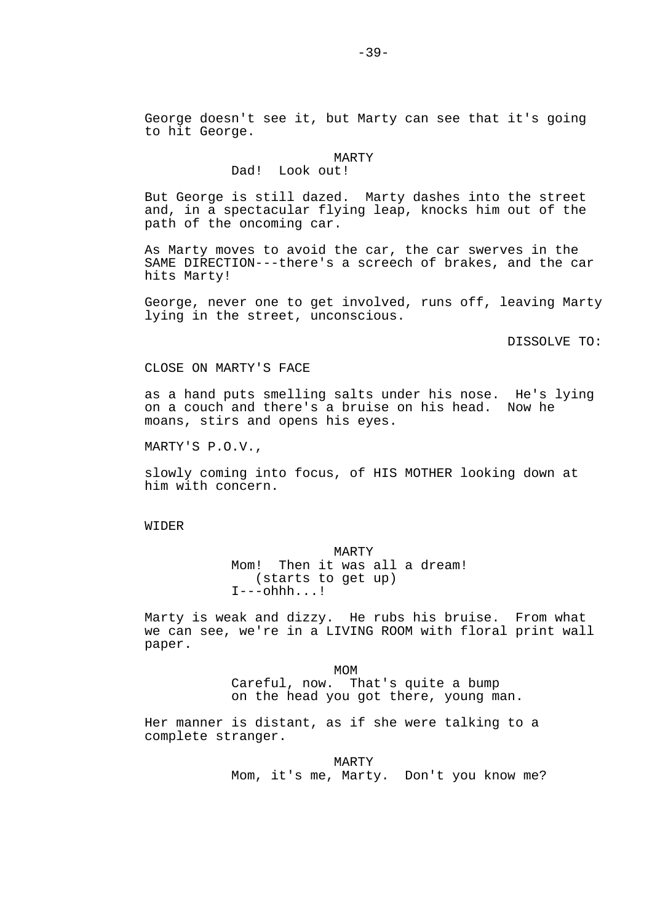### MARTY

# Dad! Look out!

But George is still dazed. Marty dashes into the street and, in a spectacular flying leap, knocks him out of the path of the oncoming car.

As Marty moves to avoid the car, the car swerves in the SAME DIRECTION---there's a screech of brakes, and the car hits Marty!

George, never one to get involved, runs off, leaving Marty lying in the street, unconscious.

DISSOLVE TO:

## CLOSE ON MARTY'S FACE

as a hand puts smelling salts under his nose. He's lying on a couch and there's a bruise on his head. Now he moans, stirs and opens his eyes.

MARTY'S P.O.V.,

slowly coming into focus, of HIS MOTHER looking down at him with concern.

# WIDER

# MARTY

 Mom! Then it was all a dream! (starts to get up)  $I---ohhh...!$ 

Marty is weak and dizzy. He rubs his bruise. From what we can see, we're in a LIVING ROOM with floral print wall paper.

MOM<sup>N</sup> Careful, now. That's quite a bump on the head you got there, young man.

Her manner is distant, as if she were talking to a complete stranger.

> MARTY Mom, it's me, Marty. Don't you know me?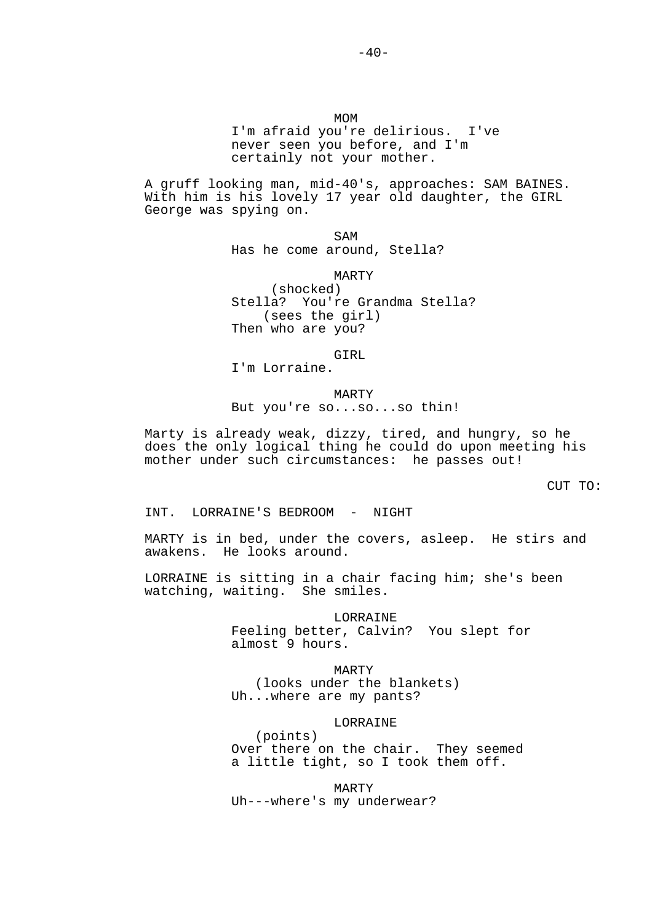MOM<sup>N</sup> I'm afraid you're delirious. I've never seen you before, and I'm certainly not your mother.

A gruff looking man, mid-40's, approaches: SAM BAINES. With him is his lovely 17 year old daughter, the GIRL George was spying on.

**SAM** Has he come around, Stella?

> MARTY (shocked) Stella? You're Grandma Stella? (sees the girl) Then who are you?

> > GIRL

I'm Lorraine.

 MARTY But you're so...so...so thin!

Marty is already weak, dizzy, tired, and hungry, so he does the only logical thing he could do upon meeting his mother under such circumstances: he passes out!

CUT TO:

INT. LORRAINE'S BEDROOM - NIGHT

MARTY is in bed, under the covers, asleep. He stirs and awakens. He looks around.

LORRAINE is sitting in a chair facing him; she's been watching, waiting. She smiles.

> LORRAINE Feeling better, Calvin? You slept for almost 9 hours.

 MARTY (looks under the blankets) Uh...where are my pants?

## LORRAINE

 (points) Over there on the chair. They seemed a little tight, so I took them off.

 MARTY Uh---where's my underwear?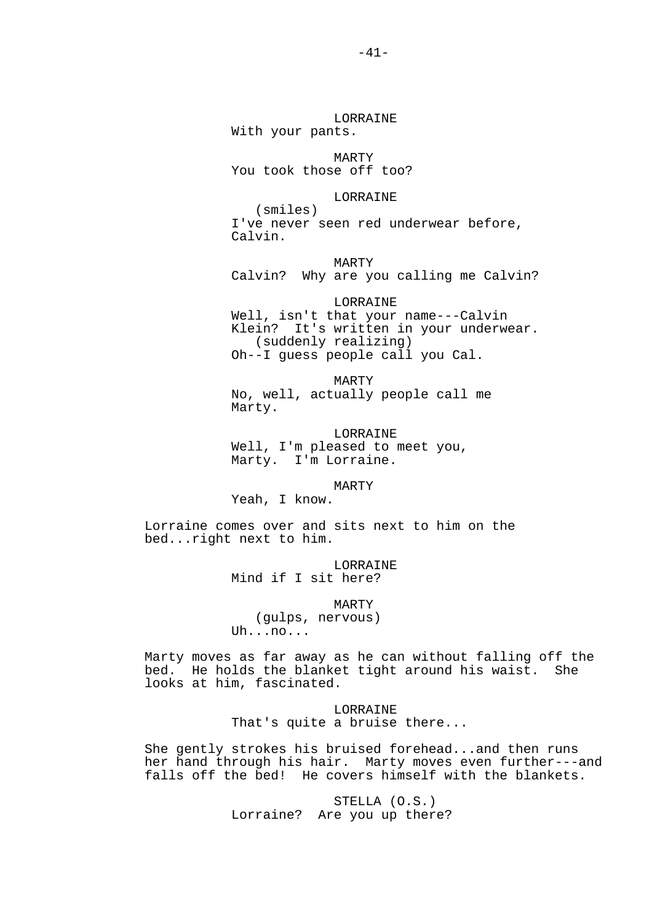# LORRAINE

With your pants.

MARTY

You took those off too?

# LORRAINE

 (smiles) I've never seen red underwear before, Calvin.

MARTY

Calvin? Why are you calling me Calvin?

LORRAINE

 Well, isn't that your name---Calvin Klein? It's written in your underwear. (suddenly realizing) Oh--I guess people call you Cal.

 MARTY No, well, actually people call me Marty.

**LORRAINE** 

 Well, I'm pleased to meet you, Marty. I'm Lorraine.

MARTY

Yeah, I know.

Lorraine comes over and sits next to him on the bed...right next to him.

> LORRAINE Mind if I sit here?

 MARTY (gulps, nervous) Uh...no...

Marty moves as far away as he can without falling off the bed. He holds the blanket tight around his waist. She looks at him, fascinated.

> LORRAINE That's quite a bruise there...

She gently strokes his bruised forehead...and then runs her hand through his hair. Marty moves even further---and falls off the bed! He covers himself with the blankets.

> STELLA (O.S.) Lorraine? Are you up there?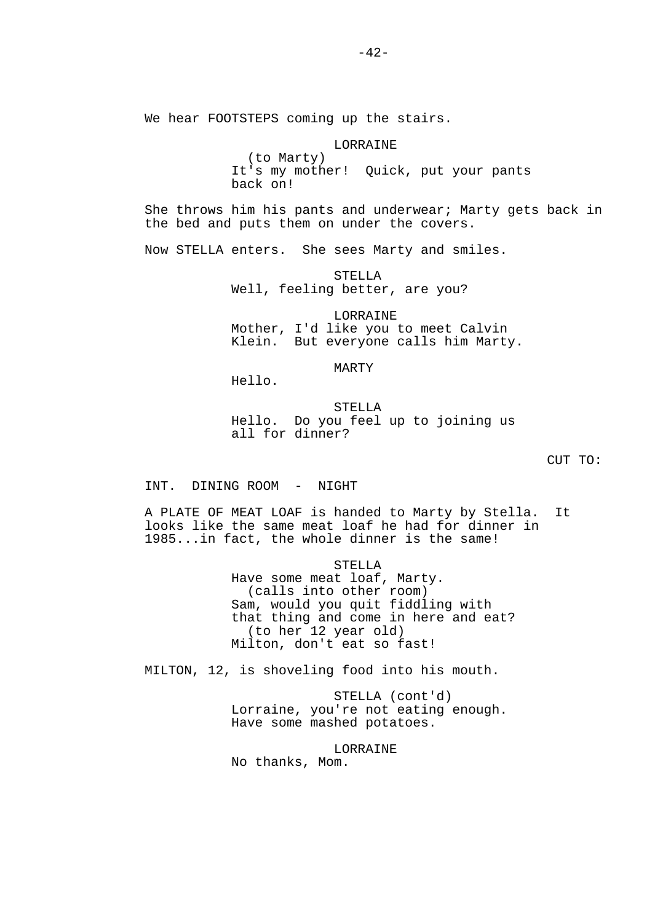We hear FOOTSTEPS coming up the stairs.

 LORRAINE (to Marty) It's my mother! Quick, put your pants back on!

She throws him his pants and underwear; Marty gets back in the bed and puts them on under the covers.

Now STELLA enters. She sees Marty and smiles.

 STELLA Well, feeling better, are you?

 LORRAINE Mother, I'd like you to meet Calvin Klein. But everyone calls him Marty.

MARTY

Hello.

 STELLA Hello. Do you feel up to joining us all for dinner?

CUT TO:

INT. DINING ROOM - NIGHT

A PLATE OF MEAT LOAF is handed to Marty by Stella. It looks like the same meat loaf he had for dinner in 1985...in fact, the whole dinner is the same!

> STELLA Have some meat loaf, Marty. (calls into other room) Sam, would you quit fiddling with that thing and come in here and eat? (to her 12 year old) Milton, don't eat so fast!

MILTON, 12, is shoveling food into his mouth.

 STELLA (cont'd) Lorraine, you're not eating enough. Have some mashed potatoes.

 LORRAINE No thanks, Mom.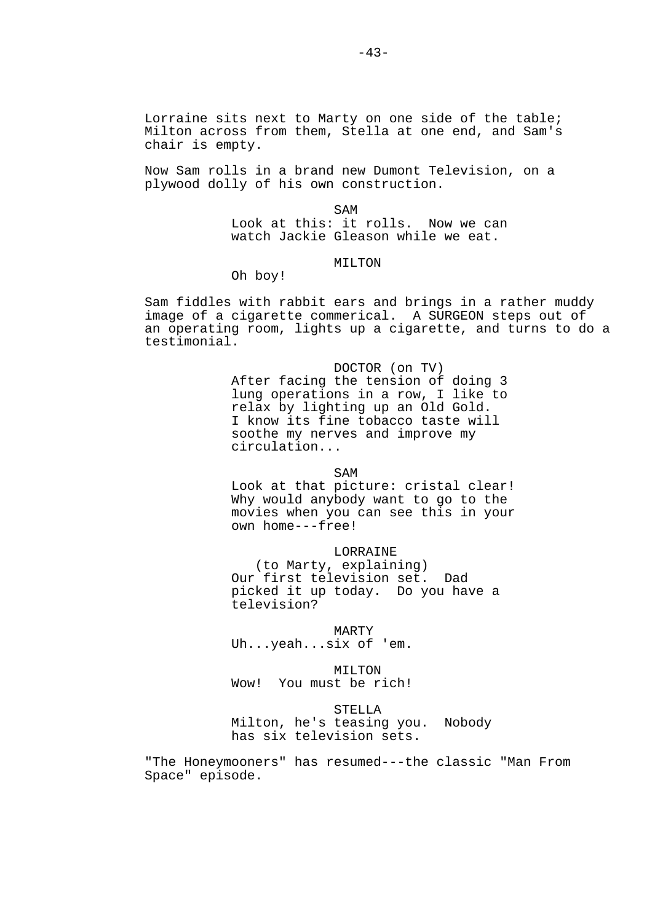Now Sam rolls in a brand new Dumont Television, on a plywood dolly of his own construction.

**SAM**  Look at this: it rolls. Now we can watch Jackie Gleason while we eat.

# MTI.TON

Oh boy!

Sam fiddles with rabbit ears and brings in a rather muddy image of a cigarette commerical. A SURGEON steps out of an operating room, lights up a cigarette, and turns to do a testimonial.

> DOCTOR (on TV) After facing the tension of doing 3 lung operations in a row, I like to relax by lighting up an Old Gold. I know its fine tobacco taste will soothe my nerves and improve my circulation...

**SAM** 

 Look at that picture: cristal clear! Why would anybody want to go to the movies when you can see this in your own home---free!

LORRAINE

 (to Marty, explaining) Our first television set. Dad picked it up today. Do you have a television?

 MARTY Uh...yeah...six of 'em.

MTI.TON Wow! You must be rich!

 STELLA Milton, he's teasing you. Nobody has six television sets.

"The Honeymooners" has resumed---the classic "Man From Space" episode.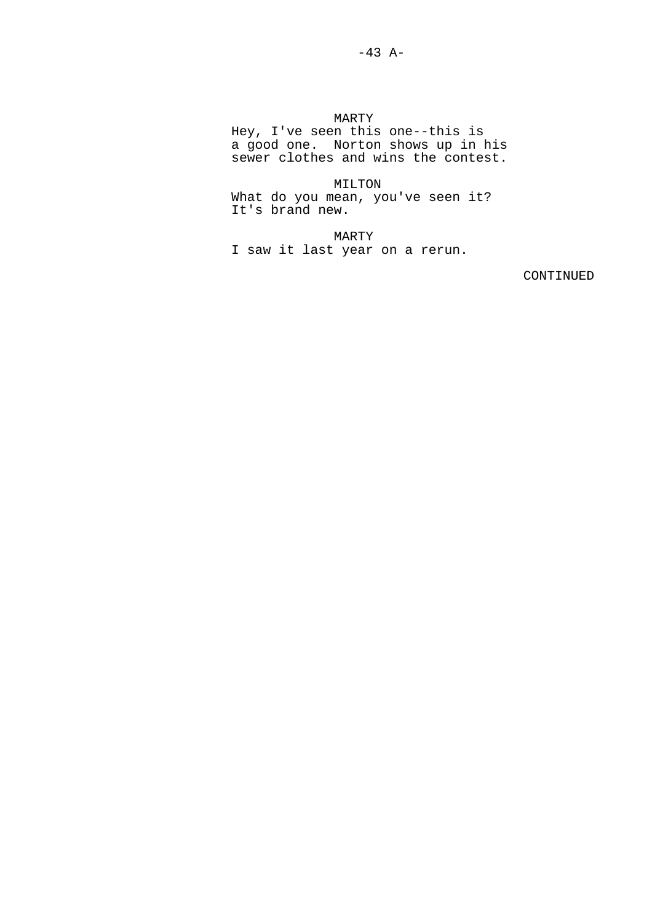MARTY

 Hey, I've seen this one--this is a good one. Norton shows up in his sewer clothes and wins the contest.

> MILTON What do you mean, you've seen it? It's brand new.

 MARTY I saw it last year on a rerun.

CONTINUED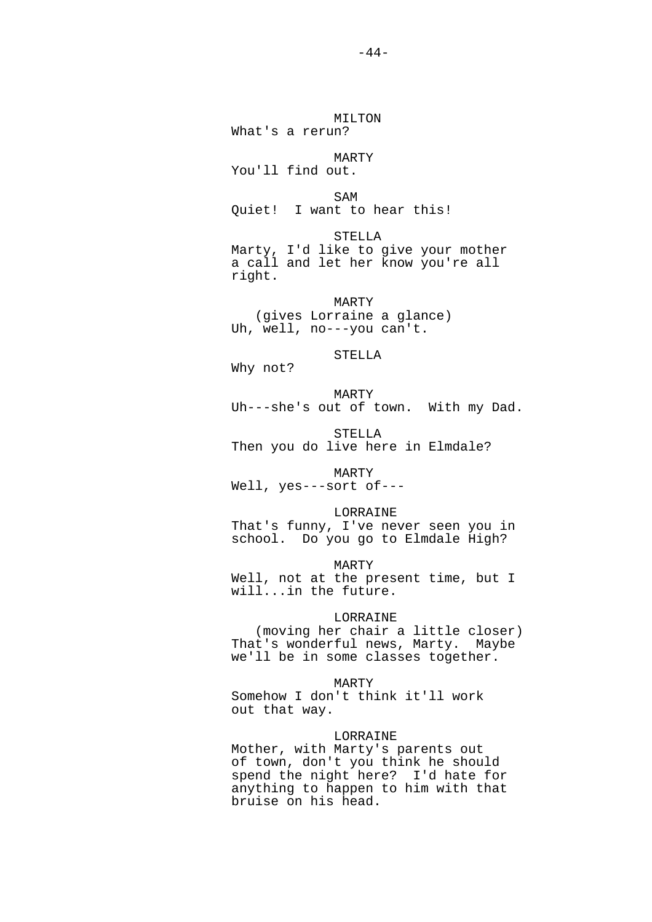MILTON What's a rerun? MARTY You'll find out. **SAM**  Quiet! I want to hear this! STELLA Marty, I'd like to give your mother a call and let her know you're all right. MARTY (gives Lorraine a glance) Uh, well, no---you can't. STELLA Why not? MARTY Uh---she's out of town. With my Dad. STELLA Then you do live here in Elmdale? MARTY Well, yes---sort of--- LORRAINE That's funny, I've never seen you in school. Do you go to Elmdale High? MARTY Well, not at the present time, but I will...in the future. LORRAINE (moving her chair a little closer) That's wonderful news, Marty. Maybe we'll be in some classes together. MARTY Somehow I don't think it'll work out that way.

# LORRAINE

 Mother, with Marty's parents out of town, don't you think he should spend the night here? I'd hate for anything to happen to him with that bruise on his head.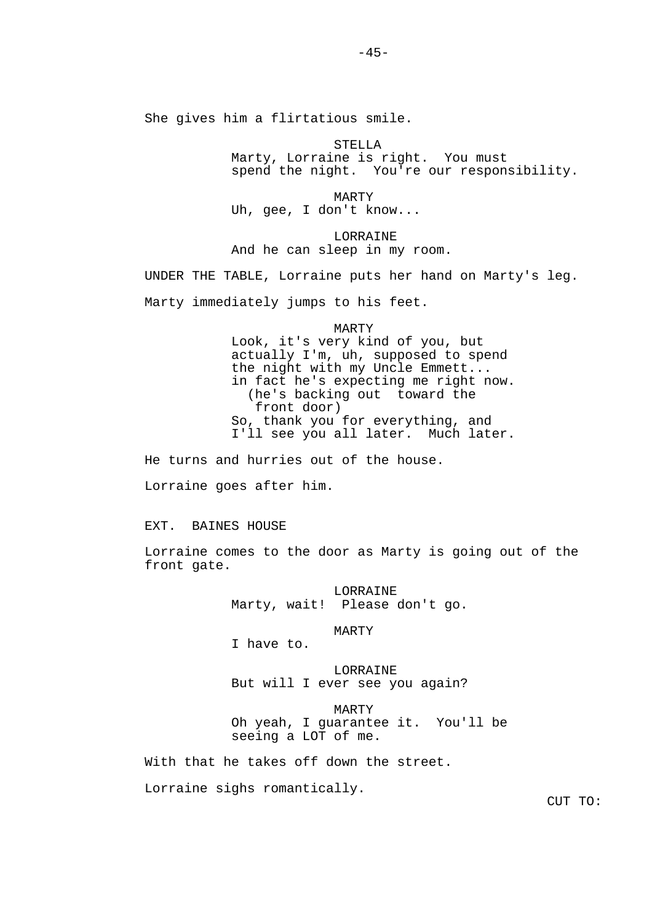She gives him a flirtatious smile.

 STELLA Marty, Lorraine is right. You must spend the night. You're our responsibility.

 MARTY Uh, gee, I don't know...

 LORRAINE And he can sleep in my room.

UNDER THE TABLE, Lorraine puts her hand on Marty's leg.

Marty immediately jumps to his feet.

MARTY

 Look, it's very kind of you, but actually I'm, uh, supposed to spend the night with my Uncle Emmett... in fact he's expecting me right now. (he's backing out toward the front door) So, thank you for everything, and I'll see you all later. Much later.

He turns and hurries out of the house.

Lorraine goes after him.

EXT. BAINES HOUSE

Lorraine comes to the door as Marty is going out of the front gate.

> LORRAINE Marty, wait! Please don't go.

> > MARTY

I have to.

 LORRAINE But will I ever see you again?

 MARTY Oh yeah, I guarantee it. You'll be seeing a LOT of me.

With that he takes off down the street.

Lorraine sighs romantically.

CUT TO: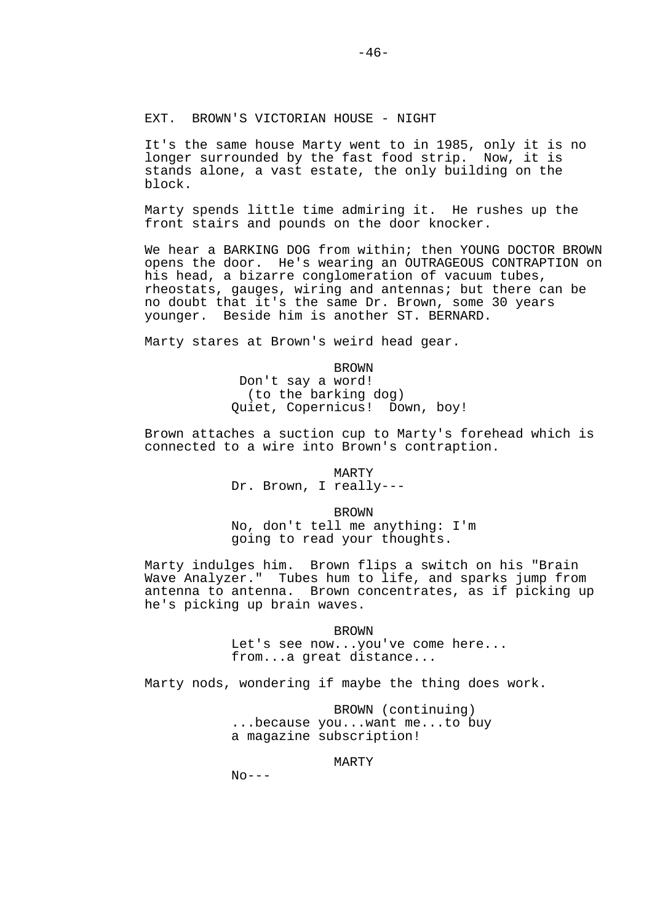It's the same house Marty went to in 1985, only it is no longer surrounded by the fast food strip. Now, it is stands alone, a vast estate, the only building on the block.

Marty spends little time admiring it. He rushes up the front stairs and pounds on the door knocker.

We hear a BARKING DOG from within; then YOUNG DOCTOR BROWN opens the door. He's wearing an OUTRAGEOUS CONTRAPTION on his head, a bizarre conglomeration of vacuum tubes, rheostats, gauges, wiring and antennas; but there can be no doubt that it's the same Dr. Brown, some 30 years younger. Beside him is another ST. BERNARD.

Marty stares at Brown's weird head gear.

 BROWN Don't say a word! (to the barking dog) Quiet, Copernicus! Down, boy!

Brown attaches a suction cup to Marty's forehead which is connected to a wire into Brown's contraption.

> MARTY Dr. Brown, I really---

> > BROWN

 No, don't tell me anything: I'm going to read your thoughts.

Marty indulges him. Brown flips a switch on his "Brain Wave Analyzer." Tubes hum to life, and sparks jump from antenna to antenna. Brown concentrates, as if picking up he's picking up brain waves.

BROWN

 Let's see now...you've come here... from...a great distance...

Marty nods, wondering if maybe the thing does work.

 BROWN (continuing) ...because you...want me...to buy a magazine subscription!

MARTY

 $N_O---$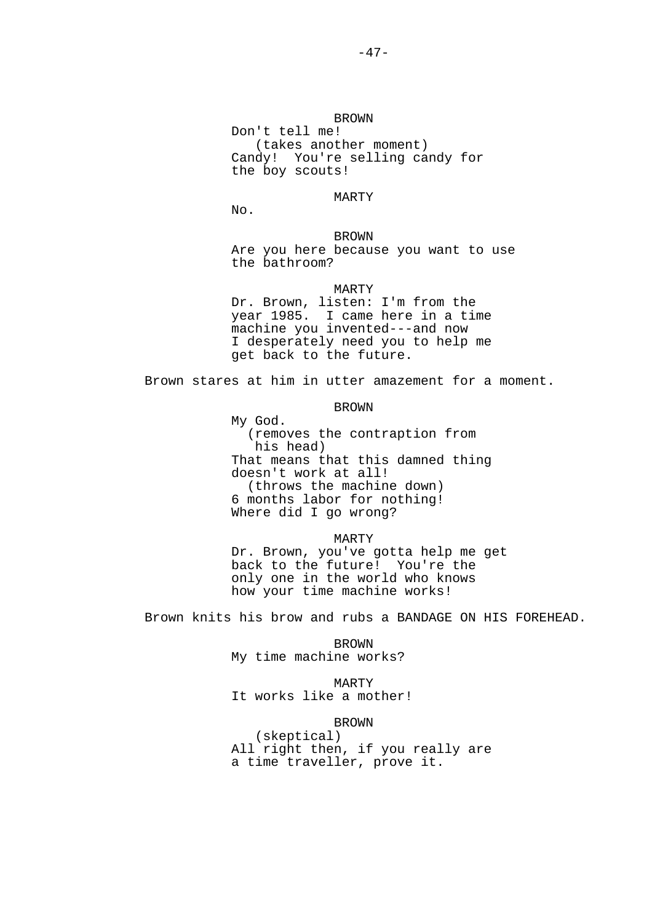# MARTY

No.

## BROWN

 Are you here because you want to use the bathroom?

### MARTY

 Dr. Brown, listen: I'm from the year 1985. I came here in a time machine you invented---and now I desperately need you to help me get back to the future.

Brown stares at him in utter amazement for a moment.

# BROWN

 My God. (removes the contraption from his head) That means that this damned thing doesn't work at all! (throws the machine down) 6 months labor for nothing! Where did I go wrong?

## MARTY

 Dr. Brown, you've gotta help me get back to the future! You're the only one in the world who knows how your time machine works!

Brown knits his brow and rubs a BANDAGE ON HIS FOREHEAD.

 BROWN My time machine works?

 MARTY It works like a mother!

# BROWN

 (skeptical) All right then, if you really are a time traveller, prove it.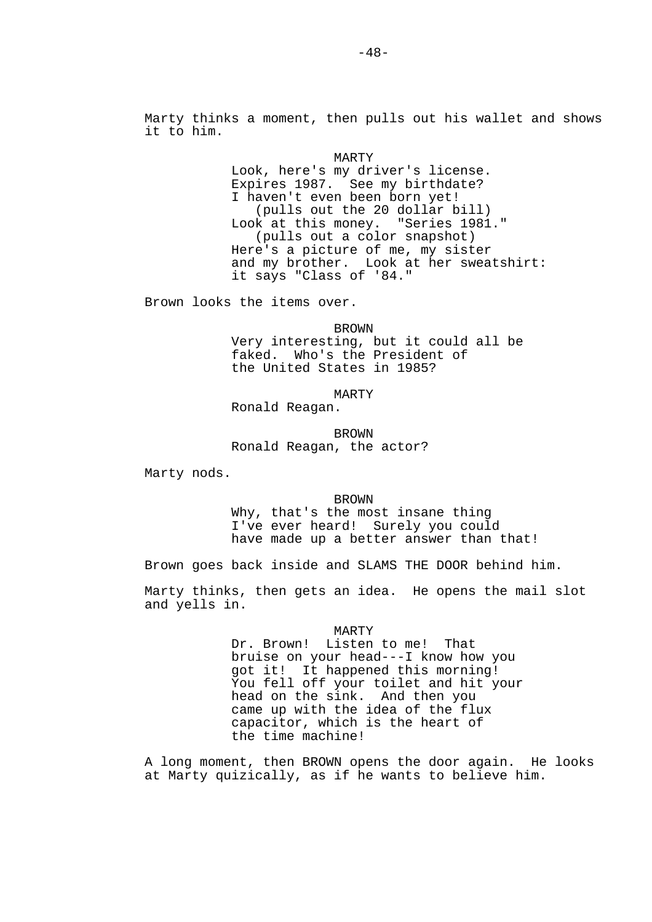Marty thinks a moment, then pulls out his wallet and shows it to him.

> MARTY Look, here's my driver's license. Expires 1987. See my birthdate? I haven't even been born yet! (pulls out the 20 dollar bill) Look at this money. "Series 1981." (pulls out a color snapshot) Here's a picture of me, my sister and my brother. Look at her sweatshirt: it says "Class of '84."

Brown looks the items over.

 BROWN Very interesting, but it could all be faked. Who's the President of the United States in 1985?

MARTY

Ronald Reagan.

 BROWN Ronald Reagan, the actor?

Marty nods.

**BROWN** 

 Why, that's the most insane thing I've ever heard! Surely you could have made up a better answer than that!

Brown goes back inside and SLAMS THE DOOR behind him.

Marty thinks, then gets an idea. He opens the mail slot and yells in.

MARTY

 Dr. Brown! Listen to me! That bruise on your head---I know how you got it! It happened this morning! You fell off your toilet and hit your head on the sink. And then you came up with the idea of the flux capacitor, which is the heart of the time machine!

A long moment, then BROWN opens the door again. He looks at Marty quizically, as if he wants to believe him.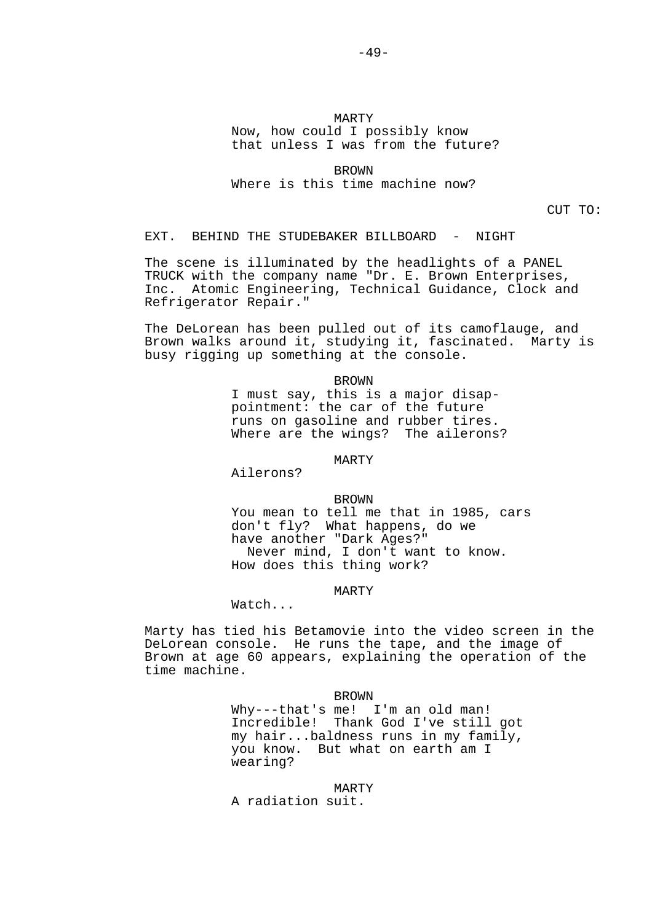# MARTY Now, how could I possibly know that unless I was from the future?

 BROWN Where is this time machine now?

CUT TO:

EXT. BEHIND THE STUDEBAKER BILLBOARD - NIGHT

The scene is illuminated by the headlights of a PANEL TRUCK with the company name "Dr. E. Brown Enterprises, Inc. Atomic Engineering, Technical Guidance, Clock and Refrigerator Repair."

The DeLorean has been pulled out of its camoflauge, and Brown walks around it, studying it, fascinated. Marty is busy rigging up something at the console.

> BROWN I must say, this is a major disap pointment: the car of the future runs on gasoline and rubber tires. Where are the wings? The ailerons?

> > MARTY

Ailerons?

BROWN

 You mean to tell me that in 1985, cars don't fly? What happens, do we have another "Dark Ages?" Never mind, I don't want to know. How does this thing work?

MARTY

Watch...

Marty has tied his Betamovie into the video screen in the DeLorean console. He runs the tape, and the image of Brown at age 60 appears, explaining the operation of the time machine.

BROWN

 Why---that's me! I'm an old man! Incredible! Thank God I've still got my hair...baldness runs in my family, you know. But what on earth am I wearing?

 MARTY A radiation suit.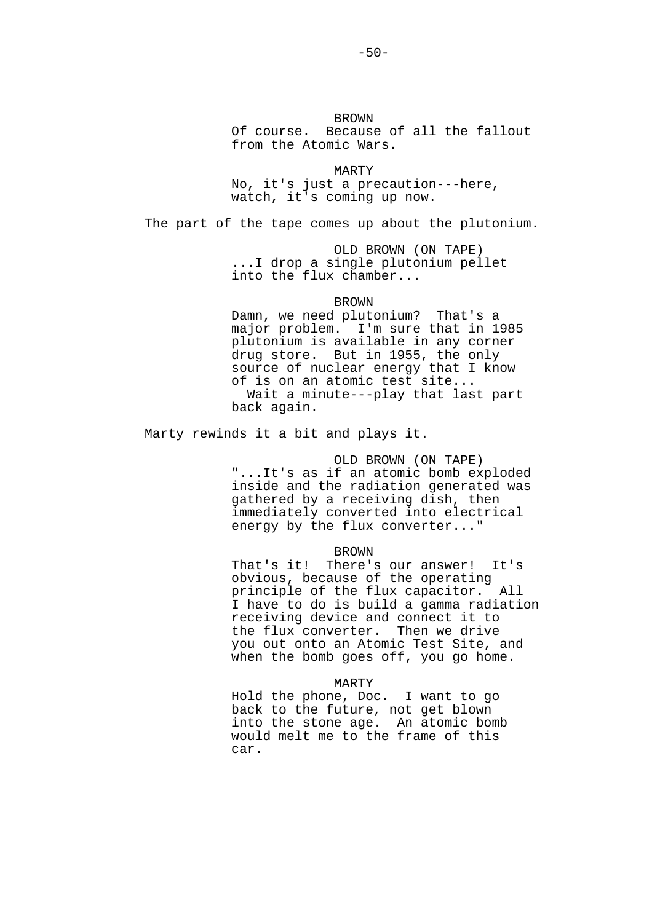**BROWN**  Of course. Because of all the fallout from the Atomic Wars.

 MARTY No, it's just a precaution---here, watch, it's coming up now.

The part of the tape comes up about the plutonium.

 OLD BROWN (ON TAPE) ...I drop a single plutonium pellet into the flux chamber...

**BROWN** 

 Damn, we need plutonium? That's a major problem. I'm sure that in 1985 plutonium is available in any corner drug store. But in 1955, the only source of nuclear energy that I know of is on an atomic test site... Wait a minute---play that last part back again.

Marty rewinds it a bit and plays it.

# OLD BROWN (ON TAPE)

 "...It's as if an atomic bomb exploded inside and the radiation generated was gathered by a receiving dish, then immediately converted into electrical energy by the flux converter..."

## BROWN

 That's it! There's our answer! It's obvious, because of the operating principle of the flux capacitor. All I have to do is build a gamma radiation receiving device and connect it to the flux converter. Then we drive you out onto an Atomic Test Site, and when the bomb goes off, you go home.

## MARTY

 Hold the phone, Doc. I want to go back to the future, not get blown into the stone age. An atomic bomb would melt me to the frame of this car.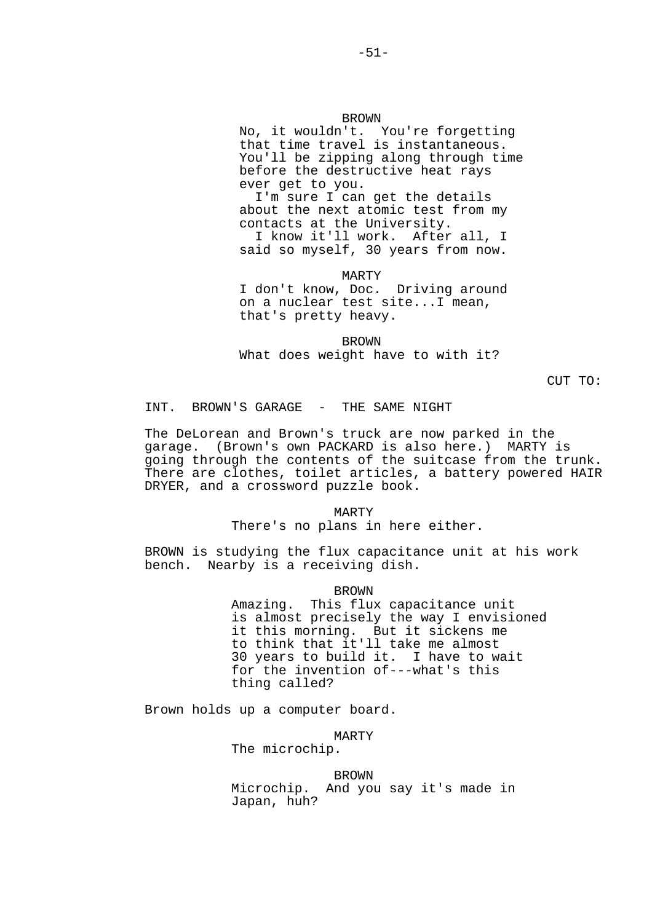No, it wouldn't. You're forgetting that time travel is instantaneous. You'll be zipping along through time before the destructive heat rays ever get to you.

 I'm sure I can get the details about the next atomic test from my contacts at the University. I know it'll work. After all, I

said so myself, 30 years from now.

 MARTY I don't know, Doc. Driving around on a nuclear test site...I mean, that's pretty heavy.

**BROWN** What does weight have to with it?

CUT TO:

INT. BROWN'S GARAGE - THE SAME NIGHT

The DeLorean and Brown's truck are now parked in the garage. (Brown's own PACKARD is also here.) MARTY is going through the contents of the suitcase from the trunk. There are clothes, toilet articles, a battery powered HAIR DRYER, and a crossword puzzle book.

#### MARTY

There's no plans in here either.

BROWN is studying the flux capacitance unit at his work bench. Nearby is a receiving dish.

### BROWN

 Amazing. This flux capacitance unit is almost precisely the way I envisioned it this morning. But it sickens me to think that it'll take me almost 30 years to build it. I have to wait for the invention of---what's this thing called?

Brown holds up a computer board.

#### MARTY

The microchip.

**BROWN**  Microchip. And you say it's made in Japan, huh?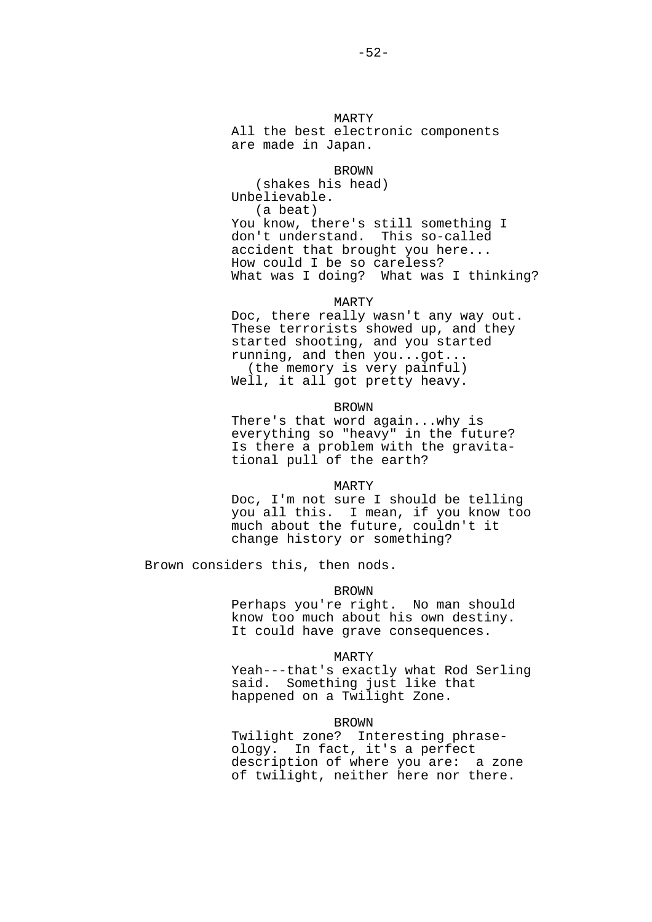MARTY All the best electronic components are made in Japan.

## BROWN

 (shakes his head) Unbelievable. (a beat) You know, there's still something I<br>don't understand. This so-called don't understand. accident that brought you here... How could I be so careless? What was I doing? What was I thinking?

MARTY

 Doc, there really wasn't any way out. These terrorists showed up, and they started shooting, and you started running, and then you...got... (the memory is very painful) Well, it all got pretty heavy.

### BROWN

 There's that word again...why is everything so "heavy" in the future? Is there a problem with the gravita tional pull of the earth?

#### MARTY

 Doc, I'm not sure I should be telling you all this. I mean, if you know too much about the future, couldn't it change history or something?

Brown considers this, then nods.

## BROWN

 Perhaps you're right. No man should know too much about his own destiny. It could have grave consequences.

#### MARTY

 Yeah---that's exactly what Rod Serling said. Something just like that happened on a Twilight Zone.

#### BROWN

 Twilight zone? Interesting phrase ology. In fact, it's a perfect description of where you are: a zone of twilight, neither here nor there.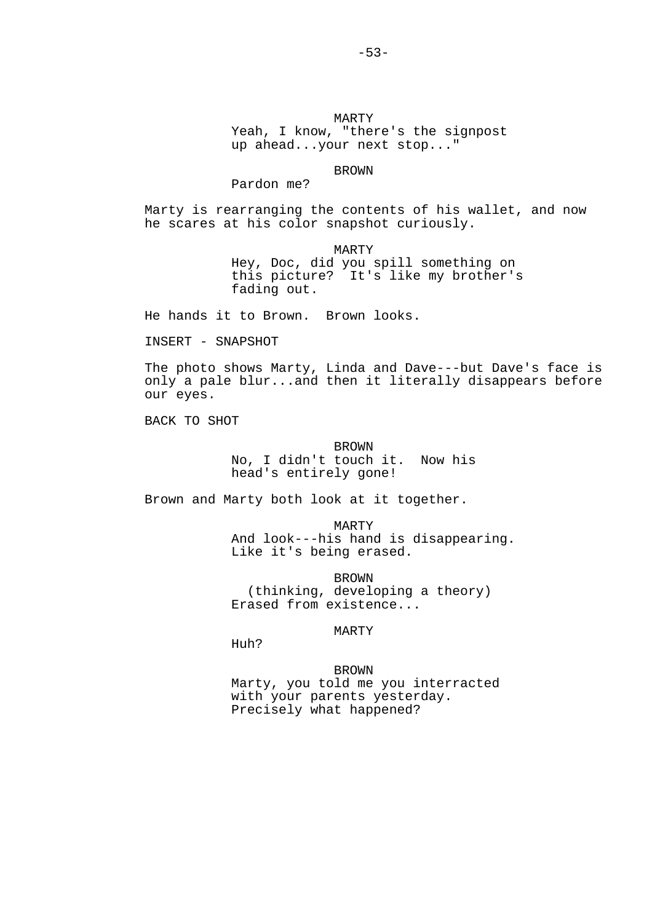MARTY Yeah, I know, "there's the signpost up ahead...your next stop..."

 BROWN Pardon me?

Marty is rearranging the contents of his wallet, and now he scares at his color snapshot curiously.

> MARTY Hey, Doc, did you spill something on this picture? It's like my brother's fading out.

He hands it to Brown. Brown looks.

INSERT - SNAPSHOT

The photo shows Marty, Linda and Dave---but Dave's face is only a pale blur...and then it literally disappears before our eyes.

BACK TO SHOT

# BROWN No, I didn't touch it. Now his head's entirely gone!

Brown and Marty both look at it together.

 MARTY And look---his hand is disappearing. Like it's being erased.

 BROWN (thinking, developing a theory) Erased from existence...

MARTY

Huh?

**BROWN**  Marty, you told me you interracted with your parents yesterday. Precisely what happened?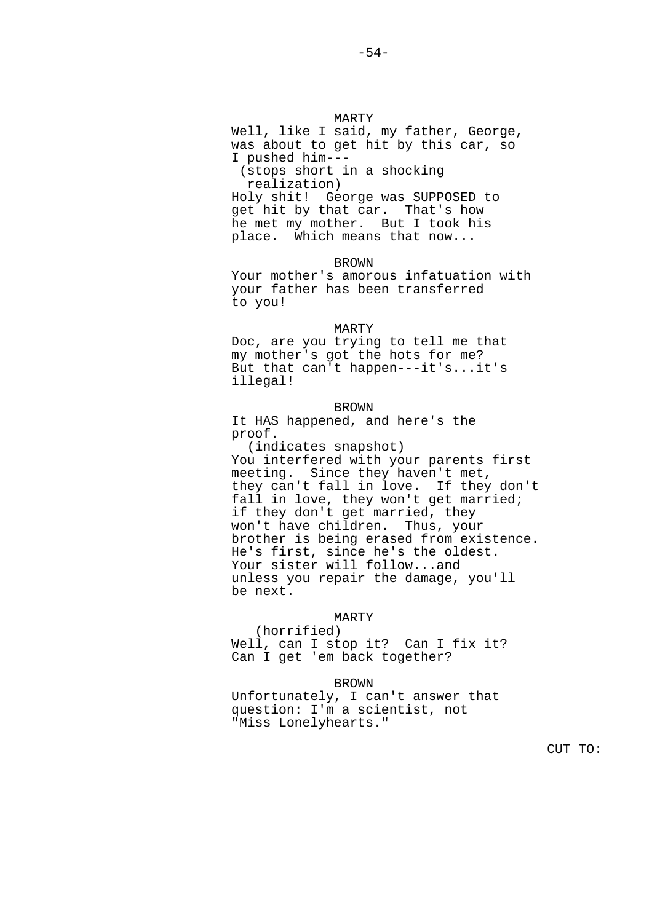MARTY Well, like I said, my father, George, was about to get hit by this car, so I pushed him--- (stops short in a shocking realization) Holy shit! George was SUPPOSED to get hit by that car. That's how he met my mother. But I took his place. Which means that now...

**BROWN**  Your mother's amorous infatuation with your father has been transferred to you!

 MARTY Doc, are you trying to tell me that my mother's got the hots for me? But that can't happen---it's...it's illegal!

 BROWN It HAS happened, and here's the proof.

 (indicates snapshot) You interfered with your parents first meeting. Since they haven't met, they can't fall in love. If they don't fall in love, they won't get married; if they don't get married, they won't have children. Thus, your brother is being erased from existence. He's first, since he's the oldest. Your sister will follow...and unless you repair the damage, you'll be next.

# MARTY

 (horrified) Well, can I stop it? Can I fix it? Can I get 'em back together?

# BROWN

 Unfortunately, I can't answer that question: I'm a scientist, not "Miss Lonelyhearts."

CUT TO: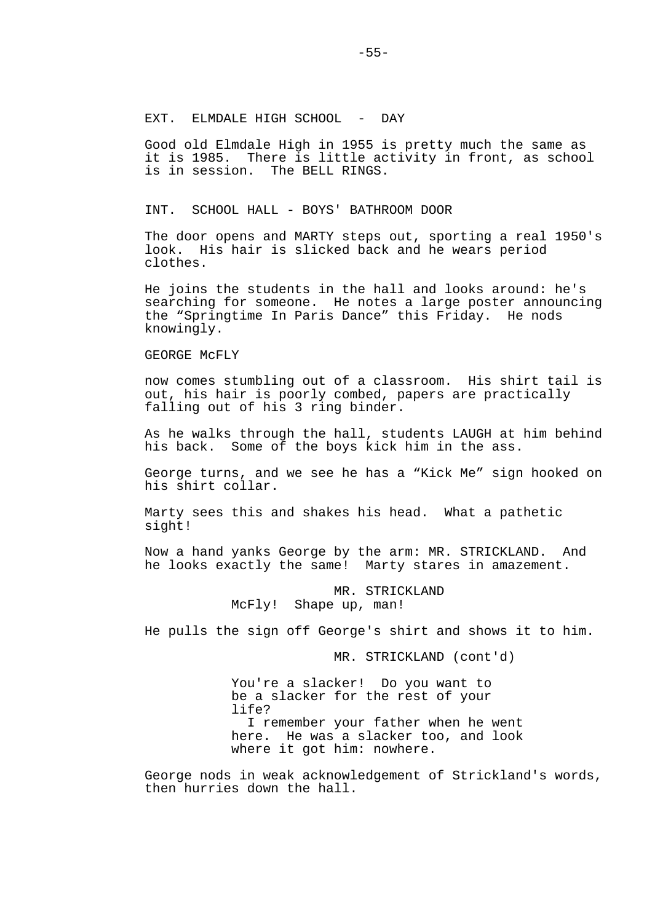# EXT. ELMDALE HIGH SCHOOL - DAY

Good old Elmdale High in 1955 is pretty much the same as it is 1985. There is little activity in front, as school is in session. The BELL RINGS.

INT. SCHOOL HALL - BOYS' BATHROOM DOOR

The door opens and MARTY steps out, sporting a real 1950's look. His hair is slicked back and he wears period clothes.

He joins the students in the hall and looks around: he's searching for someone. He notes a large poster announcing the "Springtime In Paris Dance" this Friday. He nods knowingly.

GEORGE McFLY

now comes stumbling out of a classroom. His shirt tail is out, his hair is poorly combed, papers are practically falling out of his 3 ring binder.

As he walks through the hall, students LAUGH at him behind his back. Some of the boys kick him in the ass.

George turns, and we see he has a "Kick Me" sign hooked on his shirt collar.

Marty sees this and shakes his head. What a pathetic sight!

Now a hand yanks George by the arm: MR. STRICKLAND. And he looks exactly the same! Marty stares in amazement.

> MR. STRICKLAND<br>McFly! Shape up, man! Shape up, man!

He pulls the sign off George's shirt and shows it to him.

MR. STRICKLAND (cont'd)

 You're a slacker! Do you want to be a slacker for the rest of your life? I remember your father when he went here. He was a slacker too, and look where it got him: nowhere.

George nods in weak acknowledgement of Strickland's words, then hurries down the hall.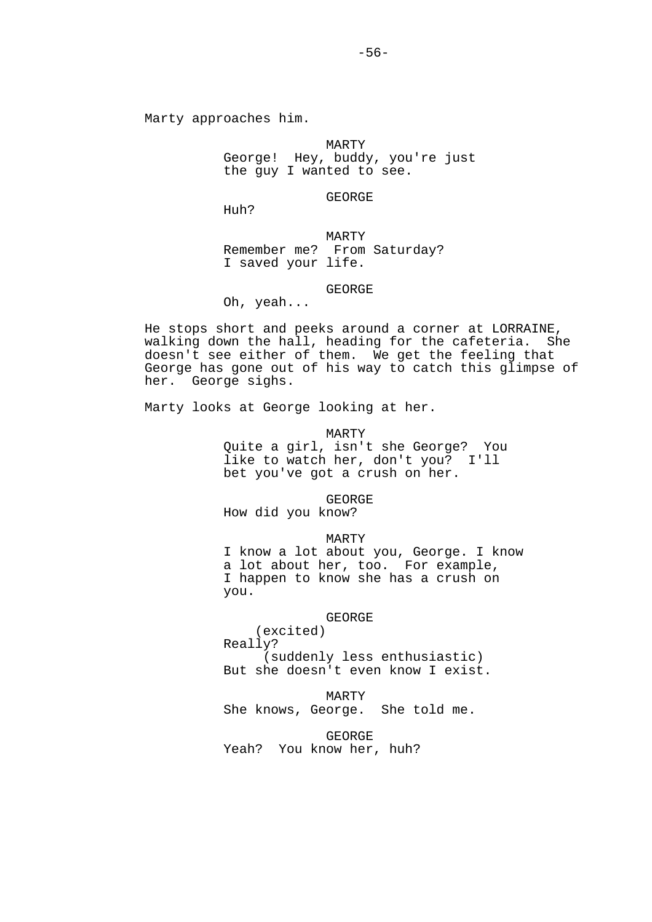MARTY George! Hey, buddy, you're just the guy I wanted to see.

GEORGE

Huh?

 MARTY Remember me? From Saturday? I saved your life.

GEORGE

Oh, yeah...

He stops short and peeks around a corner at LORRAINE, walking down the hall, heading for the cafeteria. She doesn't see either of them. We get the feeling that George has gone out of his way to catch this glimpse of her. George sighs.

Marty looks at George looking at her.

MARTY

 Quite a girl, isn't she George? You like to watch her, don't you? I'll bet you've got a crush on her.

GEORGE

How did you know?

MARTY

 I know a lot about you, George. I know a lot about her, too. For example, I happen to know she has a crush on you.

## GEORGE

 (excited) Really? (suddenly less enthusiastic) But she doesn't even know I exist.

MARTY

She knows, George. She told me.

GEORGE

Yeah? You know her, huh?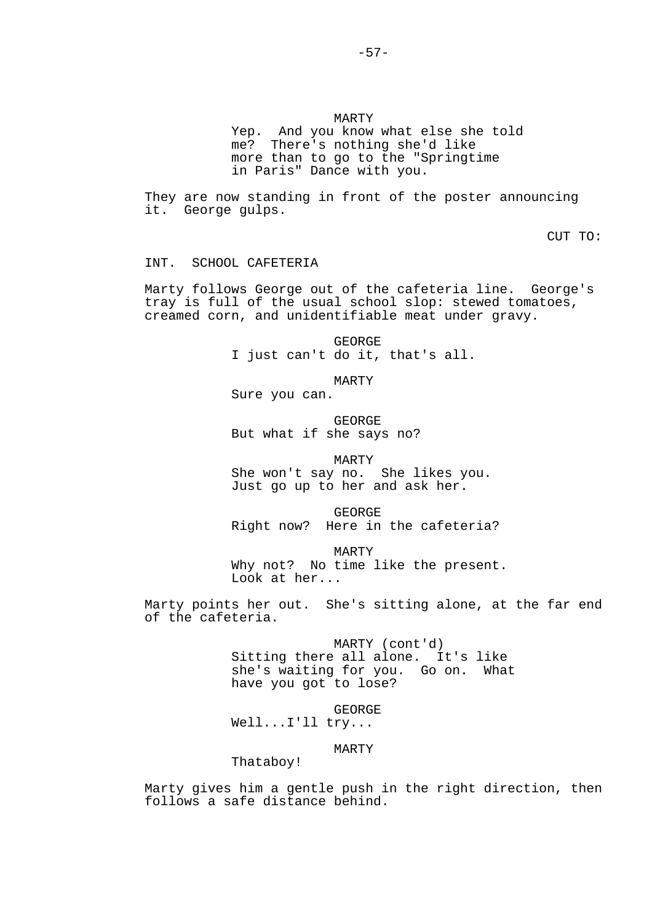Yep. And you know what else she told me? There's nothing she'd like more than to go to the "Springtime in Paris" Dance with you.

-57-

They are now standing in front of the poster announcing it. George gulps.

CUT TO:

INT. SCHOOL CAFETERIA

Marty follows George out of the cafeteria line. George's tray is full of the usual school slop: stewed tomatoes, creamed corn, and unidentifiable meat under gravy.

> GEORGE I just can't do it, that's all.

> > MARTY

Sure you can.

 GEORGE But what if she says no?

MARTY

 She won't say no. She likes you. Just go up to her and ask her.

 GEORGE Right now? Here in the cafeteria?

 MARTY Why not? No time like the present. Look at her...

Marty points her out. She's sitting alone, at the far end of the cafeteria.

> MARTY (cont'd) Sitting there all alone. It's like she's waiting for you. Go on. What have you got to lose?

 GEORGE Well...I'll try...

MARTY

Thataboy!

Marty gives him a gentle push in the right direction, then follows a safe distance behind.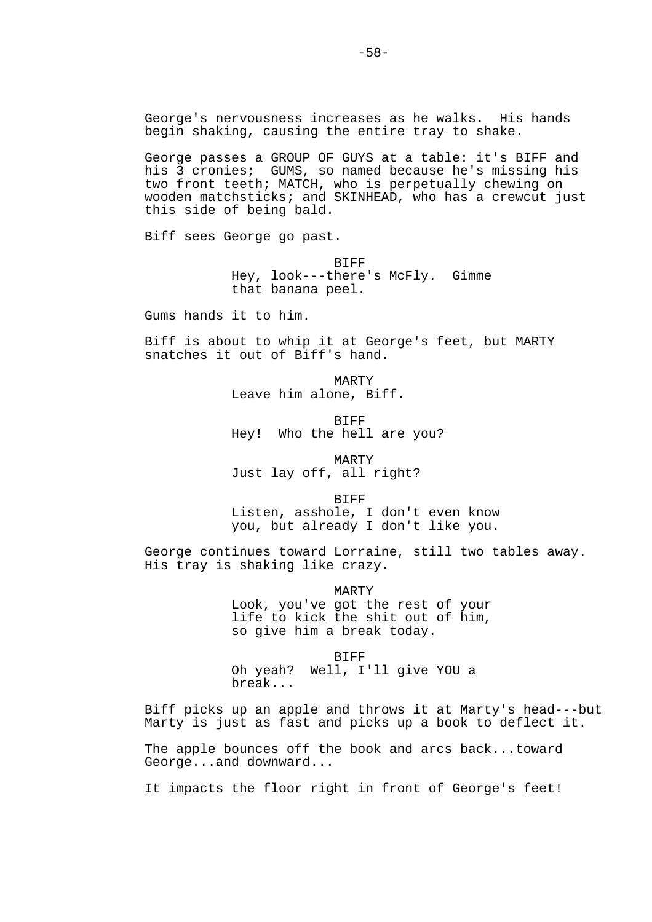George passes a GROUP OF GUYS at a table: it's BIFF and his 3 cronies; GUMS, so named because he's missing his two front teeth; MATCH, who is perpetually chewing on wooden matchsticks; and SKINHEAD, who has a crewcut just this side of being bald.

Biff sees George go past.

 BIFF Hey, look---there's McFly. Gimme that banana peel.

Gums hands it to him.

Biff is about to whip it at George's feet, but MARTY snatches it out of Biff's hand.

> MARTY Leave him alone, Biff.

**BIFF** Hey! Who the hell are you?

 MARTY Just lay off, all right?

**BIFF** 

 Listen, asshole, I don't even know you, but already I don't like you.

George continues toward Lorraine, still two tables away. His tray is shaking like crazy.

> MARTY Look, you've got the rest of your life to kick the shit out of him, so give him a break today.

 BIFF Oh yeah? Well, I'll give YOU a break...

Biff picks up an apple and throws it at Marty's head---but Marty is just as fast and picks up a book to deflect it.

The apple bounces off the book and arcs back...toward George...and downward...

It impacts the floor right in front of George's feet!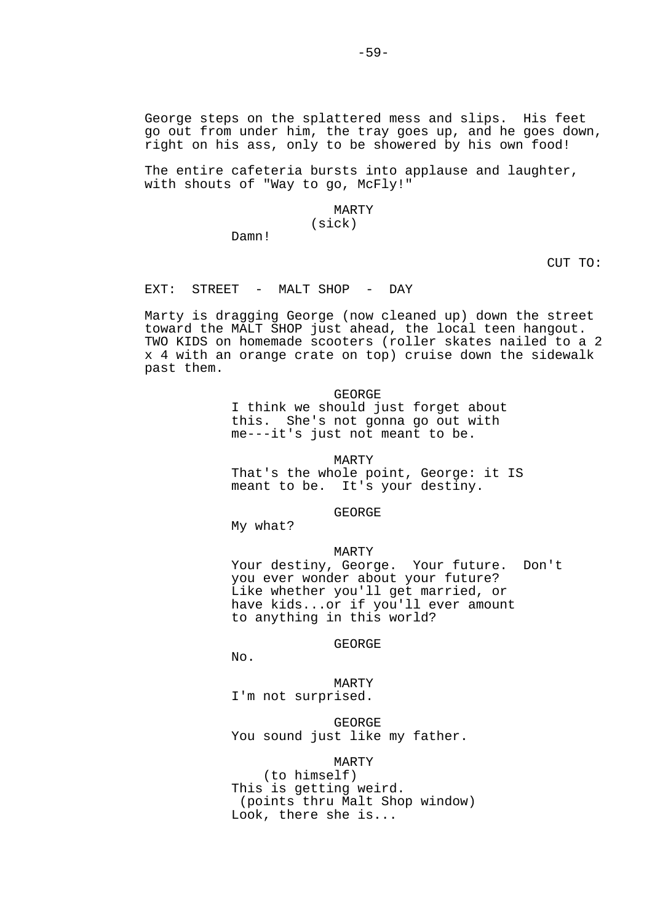The entire cafeteria bursts into applause and laughter, with shouts of "Way to go, McFly!"

## MARTY (sick)

Damn!

CUT TO:

EXT: STREET - MALT SHOP - DAY

Marty is dragging George (now cleaned up) down the street toward the MALT SHOP just ahead, the local teen hangout. TWO KIDS on homemade scooters (roller skates nailed to a 2 x 4 with an orange crate on top) cruise down the sidewalk past them.

GEORGE

 I think we should just forget about this. She's not gonna go out with me---it's just not meant to be.

MARTY

 That's the whole point, George: it IS meant to be. It's your destiny.

GEORGE

My what?

## MARTY

 Your destiny, George. Your future. Don't you ever wonder about your future? Like whether you'll get married, or have kids...or if you'll ever amount to anything in this world?

## GEORGE

No.

 MARTY I'm not surprised.

 GEORGE You sound just like my father.

# MARTY

 (to himself) This is getting weird. (points thru Malt Shop window) Look, there she is...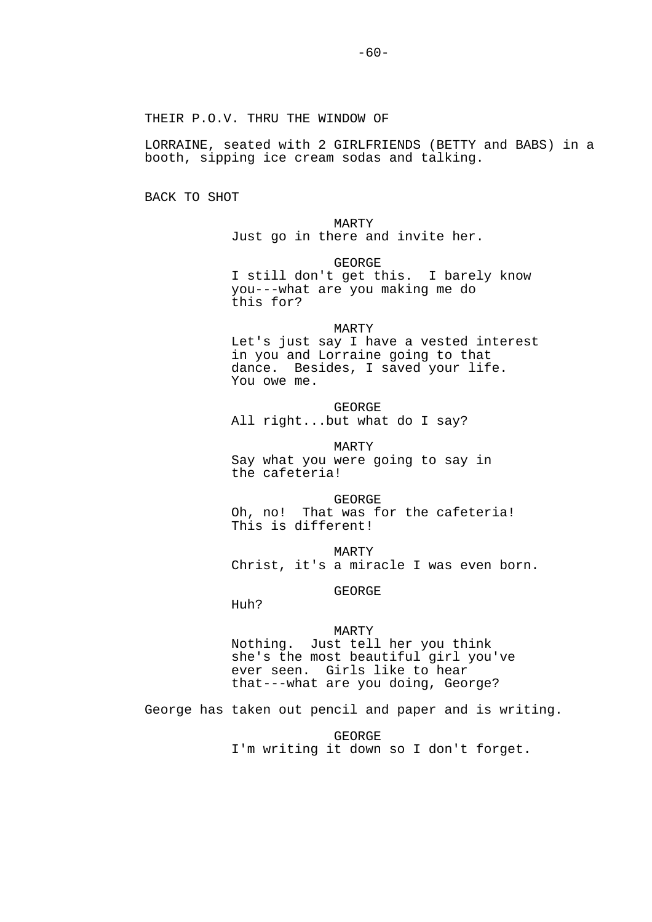THEIR P.O.V. THRU THE WINDOW OF

LORRAINE, seated with 2 GIRLFRIENDS (BETTY and BABS) in a booth, sipping ice cream sodas and talking.

BACK TO SHOT

 MARTY Just go in there and invite her.

 GEORGE I still don't get this. I barely know you---what are you making me do this for?

 MARTY Let's just say I have a vested interest in you and Lorraine going to that dance. Besides, I saved your life. You owe me.

 GEORGE All right...but what do I say?

 MARTY Say what you were going to say in the cafeteria!

 GEORGE Oh, no! That was for the cafeteria! This is different!

 MARTY Christ, it's a miracle I was even born.

GEORGE

Huh?

 MARTY Nothing. Just tell her you think she's the most beautiful girl you've ever seen. Girls like to hear that---what are you doing, George?

George has taken out pencil and paper and is writing.

 GEORGE I'm writing it down so I don't forget.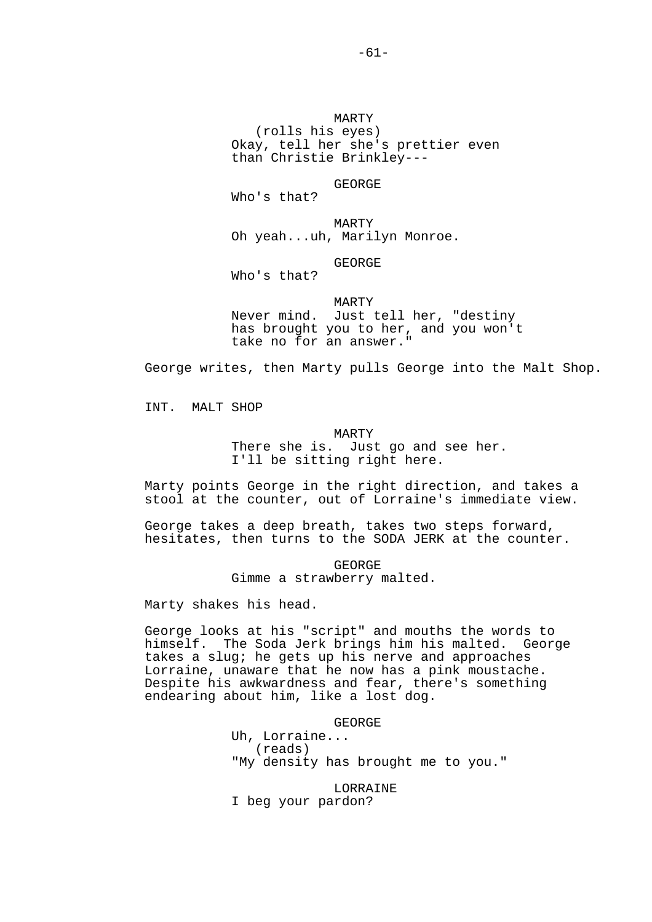MARTY (rolls his eyes) Okay, tell her she's prettier even than Christie Brinkley---

## GEORGE

Who's that?

 MARTY Oh yeah...uh, Marilyn Monroe.

# GEORGE

Who's that?

### MARTY

 Never mind. Just tell her, "destiny has brought you to her, and you won't take no for an answer."

George writes, then Marty pulls George into the Malt Shop.

INT. MALT SHOP

#### MARTY

 There she is. Just go and see her. I'll be sitting right here.

Marty points George in the right direction, and takes a stool at the counter, out of Lorraine's immediate view.

George takes a deep breath, takes two steps forward, hesitates, then turns to the SODA JERK at the counter.

> GEORGE Gimme a strawberry malted.

Marty shakes his head.

George looks at his "script" and mouths the words to himself. The Soda Jerk brings him his malted. George takes a slug; he gets up his nerve and approaches Lorraine, unaware that he now has a pink moustache. Despite his awkwardness and fear, there's something endearing about him, like a lost dog.

GEORGE

 Uh, Lorraine... (reads) "My density has brought me to you."

 LORRAINE I beg your pardon?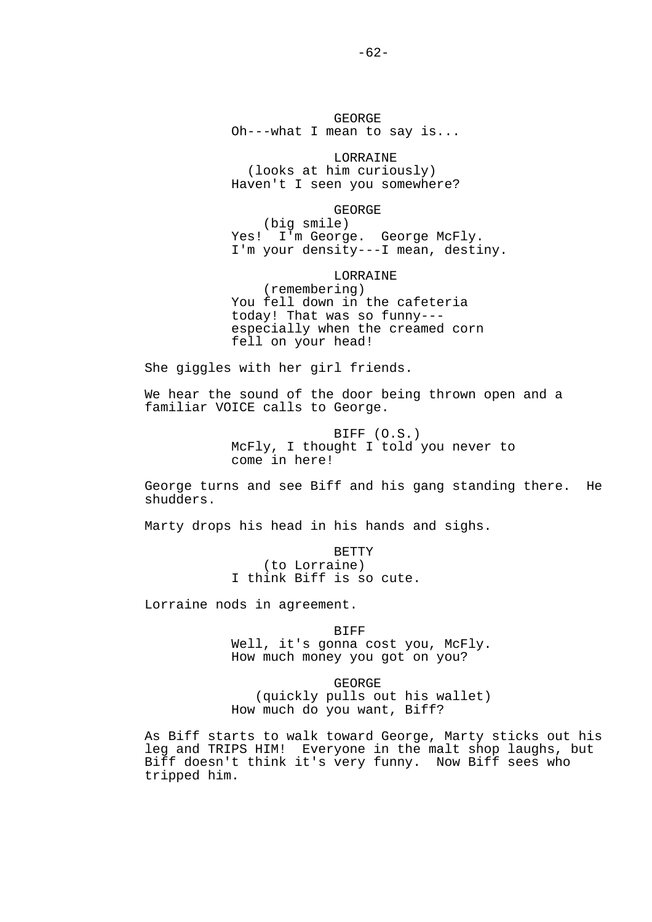GEORGE Oh---what I mean to say is...

 LORRAINE (looks at him curiously) Haven't I seen you somewhere?

 GEORGE (big smile) Yes! I'm George. George McFly. I'm your density---I mean, destiny.

 LORRAINE (remembering) You fell down in the cafeteria today! That was so funny-- especially when the creamed corn fell on your head!

She giggles with her girl friends.

We hear the sound of the door being thrown open and a familiar VOICE calls to George.

> BIFF (O.S.) McFly, I thought I told you never to come in here!

George turns and see Biff and his gang standing there. He shudders.

Marty drops his head in his hands and sighs.

**BETTY**  (to Lorraine) I think Biff is so cute.

Lorraine nods in agreement.

**BIFF** Well, it's gonna cost you, McFly. How much money you got on you?

 GEORGE (quickly pulls out his wallet) How much do you want, Biff?

As Biff starts to walk toward George, Marty sticks out his leg and TRIPS HIM! Everyone in the malt shop laughs, but Biff doesn't think it's very funny. Now Biff sees who tripped him.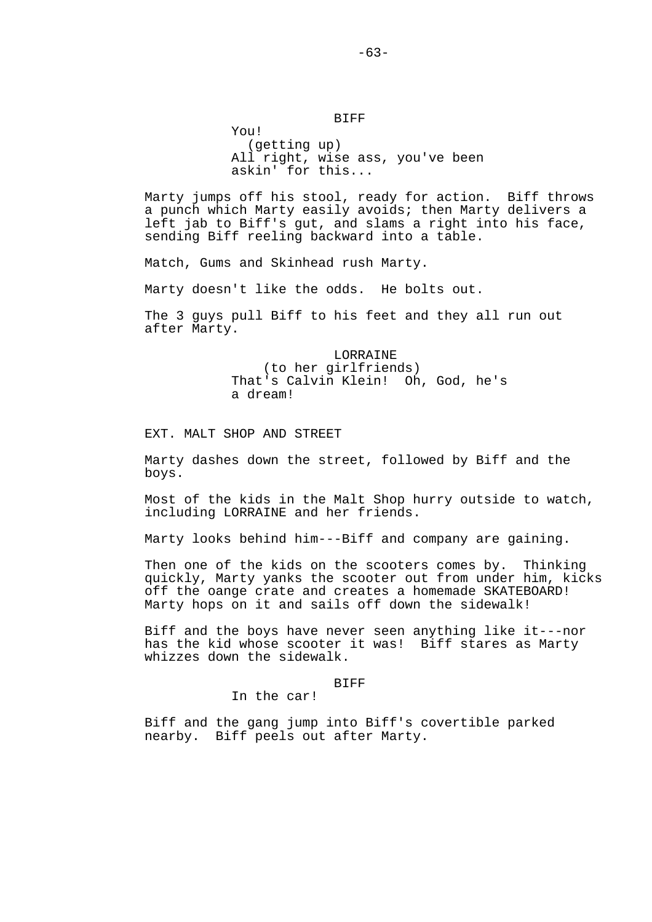# BIFF

 (getting up) All right, wise ass, you've been askin' for this...

Marty jumps off his stool, ready for action. Biff throws a punch which Marty easily avoids; then Marty delivers a left jab to Biff's gut, and slams a right into his face, sending Biff reeling backward into a table.

Match, Gums and Skinhead rush Marty.

Marty doesn't like the odds. He bolts out.

The 3 guys pull Biff to his feet and they all run out after Marty.

> LORRAINE (to her girlfriends) That's Calvin Klein! Oh, God, he's a dream!

EXT. MALT SHOP AND STREET

You!

Marty dashes down the street, followed by Biff and the boys.

Most of the kids in the Malt Shop hurry outside to watch, including LORRAINE and her friends.

Marty looks behind him---Biff and company are gaining.

Then one of the kids on the scooters comes by. Thinking quickly, Marty yanks the scooter out from under him, kicks off the oange crate and creates a homemade SKATEBOARD! Marty hops on it and sails off down the sidewalk!

Biff and the boys have never seen anything like it---nor has the kid whose scooter it was! Biff stares as Marty whizzes down the sidewalk.

### **BIFF**

In the car!

Biff and the gang jump into Biff's covertible parked nearby. Biff peels out after Marty.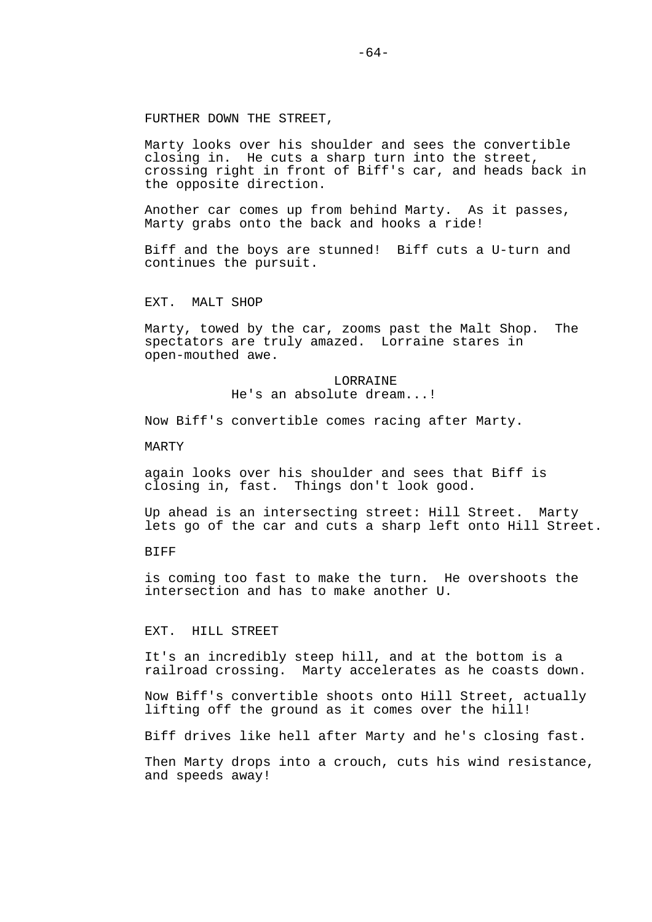# FURTHER DOWN THE STREET,

Marty looks over his shoulder and sees the convertible closing in. He cuts a sharp turn into the street, crossing right in front of Biff's car, and heads back in the opposite direction.

Another car comes up from behind Marty. As it passes, Marty grabs onto the back and hooks a ride!

Biff and the boys are stunned! Biff cuts a U-turn and continues the pursuit.

EXT. MALT SHOP

Marty, towed by the car, zooms past the Malt Shop. The spectators are truly amazed. Lorraine stares in open-mouthed awe.

> **LORRAINE** He's an absolute dream...!

Now Biff's convertible comes racing after Marty.

MARTY

again looks over his shoulder and sees that Biff is closing in, fast. Things don't look good.

Up ahead is an intersecting street: Hill Street. Marty lets go of the car and cuts a sharp left onto Hill Street.

**BIFF** 

is coming too fast to make the turn. He overshoots the intersection and has to make another U.

EXT. HILL STREET

It's an incredibly steep hill, and at the bottom is a railroad crossing. Marty accelerates as he coasts down.

Now Biff's convertible shoots onto Hill Street, actually lifting off the ground as it comes over the hill!

Biff drives like hell after Marty and he's closing fast.

Then Marty drops into a crouch, cuts his wind resistance, and speeds away!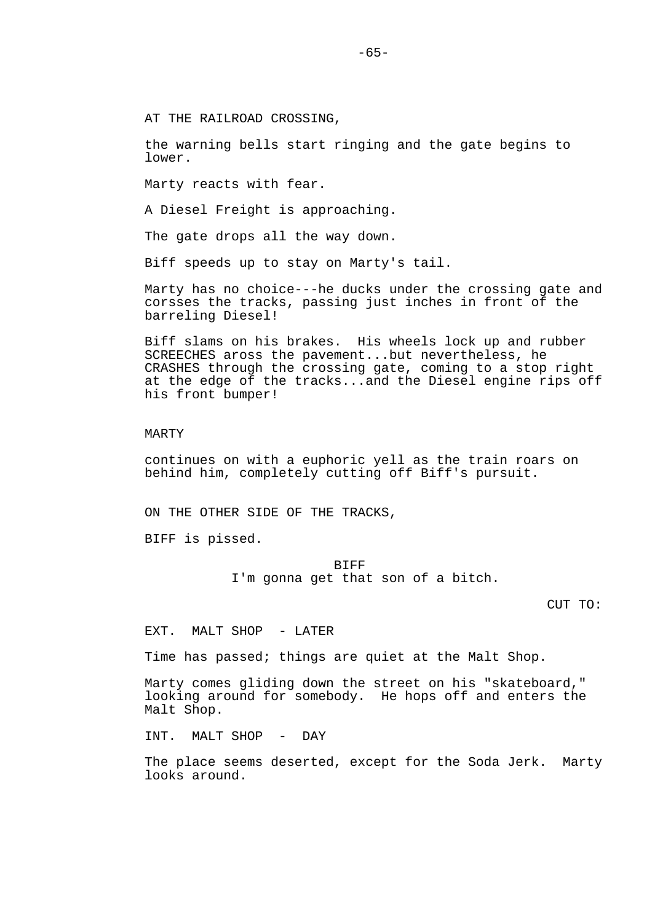AT THE RAILROAD CROSSING,

the warning bells start ringing and the gate begins to lower.

Marty reacts with fear.

A Diesel Freight is approaching.

The gate drops all the way down.

Biff speeds up to stay on Marty's tail.

Marty has no choice---he ducks under the crossing gate and corsses the tracks, passing just inches in front of the barreling Diesel!

Biff slams on his brakes. His wheels lock up and rubber SCREECHES aross the pavement...but nevertheless, he CRASHES through the crossing gate, coming to a stop right at the edge of the tracks...and the Diesel engine rips off his front bumper!

## MARTY

continues on with a euphoric yell as the train roars on behind him, completely cutting off Biff's pursuit.

ON THE OTHER SIDE OF THE TRACKS,

BIFF is pissed.

**BIFF** I'm gonna get that son of a bitch.

CUT TO:

EXT. MALT SHOP - LATER

Time has passed; things are quiet at the Malt Shop.

Marty comes gliding down the street on his "skateboard," looking around for somebody. He hops off and enters the Malt Shop.

INT. MALT SHOP - DAY

The place seems deserted, except for the Soda Jerk. Marty looks around.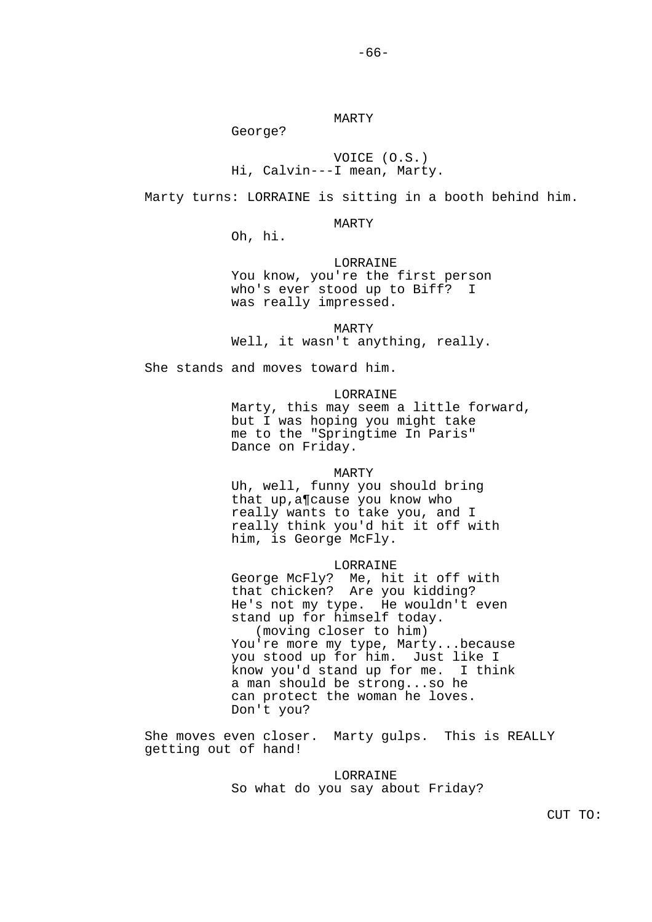MARTY

George?

# VOICE (O.S.) Hi, Calvin---I mean, Marty.

Marty turns: LORRAINE is sitting in a booth behind him.

### MARTY

Oh, hi.

# LORRAINE

 You know, you're the first person who's ever stood up to Biff? I was really impressed.

 MARTY Well, it wasn't anything, really.

She stands and moves toward him.

# LORRAINE

 Marty, this may seem a little forward, but I was hoping you might take me to the "Springtime In Paris" Dance on Friday.

#### MARTY

 Uh, well, funny you should bring that up,a¶cause you know who really wants to take you, and I really think you'd hit it off with him, is George McFly.

#### LORRAINE

 George McFly? Me, hit it off with that chicken? Are you kidding? He's not my type. He wouldn't even stand up for himself today. (moving closer to him) You're more my type, Marty...because you stood up for him. Just like I know you'd stand up for me. I think a man should be strong...so he can protect the woman he loves. Don't you?

She moves even closer. Marty gulps. This is REALLY getting out of hand!

> **LORRAINE** So what do you say about Friday?

CUT TO: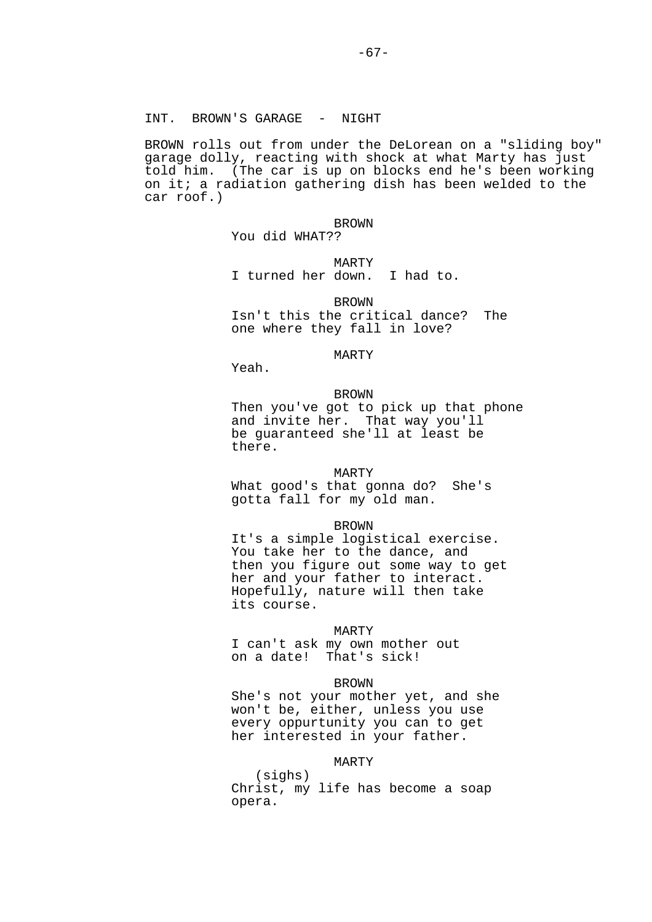# INT. BROWN'S GARAGE - NIGHT

BROWN rolls out from under the DeLorean on a "sliding boy" garage dolly, reacting with shock at what Marty has just told him. (The car is up on blocks end he's been working on it; a radiation gathering dish has been welded to the car roof.)

## **BROWN**

You did WHAT??

# MARTY

I turned her down. I had to.

#### **BROWN**

 Isn't this the critical dance? The one where they fall in love?

# MARTY

Yeah.

#### BROWN

 Then you've got to pick up that phone and invite her. That way you'll be guaranteed she'll at least be there.

#### MARTY

 What good's that gonna do? She's gotta fall for my old man.

### BROWN

 It's a simple logistical exercise. You take her to the dance, and then you figure out some way to get her and your father to interact. Hopefully, nature will then take its course.

#### MARTY

 I can't ask my own mother out on a date! That's sick!

#### **BROWN**

 She's not your mother yet, and she won't be, either, unless you use every oppurtunity you can to get her interested in your father.

# MARTY

 (sighs) Christ, my life has become a soap opera.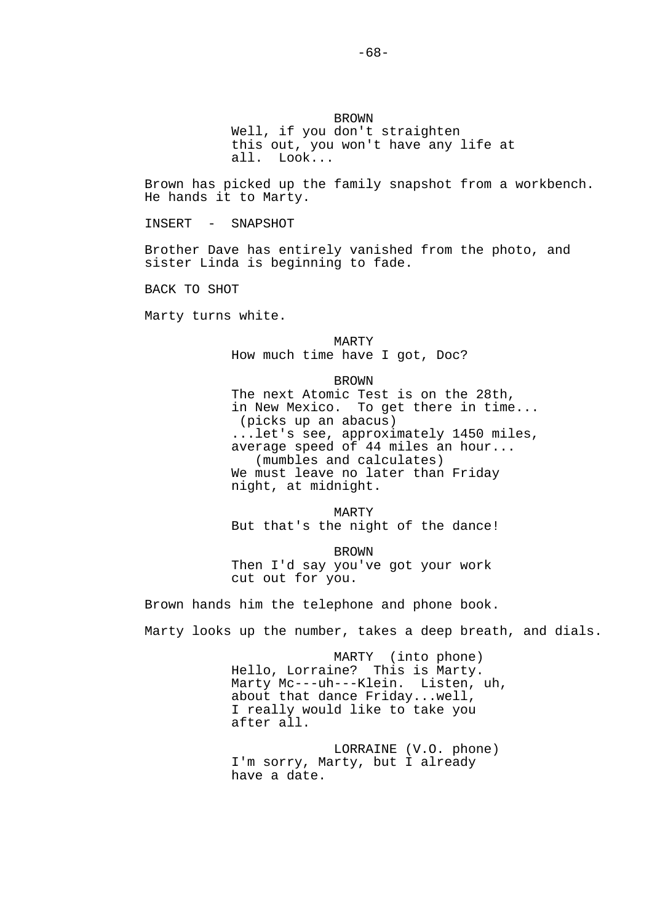Brown has picked up the family snapshot from a workbench. He hands it to Marty.

INSERT - SNAPSHOT

Brother Dave has entirely vanished from the photo, and sister Linda is beginning to fade.

BACK TO SHOT

Marty turns white.

 MARTY How much time have I got, Doc?

BROWN

 The next Atomic Test is on the 28th, in New Mexico. To get there in time... (picks up an abacus) ...let's see, approximately 1450 miles, average speed of  $44$  miles an hour... (mumbles and calculates) We must leave no later than Friday night, at midnight.

 MARTY But that's the night of the dance!

 BROWN Then I'd say you've got your work cut out for you.

Brown hands him the telephone and phone book.

Marty looks up the number, takes a deep breath, and dials.

 MARTY (into phone) Hello, Lorraine? This is Marty. Marty Mc---uh---Klein. Listen, uh, about that dance Friday...well, I really would like to take you after all.

 LORRAINE (V.O. phone) I'm sorry, Marty, but I already have a date.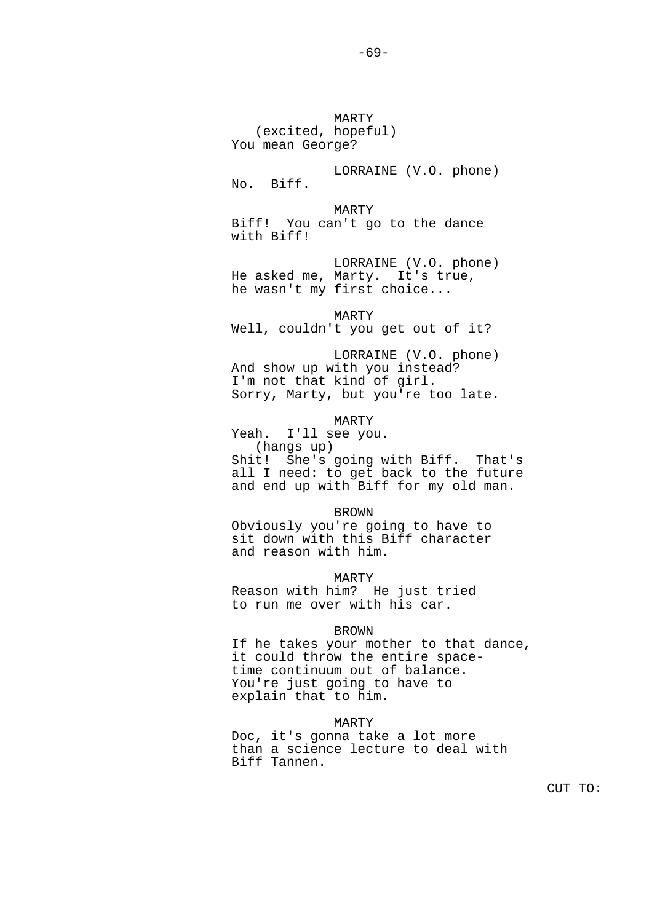MARTY (excited, hopeful) You mean George? LORRAINE (V.O. phone) No. Biff. MARTY Biff! You can't go to the dance with Biff! LORRAINE (V.O. phone) He asked me, Marty. It's true, he wasn't my first choice... MARTY Well, couldn't you get out of it? LORRAINE (V.O. phone) And show up with you instead? I'm not that kind of girl. Sorry, Marty, but you're too late. MARTY Yeah. I'll see you. (hangs up) Shit! She's going with Biff. That's all I need: to get back to the future and end up with Biff for my old man. BROWN Obviously you're going to have to sit down with this Biff character and reason with him. MARTY Reason with him? He just tried to run me over with his car. BROWN If he takes your mother to that dance, it could throw the entire space time continuum out of balance. You're just going to have to explain that to him.

## MARTY

 Doc, it's gonna take a lot more than a science lecture to deal with Biff Tannen.

CUT TO: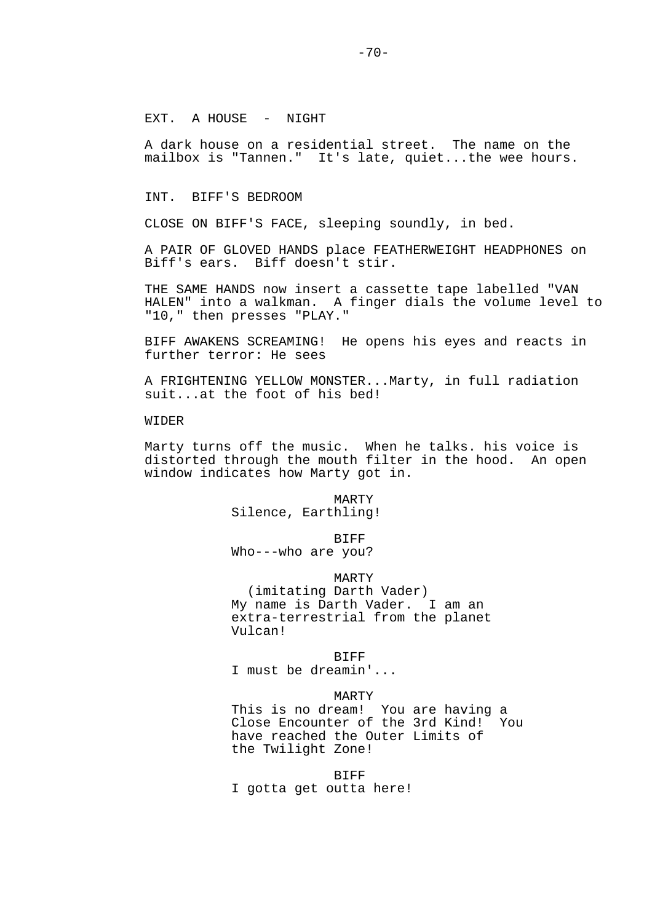EXT. A HOUSE - NIGHT

A dark house on a residential street. The name on the mailbox is "Tannen." It's late, quiet...the wee hours.

INT. BIFF'S BEDROOM

CLOSE ON BIFF'S FACE, sleeping soundly, in bed.

A PAIR OF GLOVED HANDS place FEATHERWEIGHT HEADPHONES on Biff's ears. Biff doesn't stir.

THE SAME HANDS now insert a cassette tape labelled "VAN HALEN" into a walkman. A finger dials the volume level to "10," then presses "PLAY."

BIFF AWAKENS SCREAMING! He opens his eyes and reacts in further terror: He sees

A FRIGHTENING YELLOW MONSTER...Marty, in full radiation suit...at the foot of his bed!

WIDER

Marty turns off the music. When he talks. his voice is distorted through the mouth filter in the hood. An open window indicates how Marty got in.

> MARTY Silence, Earthling!

> > **BIFF**

Who---who are you?

MARTY

 (imitating Darth Vader) My name is Darth Vader. I am an extra-terrestrial from the planet Vulcan!

**BIFF** I must be dreamin'...

MARTY

 This is no dream! You are having a Close Encounter of the 3rd Kind! You have reached the Outer Limits of the Twilight Zone!

BIFF

I gotta get outta here!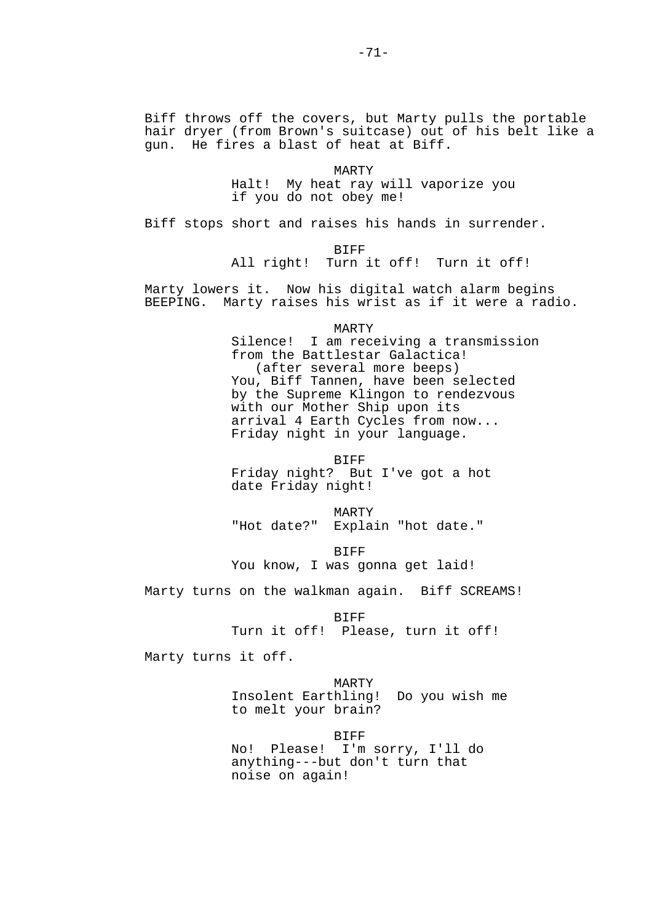Biff throws off the covers, but Marty pulls the portable hair dryer (from Brown's suitcase) out of his belt like a gun. He fires a blast of heat at Biff.

> MARTY Halt! My heat ray will vaporize you if you do not obey me!

Biff stops short and raises his hands in surrender.

**BIFF** 

All right! Turn it off! Turn it off!

Marty lowers it. Now his digital watch alarm begins BEEPING. Marty raises his wrist as if it were a radio.

 MARTY Silence! I am receiving a transmission from the Battlestar Galactica! (after several more beeps) You, Biff Tannen, have been selected by the Supreme Klingon to rendezvous with our Mother Ship upon its arrival 4 Earth Cycles from now...

> Friday night in your language. BIFF

 Friday night? But I've got a hot date Friday night!

 MARTY "Hot date?" Explain "hot date."

**BIFF** You know, I was gonna get laid!

Marty turns on the walkman again. Biff SCREAMS!

 BIFF Turn it off! Please, turn it off!

Marty turns it off.

 MARTY Insolent Earthling! Do you wish me to melt your brain?

BIFF

 No! Please! I'm sorry, I'll do anything---but don't turn that noise on again!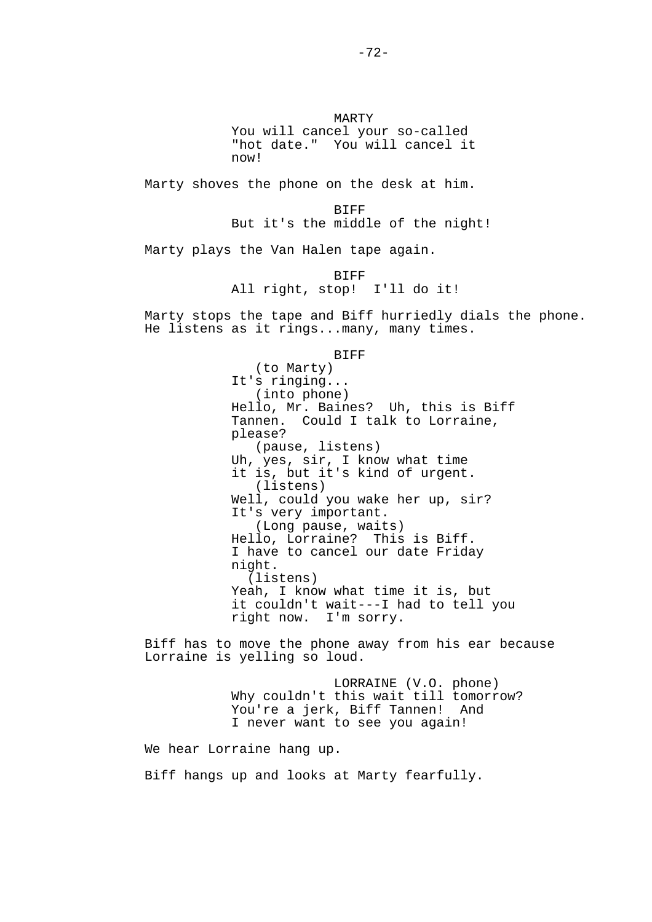MARTY You will cancel your so-called "hot date." You will cancel it now!

Marty shoves the phone on the desk at him.

 BIFF But it's the middle of the night!

Marty plays the Van Halen tape again.

 BIFF All right, stop! I'll do it!

Marty stops the tape and Biff hurriedly dials the phone. He listens as it rings...many, many times.

**BIFF** 

 (to Marty) It's ringing... (into phone) Hello, Mr. Baines? Uh, this is Biff Tannen. Could I talk to Lorraine, please? (pause, listens) Uh, yes, sir, I know what time it is, but it's kind of urgent. (listens) Well, could you wake her up, sir? It's very important. (Long pause, waits) Hello, Lorraine? This is Biff. I have to cancel our date Friday night. (listens) Yeah, I know what time it is, but it couldn't wait---I had to tell you right now. I'm sorry.

Biff has to move the phone away from his ear because Lorraine is yelling so loud.

> LORRAINE (V.O. phone) Why couldn't this wait till tomorrow? You're a jerk, Biff Tannen! And I never want to see you again!

We hear Lorraine hang up.

Biff hangs up and looks at Marty fearfully.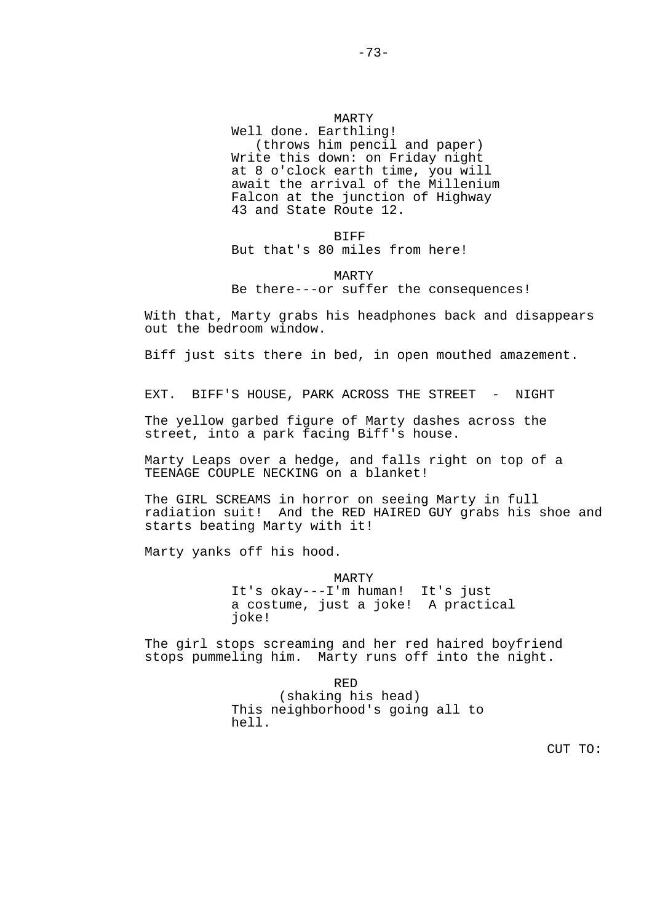# MARTY Well done. Earthling! (throws him pencil and paper) Write this down: on Friday night at 8 o'clock earth time, you will await the arrival of the Millenium Falcon at the junction of Highway 43 and State Route 12.

 BIFF But that's 80 miles from here!

# MARTY Be there---or suffer the consequences!

With that, Marty grabs his headphones back and disappears out the bedroom window.

Biff just sits there in bed, in open mouthed amazement.

EXT. BIFF'S HOUSE, PARK ACROSS THE STREET - NIGHT

The yellow garbed figure of Marty dashes across the street, into a park facing Biff's house.

Marty Leaps over a hedge, and falls right on top of a TEENAGE COUPLE NECKING on a blanket!

The GIRL SCREAMS in horror on seeing Marty in full radiation suit! And the RED HAIRED GUY grabs his shoe and starts beating Marty with it!

Marty yanks off his hood.

 MARTY It's okay---I'm human! It's just a costume, just a joke! A practical joke!

The girl stops screaming and her red haired boyfriend stops pummeling him. Marty runs off into the night.

<u>RED States of the States of the States of the States of the States of the States of the States of the States o</u> (shaking his head) This neighborhood's going all to hell.

CUT TO: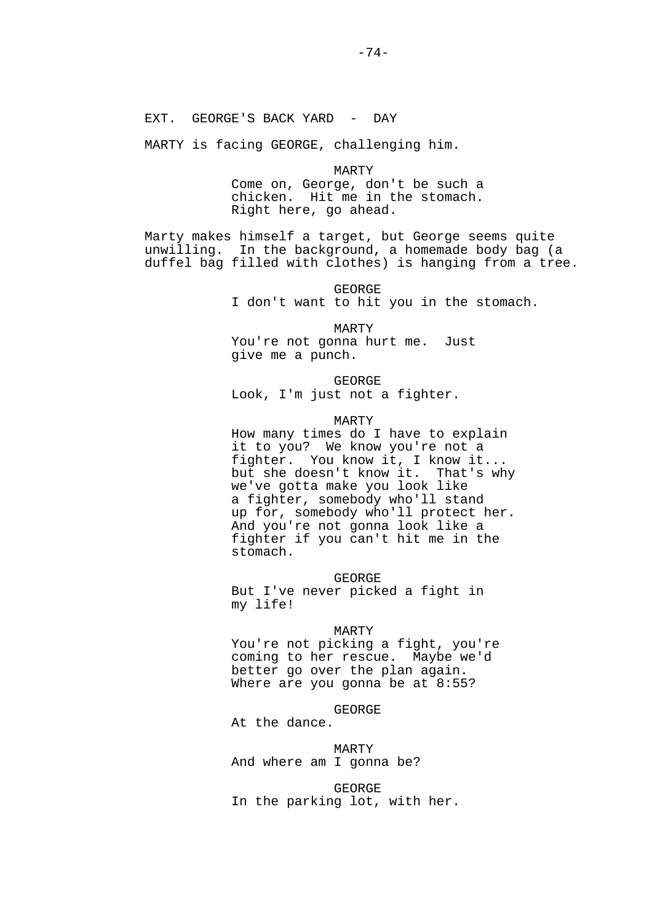MARTY is facing GEORGE, challenging him.

 MARTY Come on, George, don't be such a chicken. Hit me in the stomach. Right here, go ahead.

Marty makes himself a target, but George seems quite unwilling. In the background, a homemade body bag (a duffel bag filled with clothes) is hanging from a tree.

> GEORGE I don't want to hit you in the stomach.

 MARTY You're not gonna hurt me. Just give me a punch.

 GEORGE Look, I'm just not a fighter.

MARTY

 How many times do I have to explain it to you? We know you're not a fighter. You know it, I know it... but she doesn't know it. That's why we've gotta make you look like a fighter, somebody who'll stand up for, somebody who'll protect her. And you're not gonna look like a fighter if you can't hit me in the stomach.

 GEORGE But I've never picked a fight in my life!

MARTY

 You're not picking a fight, you're coming to her rescue. Maybe we'd better go over the plan again. Where are you gonna be at 8:55?

GEORGE

At the dance.

 MARTY And where am I gonna be?

 GEORGE In the parking lot, with her.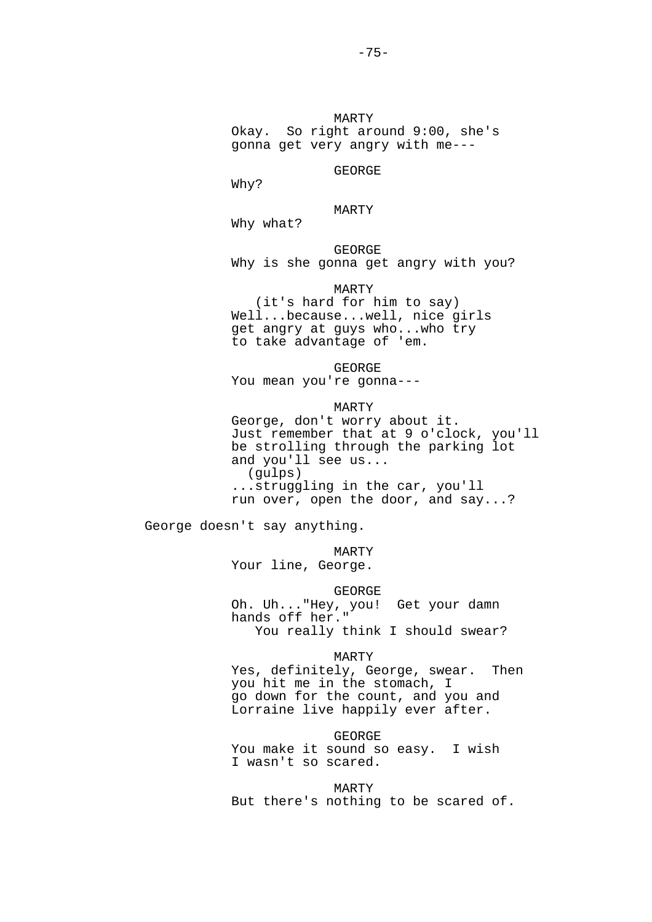Why?

GEORGE

 MARTY Why what?

 GEORGE Why is she gonna get angry with you?

MARTY

 (it's hard for him to say) Well...because...well, nice girls get angry at guys who...who try to take advantage of 'em.

 GEORGE You mean you're gonna---

### MARTY

 George, don't worry about it. Just remember that at 9 o'clock, you'll be strolling through the parking lot and you'll see us... (gulps) ...struggling in the car, you'll run over, open the door, and say...?

George doesn't say anything.

MARTY

Your line, George.

GEORGE

 Oh. Uh..."Hey, you! Get your damn hands off her." You really think I should swear?

#### MARTY

 Yes, definitely, George, swear. Then you hit me in the stomach, I go down for the count, and you and Lorraine live happily ever after.

GEORGE

 You make it sound so easy. I wish I wasn't so scared.

 MARTY But there's nothing to be scared of.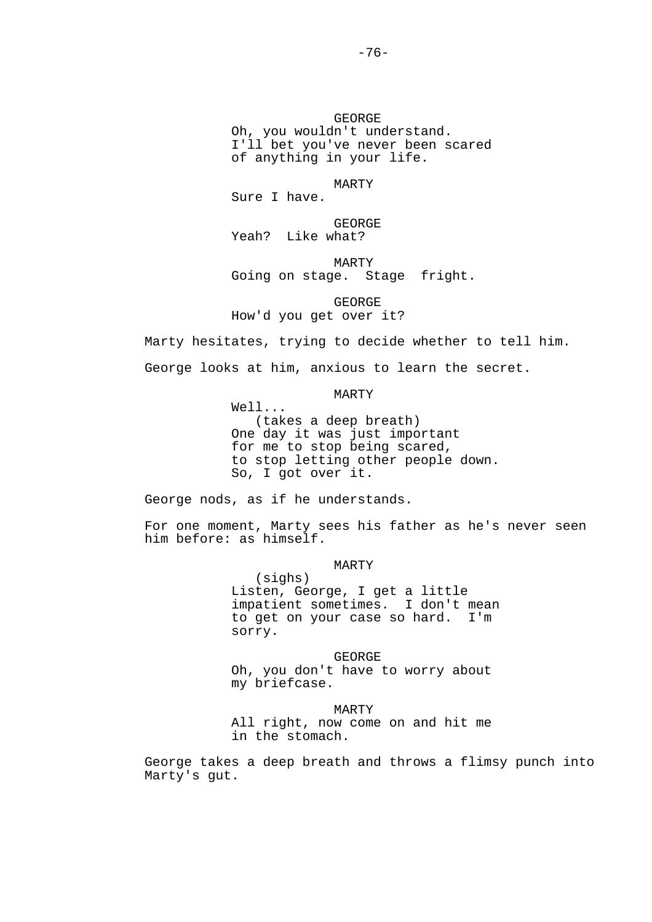GEORGE Oh, you wouldn't understand.

 I'll bet you've never been scared of anything in your life.

# MARTY

Sure I have.

 GEORGE Yeah? Like what?

MARTY

Going on stage. Stage fright.

 GEORGE How'd you get over it?

Marty hesitates, trying to decide whether to tell him.

George looks at him, anxious to learn the secret.

MARTY

 Well... (takes a deep breath) One day it was just important for me to stop being scared, to stop letting other people down. So, I got over it.

George nods, as if he understands.

For one moment, Marty sees his father as he's never seen him before: as himself.

> MARTY (sighs) Listen, George, I get a little impatient sometimes. I don't mean to get on your case so hard. I'm sorry.

 GEORGE Oh, you don't have to worry about my briefcase.

 MARTY All right, now come on and hit me in the stomach.

George takes a deep breath and throws a flimsy punch into Marty's gut.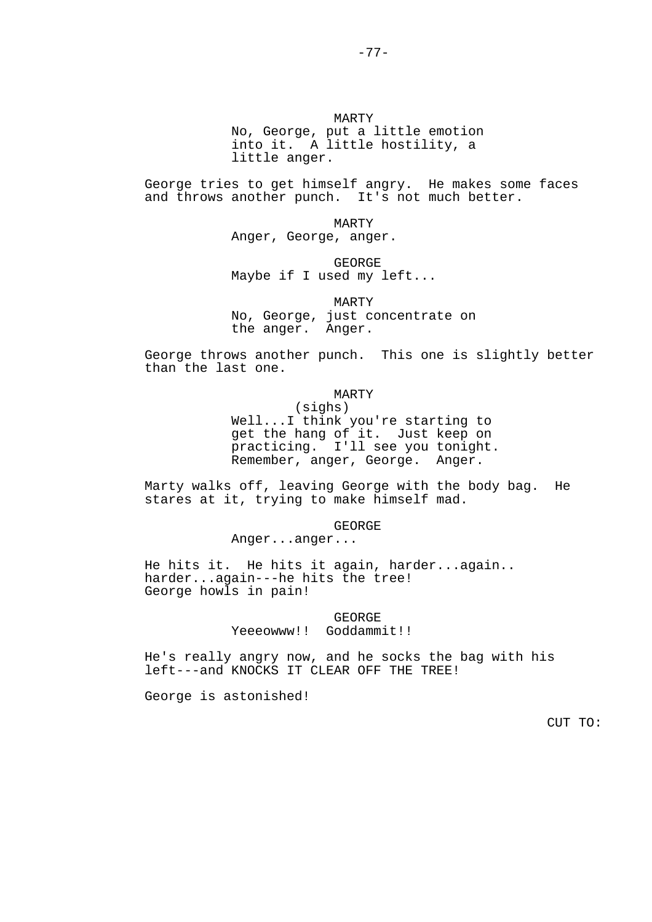George tries to get himself angry. He makes some faces and throws another punch. It's not much better.

> MARTY Anger, George, anger.

 GEORGE Maybe if I used my left...

 MARTY No, George, just concentrate on the anger. Anger.

George throws another punch. This one is slightly better than the last one.

MARTY

 (sighs) Well...I think you're starting to get the hang of it. Just keep on practicing. I'll see you tonight. Remember, anger, George. Anger.

Marty walks off, leaving George with the body bag. He stares at it, trying to make himself mad.

GEORGE

Anger...anger...

He hits it. He hits it again, harder...again.. harder...again---he hits the tree! George howls in pain!

> GEORGE Yeeeowww!! Goddammit!!

He's really angry now, and he socks the bag with his left---and KNOCKS IT CLEAR OFF THE TREE!

George is astonished!

CUT TO: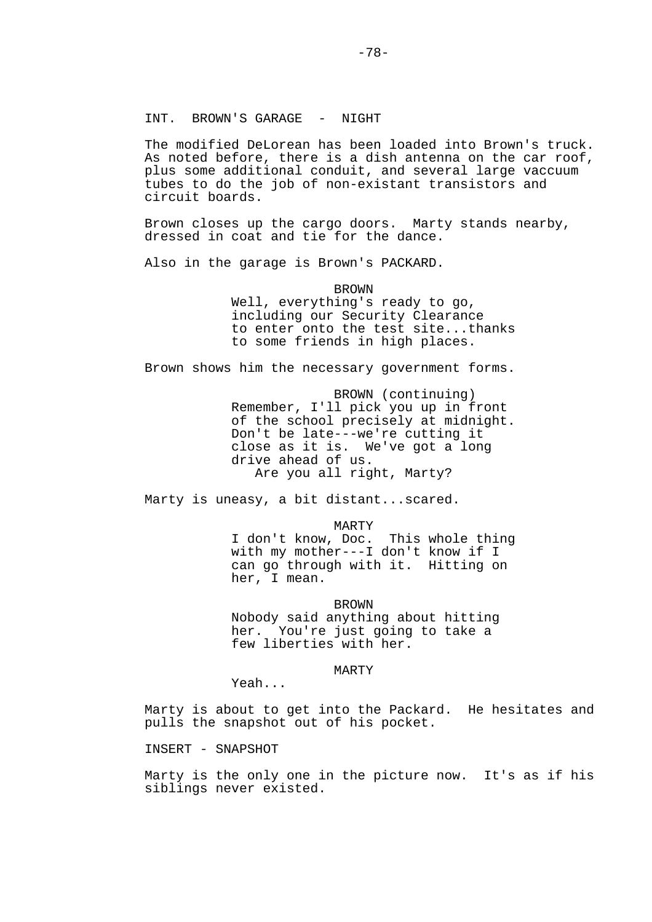### INT. BROWN'S GARAGE - NIGHT

The modified DeLorean has been loaded into Brown's truck. As noted before, there is a dish antenna on the car roof, plus some additional conduit, and several large vaccuum tubes to do the job of non-existant transistors and circuit boards.

Brown closes up the cargo doors. Marty stands nearby, dressed in coat and tie for the dance.

Also in the garage is Brown's PACKARD.

 BROWN Well, everything's ready to go, including our Security Clearance to enter onto the test site...thanks to some friends in high places.

Brown shows him the necessary government forms.

 BROWN (continuing) Remember, I'll pick you up in front of the school precisely at midnight. Don't be late---we're cutting it close as it is. We've got a long drive ahead of us. Are you all right, Marty?

Marty is uneasy, a bit distant...scared.

MARTY

 I don't know, Doc. This whole thing with my mother---I don't know if I can go through with it. Hitting on her, I mean.

 BROWN Nobody said anything about hitting her. You're just going to take a few liberties with her.

MARTY

Yeah...

Marty is about to get into the Packard. He hesitates and pulls the snapshot out of his pocket.

INSERT - SNAPSHOT

Marty is the only one in the picture now. It's as if his siblings never existed.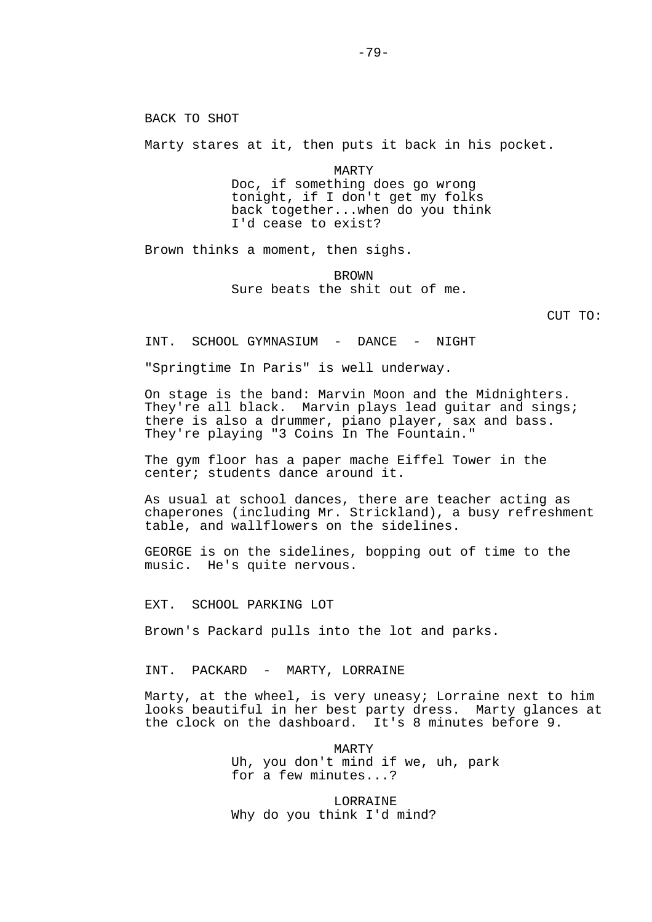BACK TO SHOT

Marty stares at it, then puts it back in his pocket.

 MARTY Doc, if something does go wrong tonight, if I don't get my folks back together...when do you think I'd cease to exist?

Brown thinks a moment, then sighs.

 BROWN Sure beats the shit out of me.

CUT TO:

INT. SCHOOL GYMNASIUM - DANCE - NIGHT

"Springtime In Paris" is well underway.

On stage is the band: Marvin Moon and the Midnighters. They're all black. Marvin plays lead quitar and sings; there is also a drummer, piano player, sax and bass. They're playing "3 Coins In The Fountain."

The gym floor has a paper mache Eiffel Tower in the center; students dance around it.

As usual at school dances, there are teacher acting as chaperones (including Mr. Strickland), a busy refreshment table, and wallflowers on the sidelines.

GEORGE is on the sidelines, bopping out of time to the music. He's quite nervous.

EXT. SCHOOL PARKING LOT

Brown's Packard pulls into the lot and parks.

INT. PACKARD - MARTY, LORRAINE

Marty, at the wheel, is very uneasy; Lorraine next to him looks beautiful in her best party dress. Marty glances at the clock on the dashboard. It's 8 minutes before 9.

> MARTY Uh, you don't mind if we, uh, park for a few minutes...?

**LORRAINE** Why do you think I'd mind?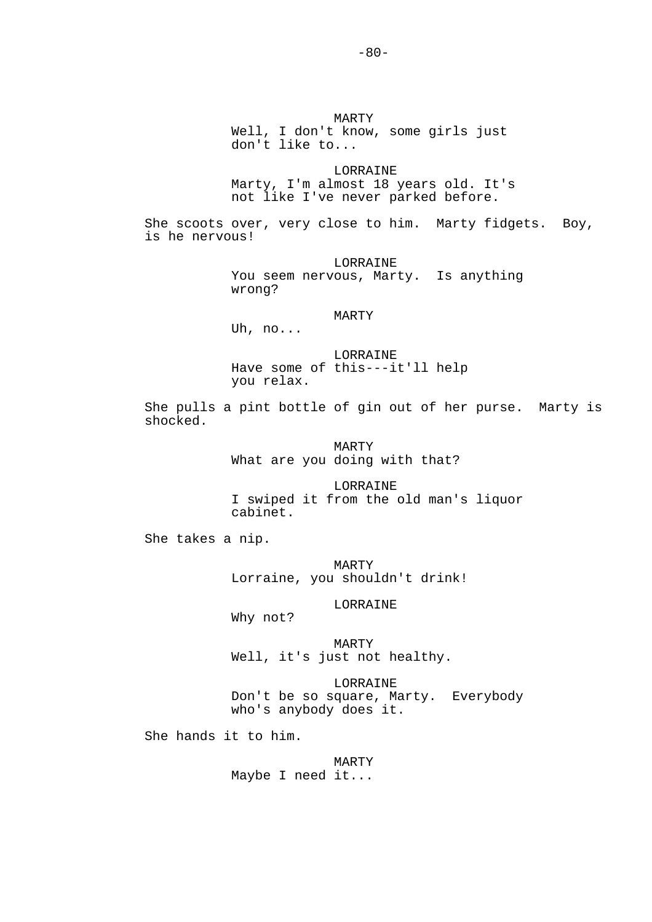MARTY Well, I don't know, some girls just don't like to... LORRAINE Marty, I'm almost 18 years old. It's not like I've never parked before. She scoots over, very close to him. Marty fidgets. Boy, is he nervous! LORRAINE You seem nervous, Marty. Is anything wrong? MARTY Uh, no... LORRAINE Have some of this---it'll help you relax. She pulls a pint bottle of gin out of her purse. Marty is shocked. MARTY What are you doing with that? LORRAINE I swiped it from the old man's liquor cabinet. She takes a nip. MARTY Lorraine, you shouldn't drink! LORRAINE Why not? MARTY Well, it's just not healthy. LORRAINE Don't be so square, Marty. Everybody who's anybody does it. She hands it to him.

> MARTY Maybe I need it...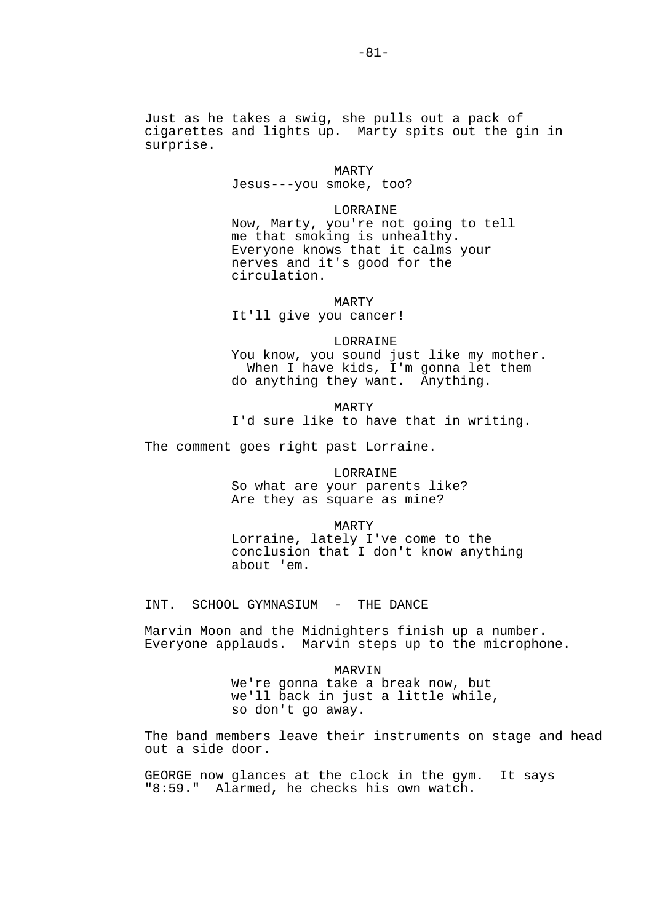Just as he takes a swig, she pulls out a pack of cigarettes and lights up. Marty spits out the gin in surprise.

> MARTY Jesus---you smoke, too?

### LORRAINE

 Now, Marty, you're not going to tell me that smoking is unhealthy. Everyone knows that it calms your nerves and it's good for the circulation.

MARTY

It'll give you cancer!

#### LORRAINE

 You know, you sound just like my mother. When I have kids, I'm gonna let them do anything they want. Anything.

> MARTY I'd sure like to have that in writing.

The comment goes right past Lorraine.

# LORRAINE So what are your parents like?

Are they as square as mine?

MARTY

 Lorraine, lately I've come to the conclusion that I don't know anything about 'em.

INT. SCHOOL GYMNASIUM - THE DANCE

Marvin Moon and the Midnighters finish up a number. Everyone applauds. Marvin steps up to the microphone.

### MARVIN

 We're gonna take a break now, but we'll back in just a little while, so don't go away.

The band members leave their instruments on stage and head out a side door.

GEORGE now glances at the clock in the gym. It says "8:59." Alarmed, he checks his own watch.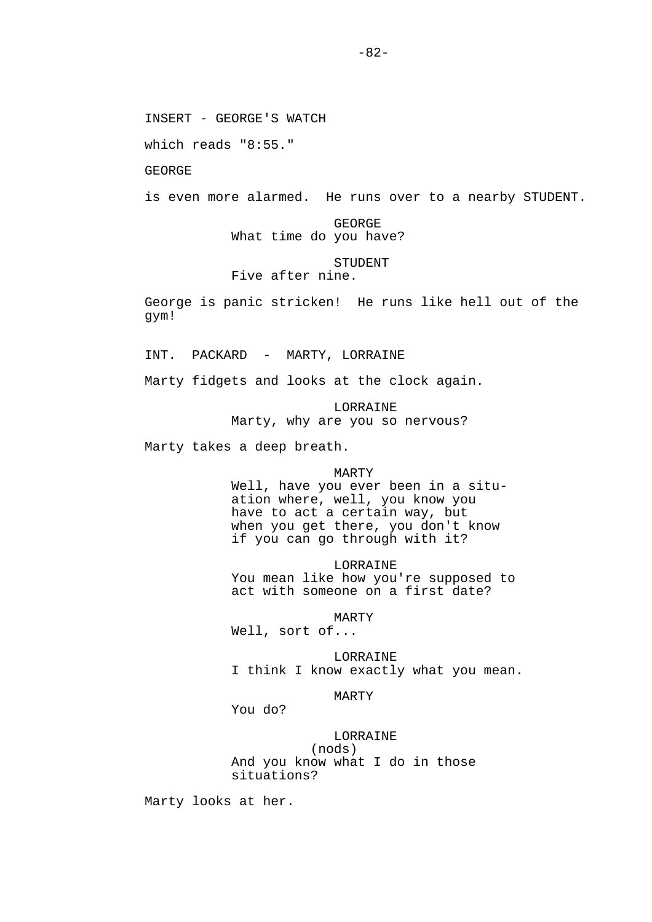INSERT - GEORGE'S WATCH

which reads "8:55."

GEORGE

is even more alarmed. He runs over to a nearby STUDENT.

 GEORGE What time do you have?

# STUDENT

Five after nine.

George is panic stricken! He runs like hell out of the gym!

INT. PACKARD - MARTY, LORRAINE

Marty fidgets and looks at the clock again.

 LORRAINE Marty, why are you so nervous?

Marty takes a deep breath.

#### MARTY

 Well, have you ever been in a situ ation where, well, you know you have to act a certain way, but when you get there, you don't know if you can go through with it?

 LORRAINE You mean like how you're supposed to act with someone on a first date?

MARTY

Well, sort of...

 LORRAINE I think I know exactly what you mean.

### MARTY

You do?

# LORRAINE

 (nods) And you know what I do in those situations?

Marty looks at her.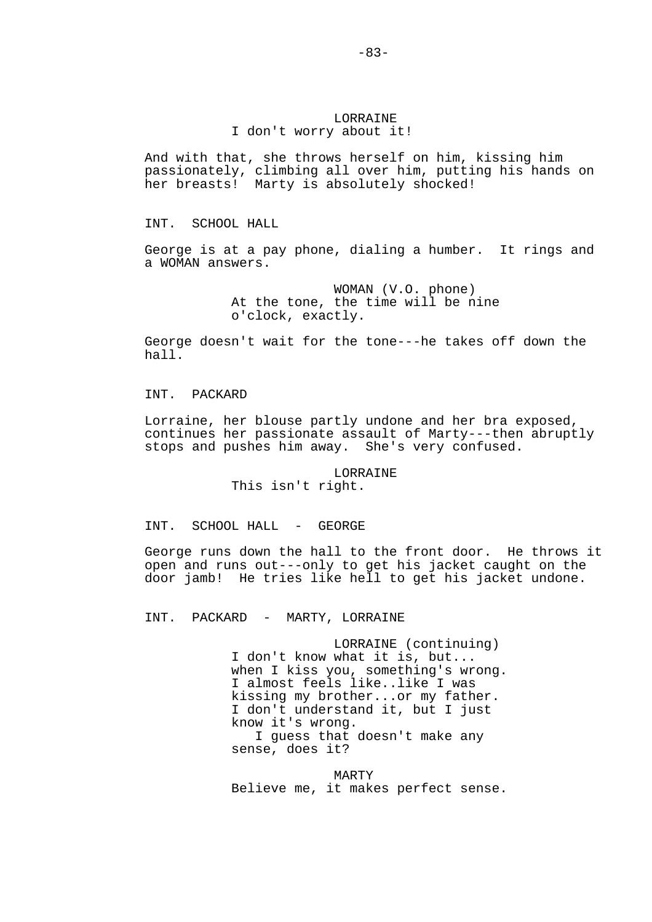## LORRAINE I don't worry about it!

And with that, she throws herself on him, kissing him passionately, climbing all over him, putting his hands on her breasts! Marty is absolutely shocked!

INT. SCHOOL HALL

George is at a pay phone, dialing a humber. It rings and a WOMAN answers.

> WOMAN (V.O. phone) At the tone, the time will be nine o'clock, exactly.

George doesn't wait for the tone---he takes off down the  $hall.$ 

INT. PACKARD

Lorraine, her blouse partly undone and her bra exposed, continues her passionate assault of Marty---then abruptly stops and pushes him away. She's very confused.

> LORRAINE This isn't right.

INT. SCHOOL HALL - GEORGE

George runs down the hall to the front door. He throws it open and runs out---only to get his jacket caught on the door jamb! He tries like hell to get his jacket undone.

INT. PACKARD - MARTY, LORRAINE

 LORRAINE (continuing) I don't know what it is, but... when I kiss you, something's wrong. I almost feels like..like I was kissing my brother...or my father. I don't understand it, but I just know it's wrong. I guess that doesn't make any sense, does it?

 MARTY Believe me, it makes perfect sense.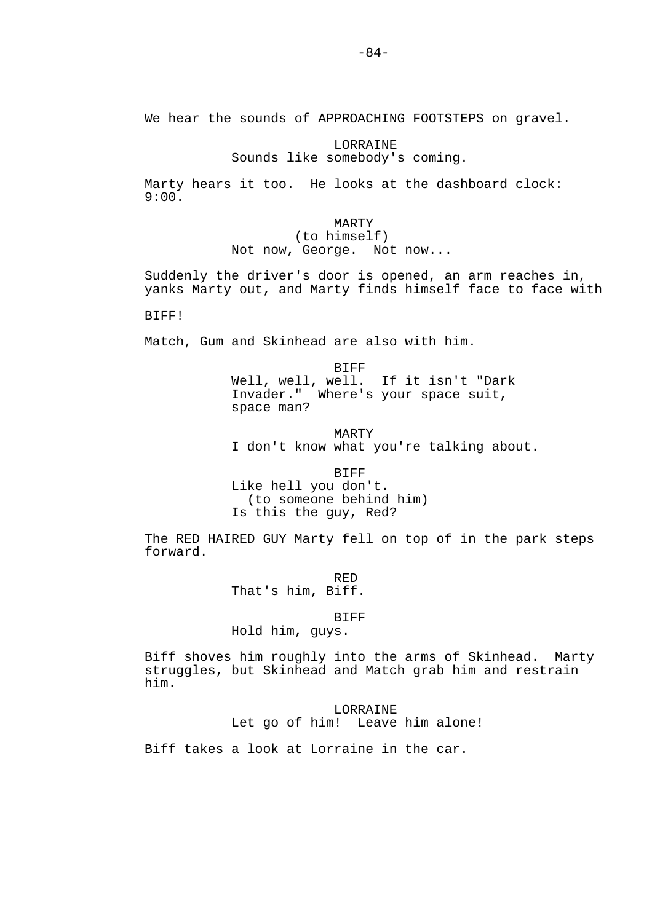We hear the sounds of APPROACHING FOOTSTEPS on gravel.

## **LORRAINE** Sounds like somebody's coming.

Marty hears it too. He looks at the dashboard clock:  $9:00.$ 

> MARTY (to himself) Not now, George. Not now...

Suddenly the driver's door is opened, an arm reaches in, yanks Marty out, and Marty finds himself face to face with

BIFF!

Match, Gum and Skinhead are also with him.

**BIFF**  Well, well, well. If it isn't "Dark Invader." Where's your space suit, space man?

 MARTY I don't know what you're talking about.

 BIFF Like hell you don't. (to someone behind him) Is this the guy, Red?

The RED HAIRED GUY Marty fell on top of in the park steps forward.

<u>RED States of the States of the States of the States of the States of the States of the States of the States o</u> That's him, Biff.

BIFF

Hold him, guys.

Biff shoves him roughly into the arms of Skinhead. Marty struggles, but Skinhead and Match grab him and restrain him.

LORRAINE

Let go of him! Leave him alone!

Biff takes a look at Lorraine in the car.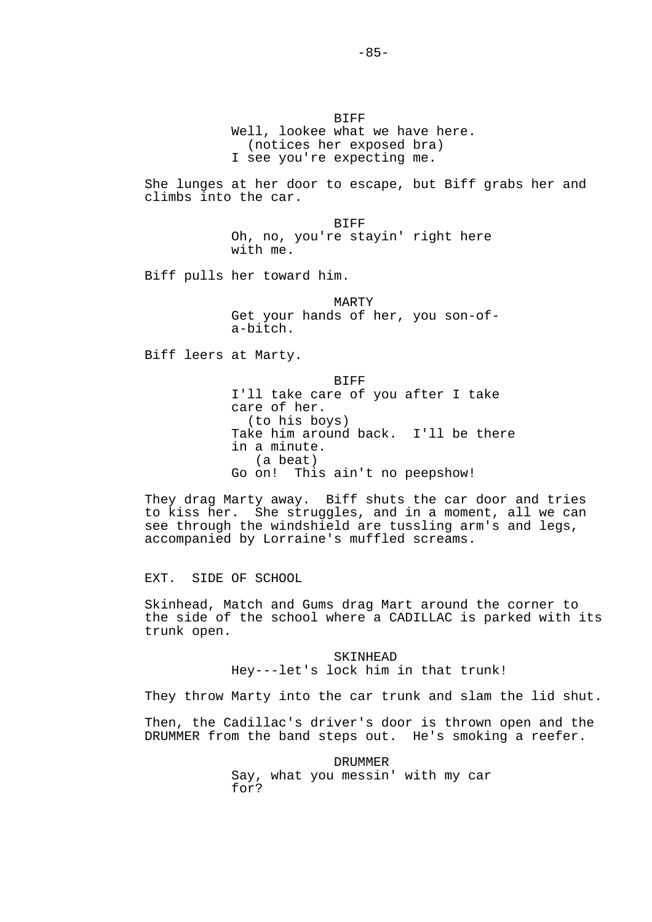**BIFF**  Well, lookee what we have here. (notices her exposed bra) I see you're expecting me.

She lunges at her door to escape, but Biff grabs her and climbs into the car.

> **BIFF**  Oh, no, you're stayin' right here with me.

Biff pulls her toward him.

 MARTY Get your hands of her, you son-of a-bitch.

Biff leers at Marty.

**BIFF**  I'll take care of you after I take care of her. (to his boys) Take him around back. I'll be there in a minute. (a beat) Go on! This ain't no peepshow!

They drag Marty away. Biff shuts the car door and tries to kiss her. She struggles, and in a moment, all we can see through the windshield are tussling arm's and legs, accompanied by Lorraine's muffled screams.

EXT. SIDE OF SCHOOL

Skinhead, Match and Gums drag Mart around the corner to the side of the school where a CADILLAC is parked with its trunk open.

> SKINHEAD Hey---let's lock him in that trunk!

They throw Marty into the car trunk and slam the lid shut.

Then, the Cadillac's driver's door is thrown open and the DRUMMER from the band steps out. He's smoking a reefer.

> DRUMMER Say, what you messin' with my car for?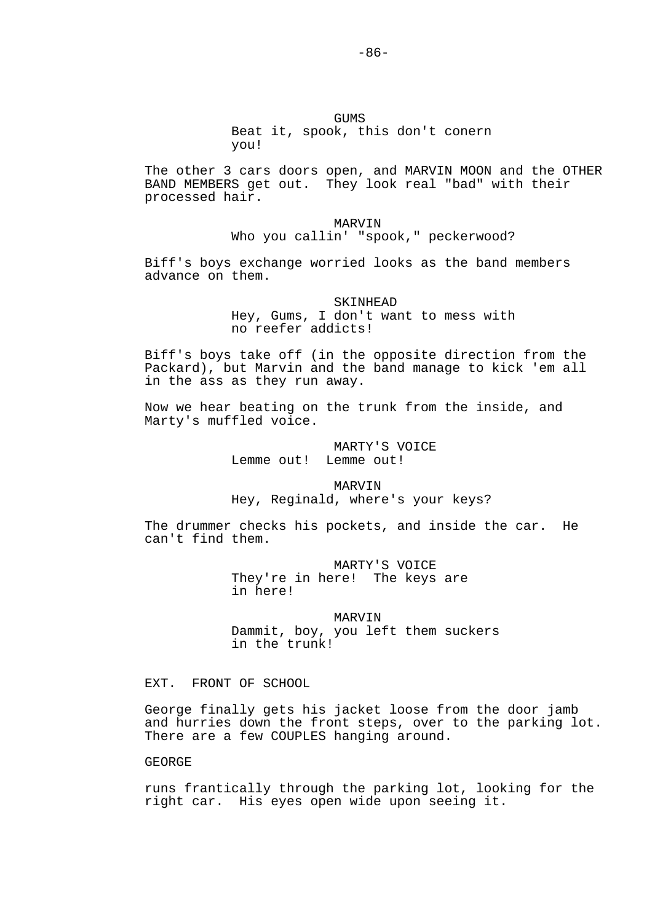# GUMS Beat it, spook, this don't conern you!

The other 3 cars doors open, and MARVIN MOON and the OTHER BAND MEMBERS get out. They look real "bad" with their processed hair.

> MARVIN Who you callin' "spook," peckerwood?

Biff's boys exchange worried looks as the band members advance on them.

#### SKINHEAD

 Hey, Gums, I don't want to mess with no reefer addicts!

Biff's boys take off (in the opposite direction from the Packard), but Marvin and the band manage to kick 'em all in the ass as they run away.

Now we hear beating on the trunk from the inside, and Marty's muffled voice.

> MARTY'S VOICE Lemme out! Lemme out!

 MARVIN Hey, Reginald, where's your keys?

The drummer checks his pockets, and inside the car. He can't find them.

> MARTY'S VOICE They're in here! The keys are in here!

 MARVIN Dammit, boy, you left them suckers in the trunk!

EXT. FRONT OF SCHOOL

George finally gets his jacket loose from the door jamb and hurries down the front steps, over to the parking lot. There are a few COUPLES hanging around.

GEORGE

runs frantically through the parking lot, looking for the right car. His eyes open wide upon seeing it.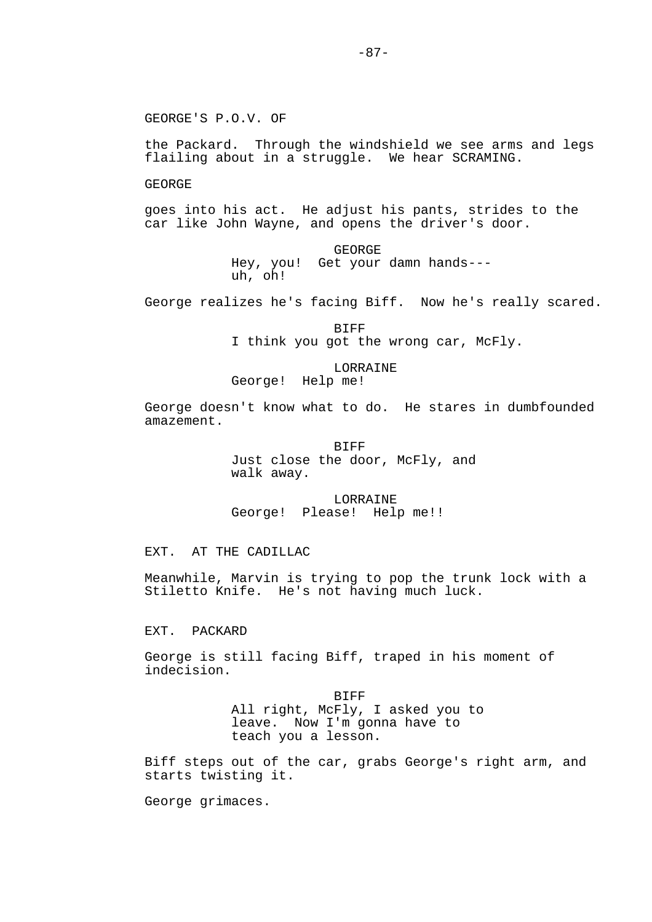the Packard. Through the windshield we see arms and legs flailing about in a struggle. We hear SCRAMING.

GEORGE

goes into his act. He adjust his pants, strides to the car like John Wayne, and opens the driver's door.

> GEORGE Hey, you! Get your damn hands-- uh, oh!

George realizes he's facing Biff. Now he's really scared.

 BIFF I think you got the wrong car, McFly.

LORRAINE<br>George! Help me! Help me!

George doesn't know what to do. He stares in dumbfounded amazement.

> BIFF Just close the door, McFly, and walk away.

 LORRAINE George! Please! Help me!!

EXT. AT THE CADILLAC

Meanwhile, Marvin is trying to pop the trunk lock with a Stiletto Knife. He's not having much luck.

EXT. PACKARD

George is still facing Biff, traped in his moment of indecision.

> BIFF All right, McFly, I asked you to leave. Now I'm gonna have to teach you a lesson.

Biff steps out of the car, grabs George's right arm, and starts twisting it.

George grimaces.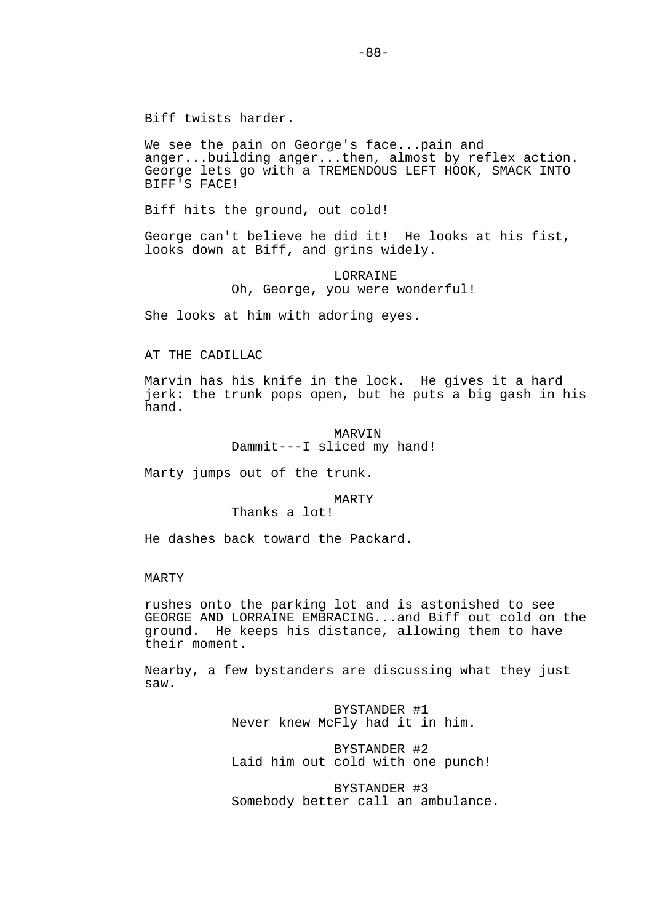We see the pain on George's face...pain and anger...building anger...then, almost by reflex action. George lets go with a TREMENDOUS LEFT HOOK, SMACK INTO BIFF'S FACE!

Biff hits the ground, out cold!

George can't believe he did it! He looks at his fist, looks down at Biff, and grins widely.

# LORRAINE Oh, George, you were wonderful!

She looks at him with adoring eyes.

# AT THE CADILLAC

Marvin has his knife in the lock. He gives it a hard jerk: the trunk pops open, but he puts a big gash in his hand.

### MARVIN Dammit---I sliced my hand!

Marty jumps out of the trunk.

### MARTY

# Thanks a lot!

He dashes back toward the Packard.

### MARTY

rushes onto the parking lot and is astonished to see GEORGE AND LORRAINE EMBRACING...and Biff out cold on the ground. He keeps his distance, allowing them to have their moment.

Nearby, a few bystanders are discussing what they just saw.

> BYSTANDER #1 Never knew McFly had it in him.

 BYSTANDER #2 Laid him out cold with one punch!

 BYSTANDER #3 Somebody better call an ambulance.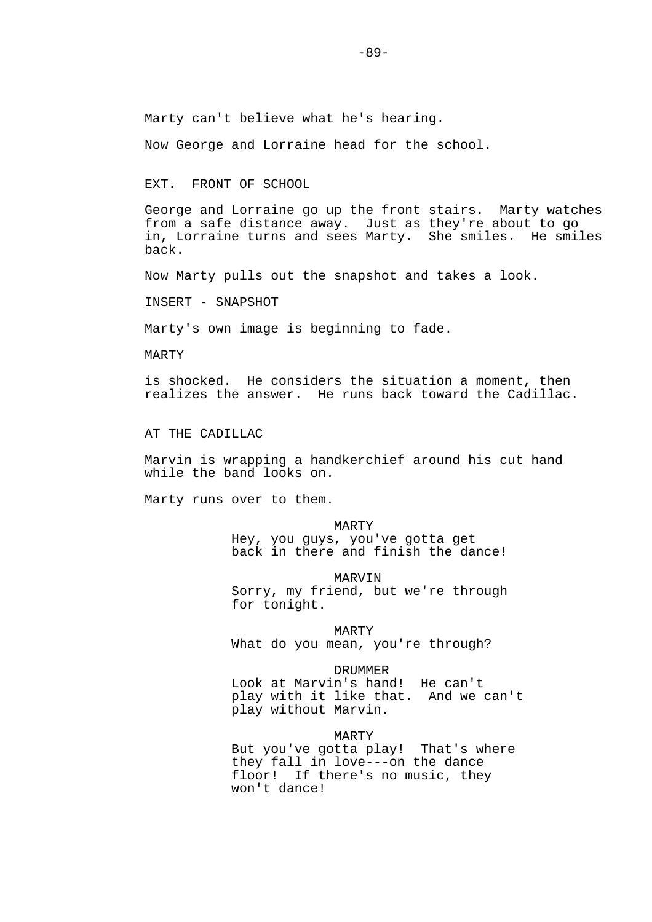Marty can't believe what he's hearing.

Now George and Lorraine head for the school.

EXT. FRONT OF SCHOOL

George and Lorraine go up the front stairs. Marty watches from a safe distance away. Just as they're about to go in, Lorraine turns and sees Marty. She smiles. He smiles back.

Now Marty pulls out the snapshot and takes a look.

INSERT - SNAPSHOT

Marty's own image is beginning to fade.

MARTY

is shocked. He considers the situation a moment, then realizes the answer. He runs back toward the Cadillac.

AT THE CADILLAC

Marvin is wrapping a handkerchief around his cut hand while the band looks on.

Marty runs over to them.

 MARTY Hey, you guys, you've gotta get back in there and finish the dance!

MARVIN

 Sorry, my friend, but we're through for tonight.

MARTY

What do you mean, you're through?

DRUMMER

 Look at Marvin's hand! He can't play with it like that. And we can't play without Marvin.

MARTY

 But you've gotta play! That's where they fall in love---on the dance floor! If there's no music, they won't dance!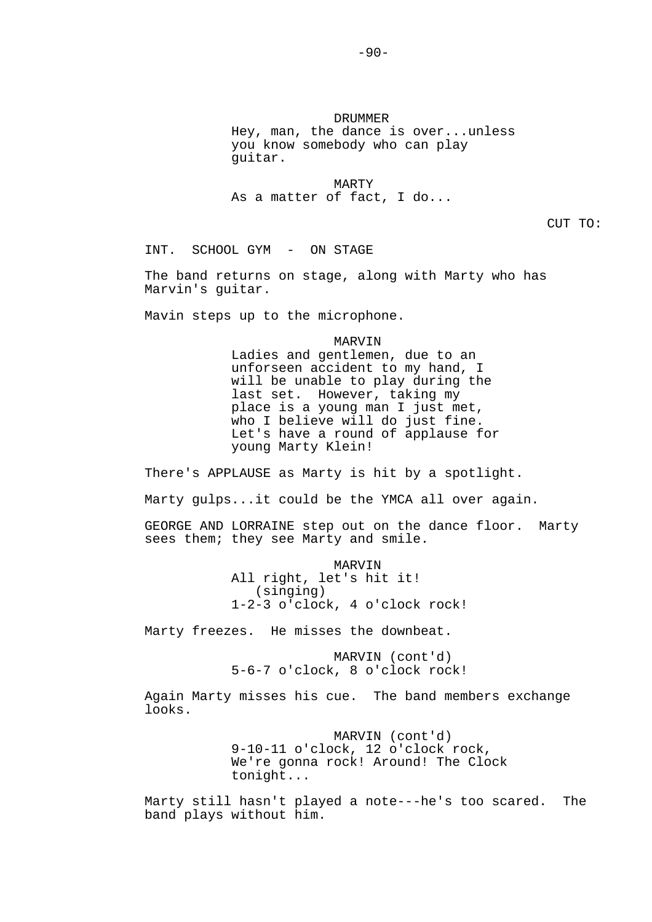DRUMMER Hey, man, the dance is over...unless you know somebody who can play guitar.

 MARTY As a matter of fact, I do...

CUT TO:

INT. SCHOOL GYM - ON STAGE

The band returns on stage, along with Marty who has Marvin's guitar.

Mavin steps up to the microphone.

MARVIN

 Ladies and gentlemen, due to an unforseen accident to my hand, I will be unable to play during the last set. However, taking my place is a young man I just met, who I believe will do just fine. Let's have a round of applause for young Marty Klein!

There's APPLAUSE as Marty is hit by a spotlight.

Marty gulps...it could be the YMCA all over again.

GEORGE AND LORRAINE step out on the dance floor. Marty sees them; they see Marty and smile.

> MARVIN All right, let's hit it! (singing) 1-2-3 o'clock, 4 o'clock rock!

Marty freezes. He misses the downbeat.

 MARVIN (cont'd) 5-6-7 o'clock, 8 o'clock rock!

Again Marty misses his cue. The band members exchange looks.

> MARVIN (cont'd) 9-10-11 o'clock, 12 o'clock rock, We're gonna rock! Around! The Clock tonight...

Marty still hasn't played a note---he's too scared. The band plays without him.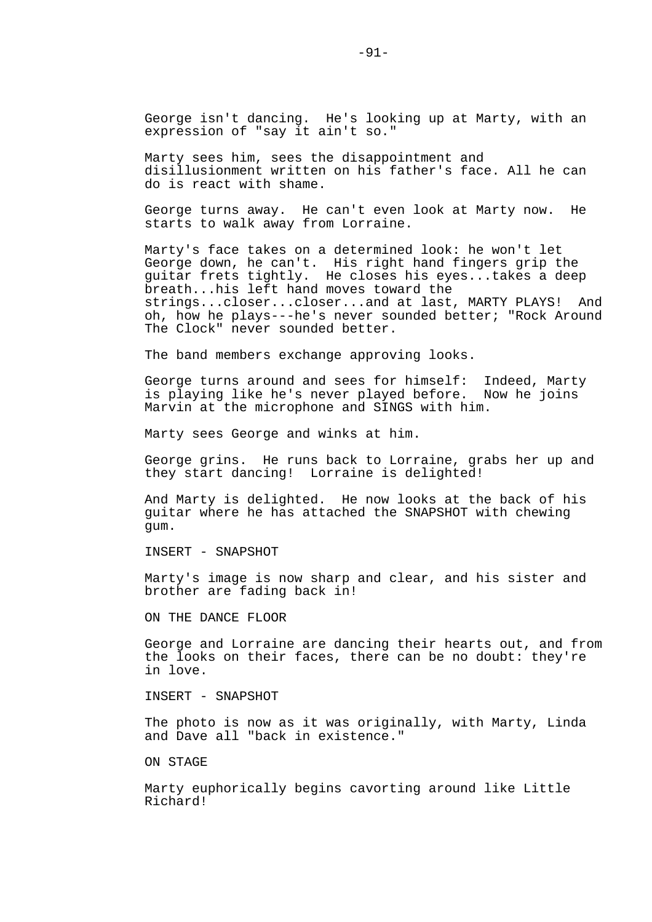George isn't dancing. He's looking up at Marty, with an expression of "say it ain't so."

Marty sees him, sees the disappointment and disillusionment written on his father's face. All he can do is react with shame.

George turns away. He can't even look at Marty now. He starts to walk away from Lorraine.

Marty's face takes on a determined look: he won't let George down, he can't. His right hand fingers grip the guitar frets tightly. He closes his eyes...takes a deep breath...his left hand moves toward the strings...closer...closer...and at last, MARTY PLAYS! And oh, how he plays---he's never sounded better; "Rock Around The Clock" never sounded better.

The band members exchange approving looks.

George turns around and sees for himself: Indeed, Marty is playing like he's never played before. Now he joins Marvin at the microphone and SINGS with him.

Marty sees George and winks at him.

George grins. He runs back to Lorraine, grabs her up and they start dancing! Lorraine is delighted!

And Marty is delighted. He now looks at the back of his guitar where he has attached the SNAPSHOT with chewing gum.

INSERT - SNAPSHOT

Marty's image is now sharp and clear, and his sister and brother are fading back in!

ON THE DANCE FLOOR

George and Lorraine are dancing their hearts out, and from the looks on their faces, there can be no doubt: they're in love.

INSERT - SNAPSHOT

The photo is now as it was originally, with Marty, Linda and Dave all "back in existence."

ON STAGE

Marty euphorically begins cavorting around like Little Richard!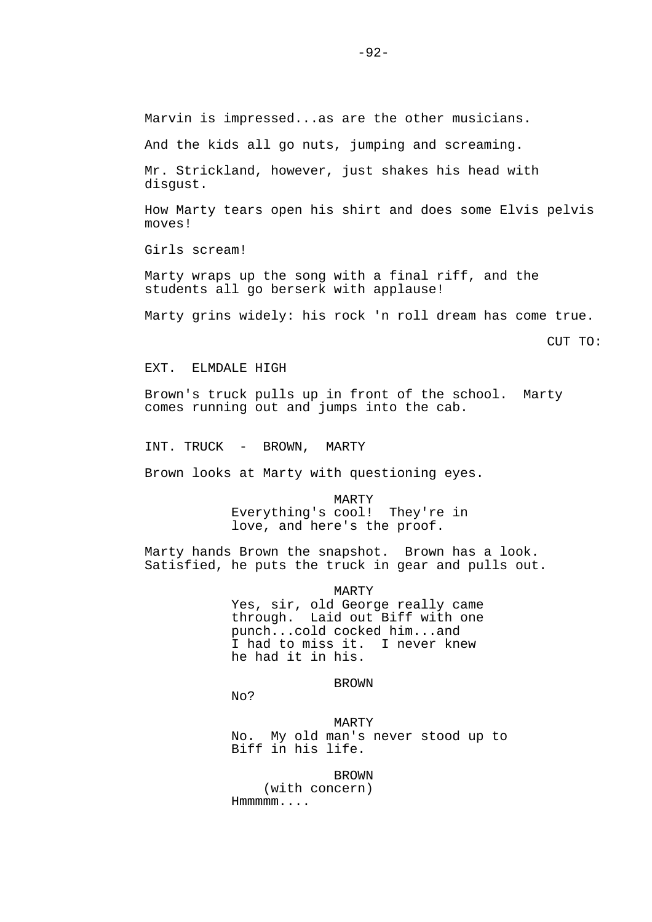Marvin is impressed...as are the other musicians.

And the kids all go nuts, jumping and screaming.

Mr. Strickland, however, just shakes his head with disgust.

How Marty tears open his shirt and does some Elvis pelvis moves!

Girls scream!

Marty wraps up the song with a final riff, and the students all go berserk with applause!

Marty grins widely: his rock 'n roll dream has come true.

CUT TO:

### EXT. ELMDALE HIGH

Brown's truck pulls up in front of the school. Marty comes running out and jumps into the cab.

INT. TRUCK - BROWN, MARTY

Brown looks at Marty with questioning eyes.

#### MARTY

 Everything's cool! They're in love, and here's the proof.

Marty hands Brown the snapshot. Brown has a look. Satisfied, he puts the truck in gear and pulls out.

#### MARTY

 Yes, sir, old George really came through. Laid out Biff with one punch...cold cocked him...and I had to miss it. I never knew he had it in his.

### **BROWN**

No?

 MARTY No. My old man's never stood up to Biff in his life.

**BROWN**  (with concern) Hmmmmm....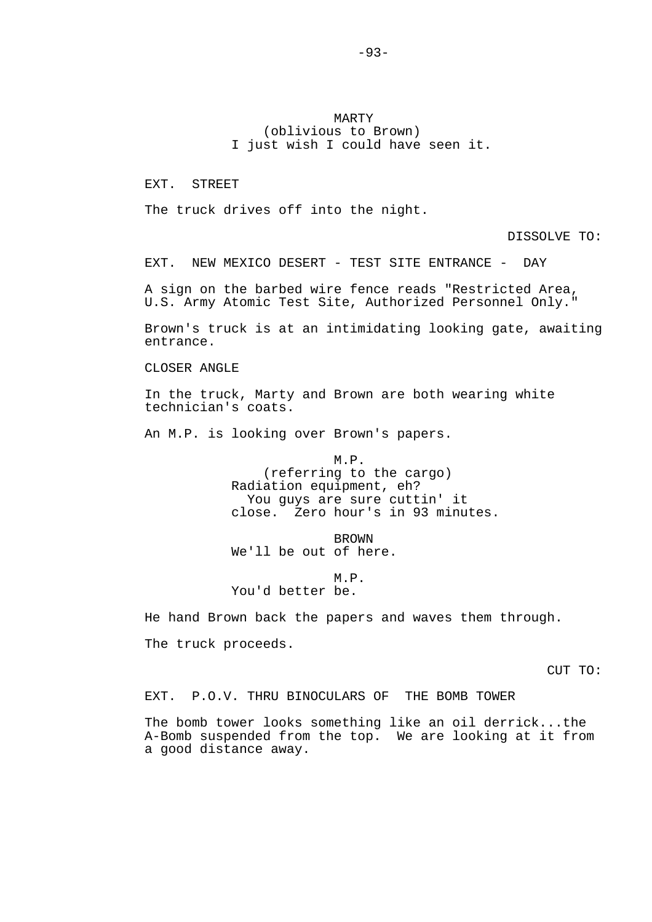MARTY (oblivious to Brown) I just wish I could have seen it.

EXT. STREET

The truck drives off into the night.

DISSOLVE TO:

EXT. NEW MEXICO DESERT - TEST SITE ENTRANCE - DAY

A sign on the barbed wire fence reads "Restricted Area, U.S. Army Atomic Test Site, Authorized Personnel Only."

Brown's truck is at an intimidating looking gate, awaiting entrance.

CLOSER ANGLE

In the truck, Marty and Brown are both wearing white technician's coats.

An M.P. is looking over Brown's papers.

 M.P. (referring to the cargo) Radiation equipment, eh? You guys are sure cuttin' it close. Zero hour's in 93 minutes.

**BROWN** We'll be out of here.

 M.P. You'd better be.

He hand Brown back the papers and waves them through.

The truck proceeds.

CUT TO:

EXT. P.O.V. THRU BINOCULARS OF THE BOMB TOWER

The bomb tower looks something like an oil derrick...the A-Bomb suspended from the top. We are looking at it from a good distance away.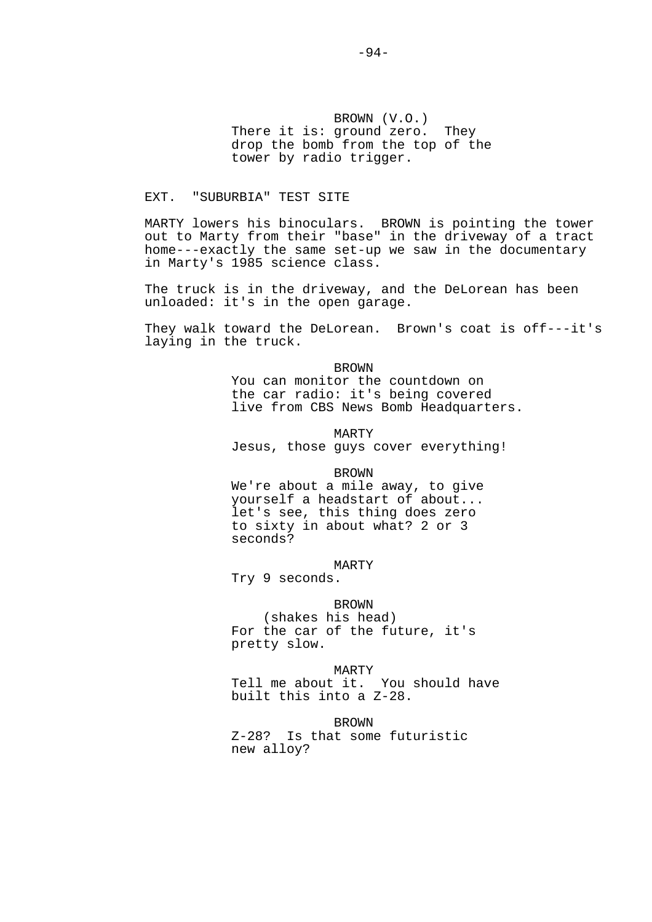BROWN (V.O.) There it is: ground zero. They drop the bomb from the top of the tower by radio trigger.

# EXT. "SUBURBIA" TEST SITE

MARTY lowers his binoculars. BROWN is pointing the tower out to Marty from their "base" in the driveway of a tract home---exactly the same set-up we saw in the documentary in Marty's 1985 science class.

The truck is in the driveway, and the DeLorean has been unloaded: it's in the open garage.

They walk toward the DeLorean. Brown's coat is off---it's laying in the truck.

> BROWN You can monitor the countdown on the car radio: it's being covered live from CBS News Bomb Headquarters.

 MARTY Jesus, those guys cover everything!

BROWN

 We're about a mile away, to give yourself a headstart of about... let's see, this thing does zero to sixty in about what? 2 or 3 seconds?

MARTY

Try 9 seconds.

 BROWN (shakes his head) For the car of the future, it's pretty slow.

 MARTY Tell me about it. You should have built this into a Z-28.

> BROWN Z-28? Is that some futuristic new alloy?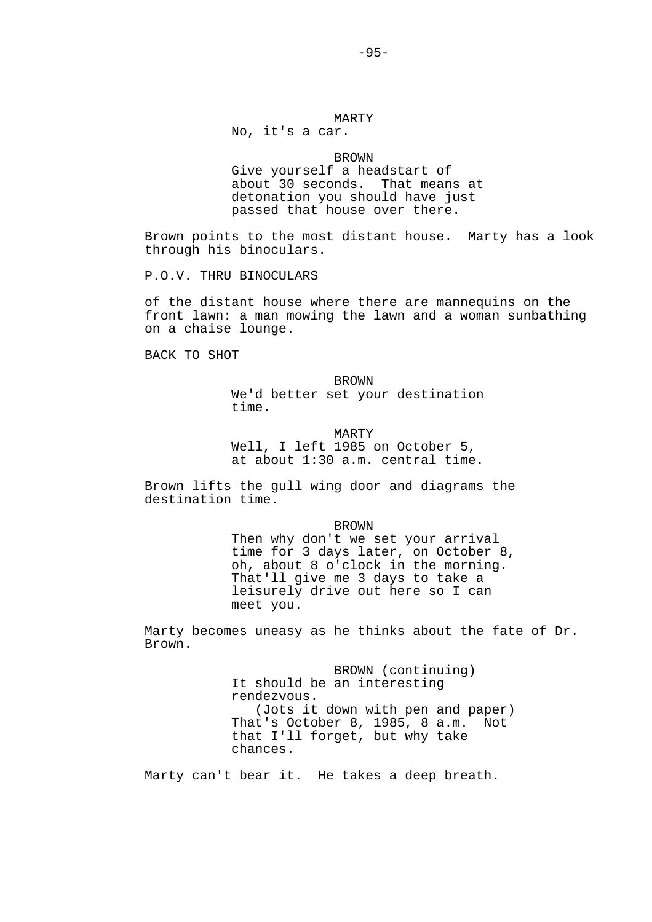# MARTY

No, it's a car.

#### BROWN

 Give yourself a headstart of about 30 seconds. That means at detonation you should have just passed that house over there.

Brown points to the most distant house. Marty has a look through his binoculars.

P.O.V. THRU BINOCULARS

of the distant house where there are mannequins on the front lawn: a man mowing the lawn and a woman sunbathing on a chaise lounge.

BACK TO SHOT

**BROWN**  We'd better set your destination time.

#### MARTY

 Well, I left 1985 on October 5, at about 1:30 a.m. central time.

Brown lifts the gull wing door and diagrams the destination time.

BROWN

 Then why don't we set your arrival time for 3 days later, on October 8, oh, about 8 o'clock in the morning. That'll give me 3 days to take a leisurely drive out here so I can meet you.

Marty becomes uneasy as he thinks about the fate of Dr. Brown.

> BROWN (continuing) It should be an interesting rendezvous. (Jots it down with pen and paper) That's October 8, 1985, 8 a.m. Not that I'll forget, but why take chances.

Marty can't bear it. He takes a deep breath.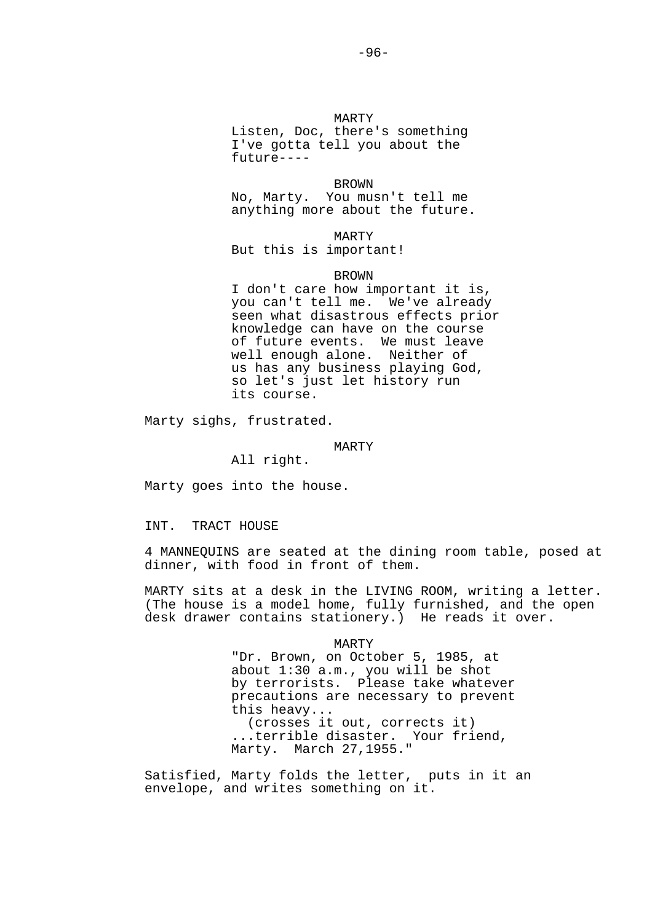MARTY Listen, Doc, there's something I've gotta tell you about the future----

 BROWN No, Marty. You musn't tell me anything more about the future.

 MARTY But this is important!

### BROWN

 I don't care how important it is, you can't tell me. We've already seen what disastrous effects prior knowledge can have on the course of future events. We must leave well enough alone. Neither of us has any business playing God, so let's just let history run its course.

Marty sighs, frustrated.

### MARTY

All right.

Marty goes into the house.

INT. TRACT HOUSE

4 MANNEQUINS are seated at the dining room table, posed at dinner, with food in front of them.

MARTY sits at a desk in the LIVING ROOM, writing a letter. (The house is a model home, fully furnished, and the open desk drawer contains stationery.) He reads it over.

MARTY

 "Dr. Brown, on October 5, 1985, at about 1:30 a.m., you will be shot by terrorists. Please take whatever precautions are necessary to prevent this heavy... (crosses it out, corrects it) ...terrible disaster. Your friend, Marty. March 27,1955."

Satisfied, Marty folds the letter, puts in it an envelope, and writes something on it.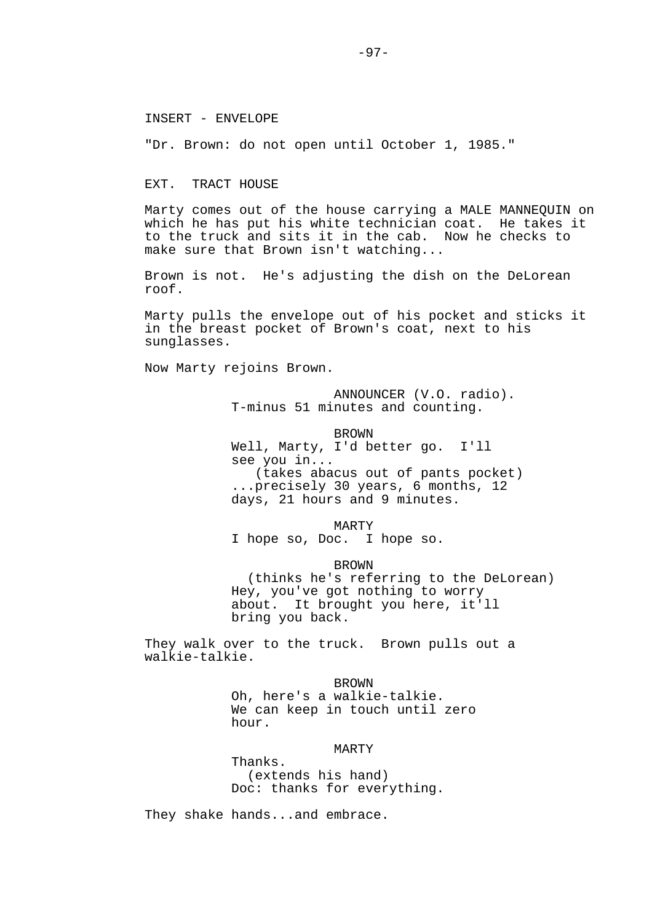#### INSERT - ENVELOPE

"Dr. Brown: do not open until October 1, 1985."

#### EXT. TRACT HOUSE

Marty comes out of the house carrying a MALE MANNEQUIN on which he has put his white technician coat. He takes it to the truck and sits it in the cab. Now he checks to make sure that Brown isn't watching...

Brown is not. He's adjusting the dish on the DeLorean roof.

Marty pulls the envelope out of his pocket and sticks it in the breast pocket of Brown's coat, next to his sunglasses.

Now Marty rejoins Brown.

 ANNOUNCER (V.O. radio). T-minus 51 minutes and counting.

 BROWN Well, Marty, I'd better go. I'll see you in... (takes abacus out of pants pocket) ...precisely 30 years, 6 months, 12 days, 21 hours and 9 minutes.

 MARTY I hope so, Doc. I hope so.

 BROWN (thinks he's referring to the DeLorean)

 Hey, you've got nothing to worry about. It brought you here, it'll bring you back.

They walk over to the truck. Brown pulls out a walkie-talkie.

**BROWN** 

 Oh, here's a walkie-talkie. We can keep in touch until zero hour.

### MARTY

 Thanks. (extends his hand) Doc: thanks for everything.

They shake hands...and embrace.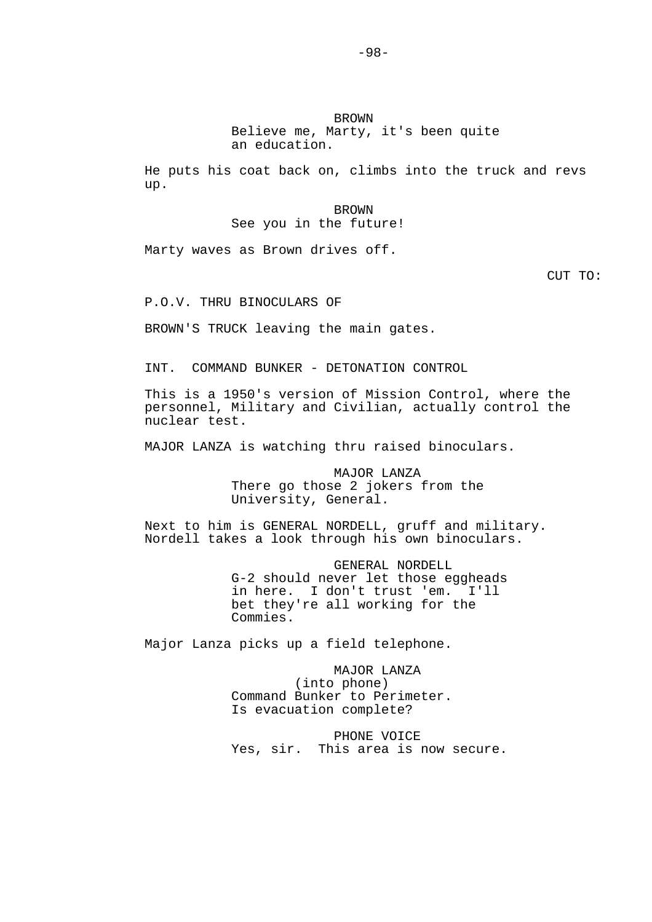BROWN Believe me, Marty, it's been quite an education.

He puts his coat back on, climbs into the truck and revs up.

> BROWN See you in the future!

Marty waves as Brown drives off.

CUT TO:

P.O.V. THRU BINOCULARS OF

BROWN'S TRUCK leaving the main gates.

INT. COMMAND BUNKER - DETONATION CONTROL

This is a 1950's version of Mission Control, where the personnel, Military and Civilian, actually control the nuclear test.

MAJOR LANZA is watching thru raised binoculars.

 MAJOR LANZA There go those 2 jokers from the University, General.

Next to him is GENERAL NORDELL, gruff and military. Nordell takes a look through his own binoculars.

> GENERAL NORDELL G-2 should never let those eggheads in here. I don't trust 'em. I'll bet they're all working for the Commies.

Major Lanza picks up a field telephone.

 MAJOR LANZA (into phone) Command Bunker to Perimeter. Is evacuation complete?

 PHONE VOICE Yes, sir. This area is now secure.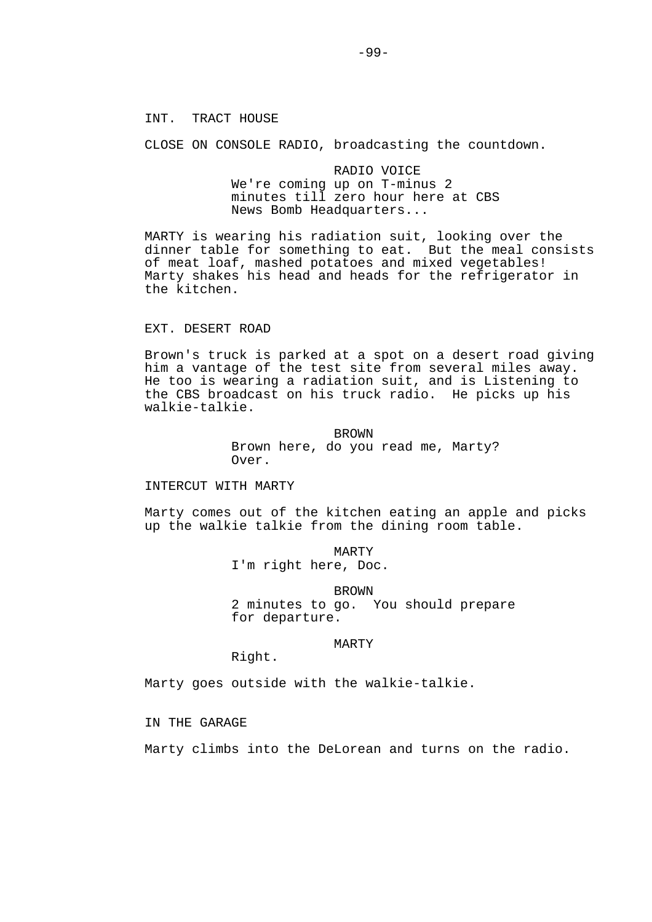# INT. TRACT HOUSE

CLOSE ON CONSOLE RADIO, broadcasting the countdown.

 RADIO VOICE We're coming up on T-minus 2 minutes till zero hour here at CBS News Bomb Headquarters...

MARTY is wearing his radiation suit, looking over the dinner table for something to eat. But the meal consists of meat loaf, mashed potatoes and mixed vegetables! Marty shakes his head and heads for the refrigerator in the kitchen.

### EXT. DESERT ROAD

Brown's truck is parked at a spot on a desert road giving him a vantage of the test site from several miles away. He too is wearing a radiation suit, and is Listening to the CBS broadcast on his truck radio. He picks up his walkie-talkie.

> BROWN Brown here, do you read me, Marty? Over.

### INTERCUT WITH MARTY

Marty comes out of the kitchen eating an apple and picks up the walkie talkie from the dining room table.

> MARTY I'm right here, Doc.

 BROWN 2 minutes to go. You should prepare for departure.

### MARTY

Right.

Marty goes outside with the walkie-talkie.

IN THE GARAGE

Marty climbs into the DeLorean and turns on the radio.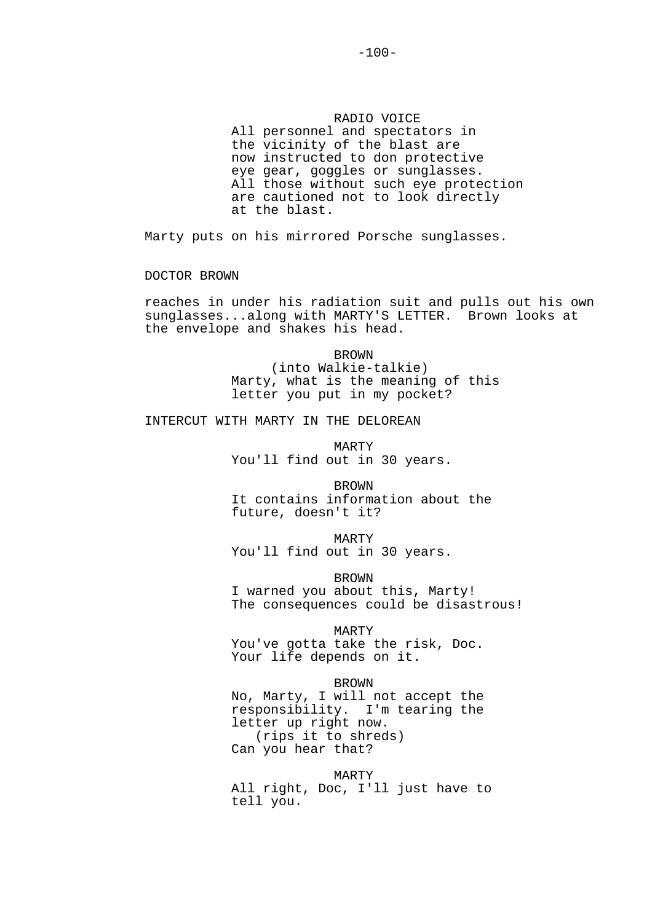### RADIO VOICE

 All personnel and spectators in the vicinity of the blast are now instructed to don protective eye gear, goggles or sunglasses. All those without such eye protection are cautioned not to look directly at the blast.

Marty puts on his mirrored Porsche sunglasses.

DOCTOR BROWN

reaches in under his radiation suit and pulls out his own sunglasses...along with MARTY'S LETTER. Brown looks at the envelope and shakes his head.

> BROWN (into Walkie-talkie) Marty, what is the meaning of this letter you put in my pocket?

INTERCUT WITH MARTY IN THE DELOREAN

 MARTY You'll find out in 30 years.

 BROWN It contains information about the future, doesn't it?

 MARTY You'll find out in 30 years.

 BROWN I warned you about this, Marty! The consequences could be disastrous!

 MARTY You've gotta take the risk, Doc. Your life depends on it.

 BROWN No, Marty, I will not accept the responsibility. I'm tearing the letter up right now. (rips it to shreds) Can you hear that?

 MARTY All right, Doc, I'll just have to tell you.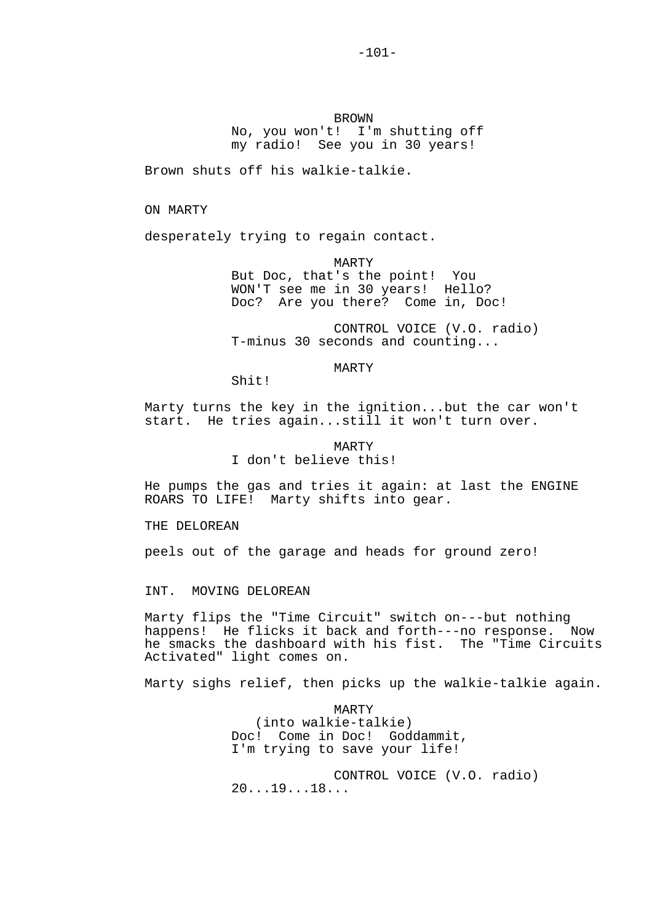BROWN No, you won't! I'm shutting off my radio! See you in 30 years!

Brown shuts off his walkie-talkie.

ON MARTY

desperately trying to regain contact.

 MARTY But Doc, that's the point! You WON'T see me in 30 years! Hello? Doc? Are you there? Come in, Doc!

 CONTROL VOICE (V.O. radio) T-minus 30 seconds and counting...

## MARTY

Shit!

Marty turns the key in the ignition...but the car won't start. He tries again...still it won't turn over.

> MARTY I don't believe this!

He pumps the gas and tries it again: at last the ENGINE ROARS TO LIFE! Marty shifts into gear.

THE DELOREAN

peels out of the garage and heads for ground zero!

INT. MOVING DELOREAN

Marty flips the "Time Circuit" switch on---but nothing happens! He flicks it back and forth---no response. Now he smacks the dashboard with his fist. The "Time Circuits Activated" light comes on.

Marty sighs relief, then picks up the walkie-talkie again.

 MARTY (into walkie-talkie) Doc! Come in Doc! Goddammit, I'm trying to save your life!

 CONTROL VOICE (V.O. radio) 20...19...18...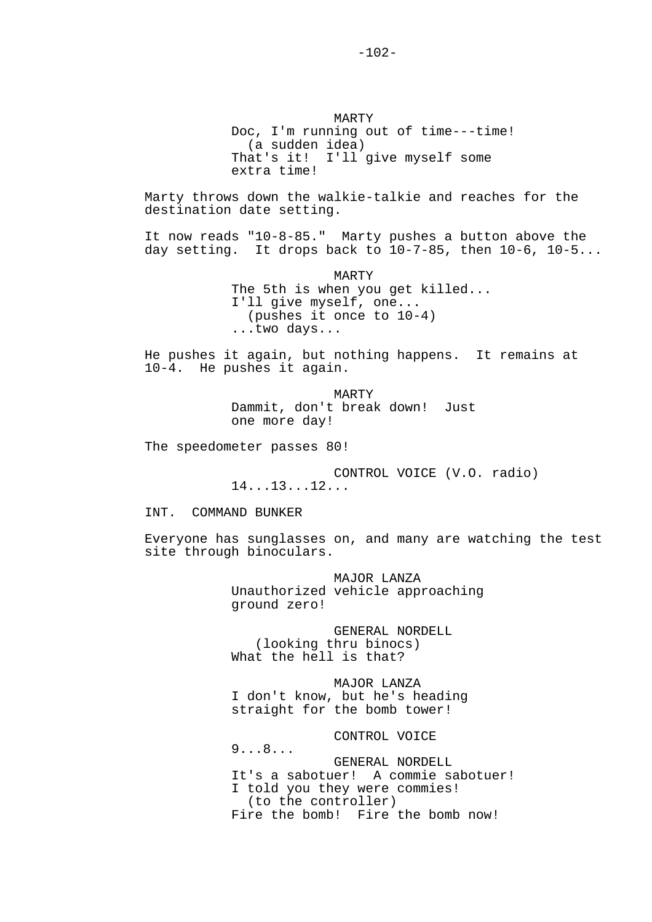MARTY Doc, I'm running out of time---time! (a sudden idea) That's it! I'll give myself some extra time!

Marty throws down the walkie-talkie and reaches for the destination date setting.

It now reads "10-8-85." Marty pushes a button above the day setting. It drops back to  $10-7-85$ , then  $10-6$ ,  $10-5...$ 

> MARTY The 5th is when you get killed... I'll give myself, one... (pushes it once to 10-4) ...two days...

He pushes it again, but nothing happens. It remains at 10-4. He pushes it again.

> MARTY Dammit, don't break down! Just one more day!

The speedometer passes 80!

9...8...

 CONTROL VOICE (V.O. radio) 14...13...12...

INT. COMMAND BUNKER

Everyone has sunglasses on, and many are watching the test site through binoculars.

> MAJOR LANZA Unauthorized vehicle approaching ground zero!

 GENERAL NORDELL (looking thru binocs) What the hell is that?

 MAJOR LANZA I don't know, but he's heading straight for the bomb tower!

CONTROL VOICE

 GENERAL NORDELL It's a sabotuer! A commie sabotuer! I told you they were commies! (to the controller) Fire the bomb! Fire the bomb now!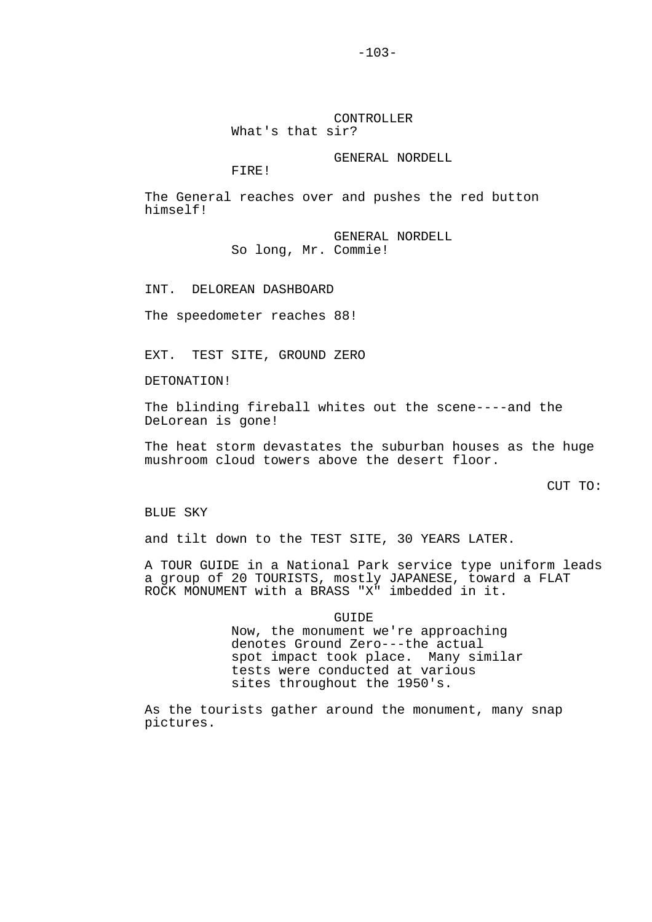### CONTROLLER What's that sir?

### GENERAL NORDELL

FIRE!

The General reaches over and pushes the red button himself!

> GENERAL NORDELL So long, Mr. Commie!

INT. DELOREAN DASHBOARD

The speedometer reaches 88!

EXT. TEST SITE, GROUND ZERO

DETONATION!

The blinding fireball whites out the scene----and the DeLorean is gone!

The heat storm devastates the suburban houses as the huge mushroom cloud towers above the desert floor.

CUT TO:

BLUE SKY

and tilt down to the TEST SITE, 30 YEARS LATER.

A TOUR GUIDE in a National Park service type uniform leads a group of 20 TOURISTS, mostly JAPANESE, toward a FLAT ROCK MONUMENT with a BRASS "X" imbedded in it.

 GUIDE Now, the monument we're approaching denotes Ground Zero---the actual spot impact took place. Many similar tests were conducted at various sites throughout the 1950's.

As the tourists gather around the monument, many snap pictures.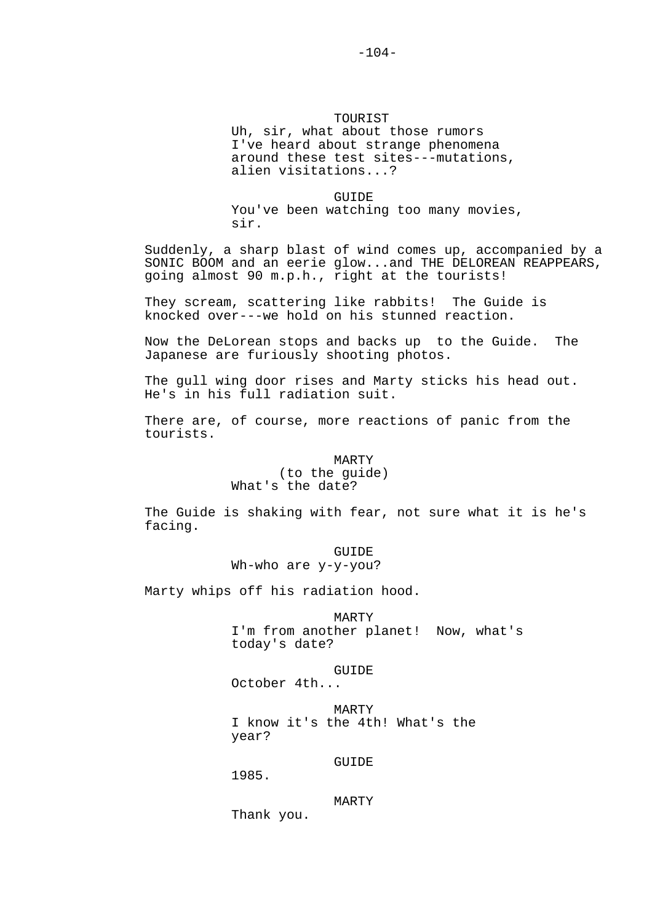TOURIST Uh, sir, what about those rumors I've heard about strange phenomena around these test sites---mutations, alien visitations...?

**GUIDE** You've been watching too many movies, sir.

Suddenly, a sharp blast of wind comes up, accompanied by a SONIC BOOM and an eerie glow...and THE DELOREAN REAPPEARS, going almost 90 m.p.h., right at the tourists!

They scream, scattering like rabbits! The Guide is knocked over---we hold on his stunned reaction.

Now the DeLorean stops and backs up to the Guide. The Japanese are furiously shooting photos.

The gull wing door rises and Marty sticks his head out. He's in his full radiation suit.

There are, of course, more reactions of panic from the tourists.

# MARTY (to the guide) What's the date?

The Guide is shaking with fear, not sure what it is he's facing.

# **GUIDE** Wh-who are y-y-you?

Marty whips off his radiation hood.

# MARTY

 I'm from another planet! Now, what's today's date?

# GUIDE

October 4th...

 MARTY I know it's the 4th! What's the year?

# **GUIDE**

1985.

# MARTY

Thank you.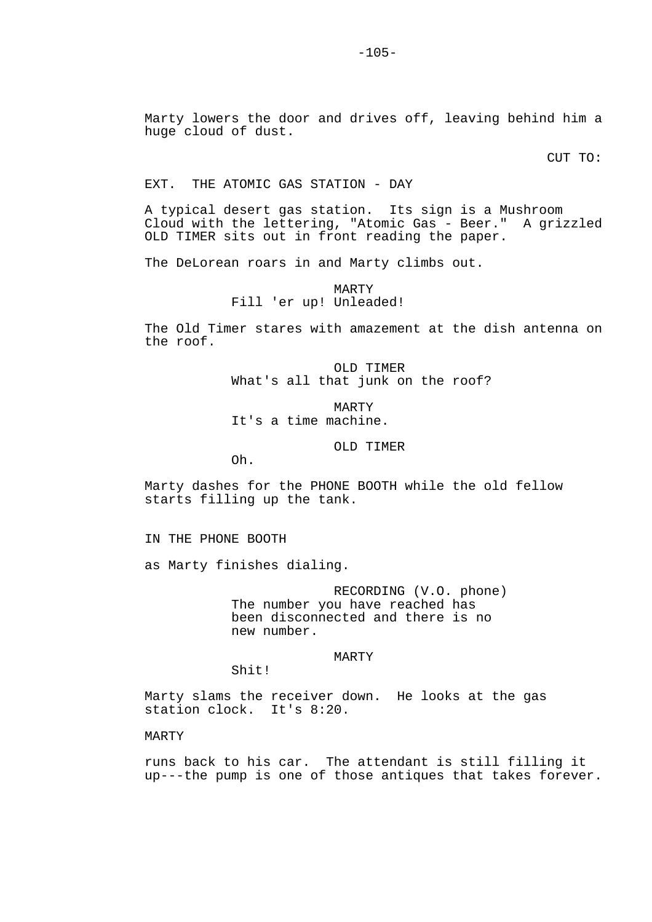Marty lowers the door and drives off, leaving behind him a huge cloud of dust.

CUT TO:

### EXT. THE ATOMIC GAS STATION - DAY

A typical desert gas station. Its sign is a Mushroom Cloud with the lettering, "Atomic Gas - Beer." A grizzled OLD TIMER sits out in front reading the paper.

The DeLorean roars in and Marty climbs out.

# MARTY Fill 'er up! Unleaded!

The Old Timer stares with amazement at the dish antenna on the roof.

> OLD TIMER What's all that junk on the roof?

 MARTY It's a time machine.

### OLD TIMER

Oh.

Marty dashes for the PHONE BOOTH while the old fellow starts filling up the tank.

IN THE PHONE BOOTH

as Marty finishes dialing.

 RECORDING (V.O. phone) The number you have reached has been disconnected and there is no new number.

# MARTY

Shit!

Marty slams the receiver down. He looks at the gas station clock. It's 8:20.

### MARTY

runs back to his car. The attendant is still filling it up---the pump is one of those antiques that takes forever.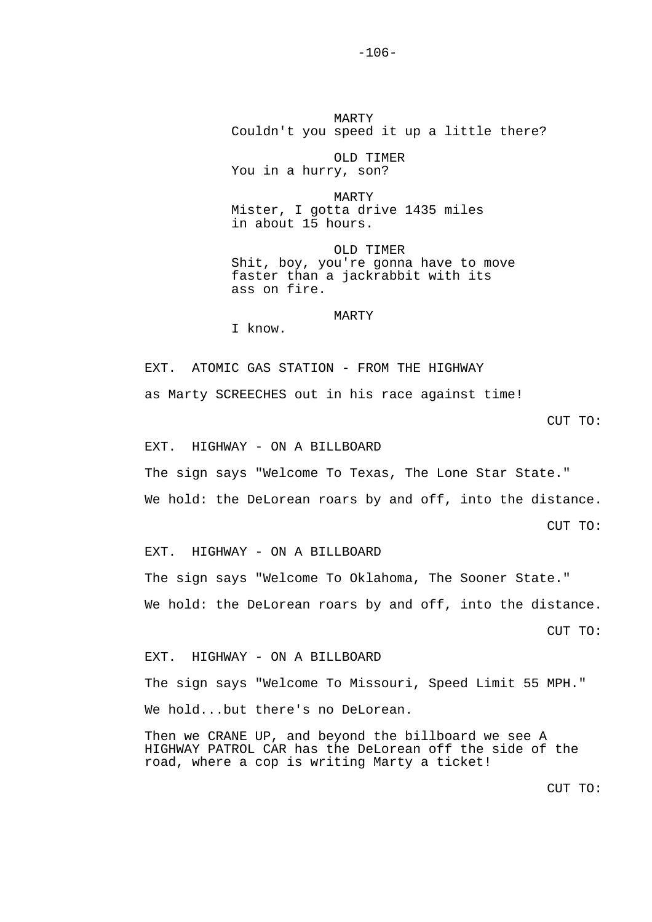MARTY Couldn't you speed it up a little there?

 OLD TIMER You in a hurry, son?

 MARTY Mister, I gotta drive 1435 miles in about 15 hours.

 OLD TIMER Shit, boy, you're gonna have to move faster than a jackrabbit with its ass on fire.

MARTY

I know.

EXT. ATOMIC GAS STATION - FROM THE HIGHWAY as Marty SCREECHES out in his race against time!

CUT TO:

EXT. HIGHWAY - ON A BILLBOARD

The sign says "Welcome To Texas, The Lone Star State."

We hold: the DeLorean roars by and off, into the distance.

CUT TO:

EXT. HIGHWAY - ON A BILLBOARD

The sign says "Welcome To Oklahoma, The Sooner State." We hold: the DeLorean roars by and off, into the distance.

CUT TO:

EXT. HIGHWAY - ON A BILLBOARD

The sign says "Welcome To Missouri, Speed Limit 55 MPH."

We hold...but there's no DeLorean.

Then we CRANE UP, and beyond the billboard we see A HIGHWAY PATROL CAR has the DeLorean off the side of the road, where a cop is writing Marty a ticket!

CUT TO: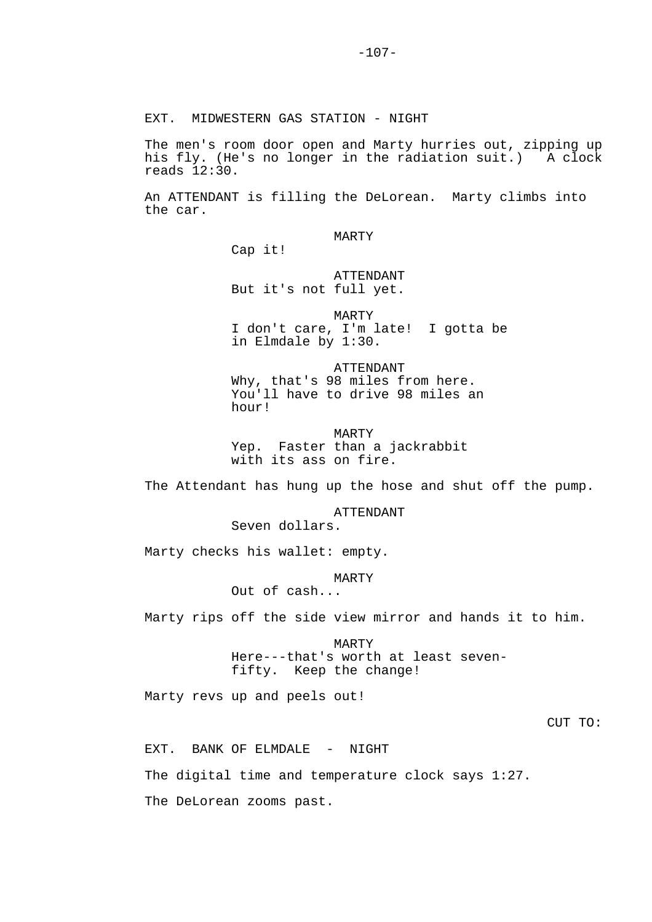EXT. MIDWESTERN GAS STATION - NIGHT

The men's room door open and Marty hurries out, zipping up his fly. (He's no longer in the radiation suit.) A clock reads 12:30.

An ATTENDANT is filling the DeLorean. Marty climbs into the car.

MARTY

ATTENDANT

Cap it!

But it's not full yet.

 MARTY I don't care, I'm late! I gotta be in Elmdale by 1:30.

 ATTENDANT Why, that's 98 miles from here. You'll have to drive 98 miles an hour!

 MARTY Yep. Faster than a jackrabbit with its ass on fire.

The Attendant has hung up the hose and shut off the pump.

ATTENDANT

Seven dollars.

Marty checks his wallet: empty.

MARTY

Out of cash...

Marty rips off the side view mirror and hands it to him.

 MARTY Here---that's worth at least seven fifty. Keep the change!

Marty revs up and peels out!

CUT TO:

EXT. BANK OF ELMDALE - NIGHT

The digital time and temperature clock says 1:27.

The DeLorean zooms past.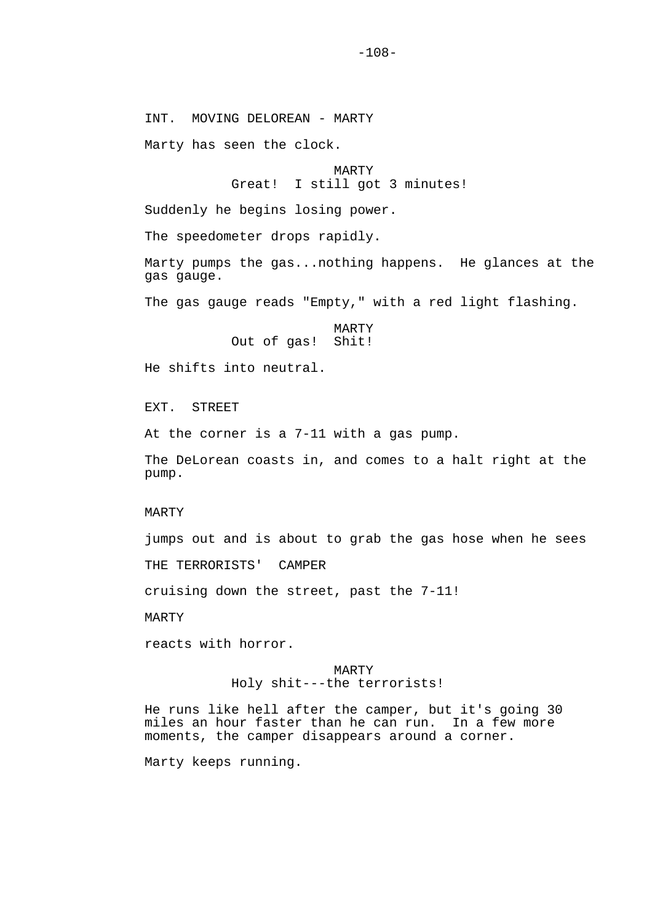INT. MOVING DELOREAN - MARTY

Marty has seen the clock.

MARTY<br>Great! I still go I still got 3 minutes!

Suddenly he begins losing power.

The speedometer drops rapidly.

Marty pumps the gas...nothing happens. He glances at the gas gauge.

The gas gauge reads "Empty," with a red light flashing.

 MARTY Out of gas! Shit!

He shifts into neutral.

EXT. STREET

At the corner is a 7-11 with a gas pump.

The DeLorean coasts in, and comes to a halt right at the pump.

#### MARTY

jumps out and is about to grab the gas hose when he sees

THE TERRORISTS' CAMPER

cruising down the street, past the 7-11!

MARTY

reacts with horror.

# MARTY Holy shit---the terrorists!

He runs like hell after the camper, but it's going 30 miles an hour faster than he can run. In a few more moments, the camper disappears around a corner.

Marty keeps running.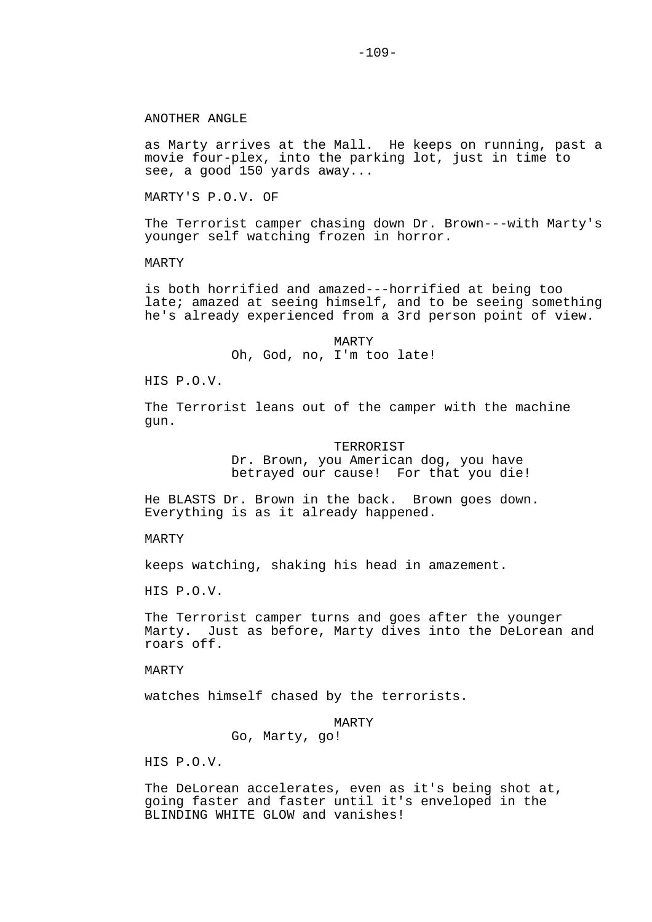# ANOTHER ANGLE

as Marty arrives at the Mall. He keeps on running, past a movie four-plex, into the parking lot, just in time to see, a good 150 yards away...

MARTY'S P.O.V. OF

The Terrorist camper chasing down Dr. Brown---with Marty's younger self watching frozen in horror.

# MARTY

is both horrified and amazed---horrified at being too late; amazed at seeing himself, and to be seeing something he's already experienced from a 3rd person point of view.

> MARTY Oh, God, no, I'm too late!

HIS P.O.V.

The Terrorist leans out of the camper with the machine gun.

TERRORIST

 Dr. Brown, you American dog, you have betrayed our cause! For that you die!

He BLASTS Dr. Brown in the back. Brown goes down. Everything is as it already happened.

MARTY

keeps watching, shaking his head in amazement.

HIS P.O.V.

The Terrorist camper turns and goes after the younger Marty. Just as before, Marty dives into the DeLorean and roars off.

MARTY

watches himself chased by the terrorists.

#### MARTY

Go, Marty, go!

HIS P.O.V.

The DeLorean accelerates, even as it's being shot at, going faster and faster until it's enveloped in the BLINDING WHITE GLOW and vanishes!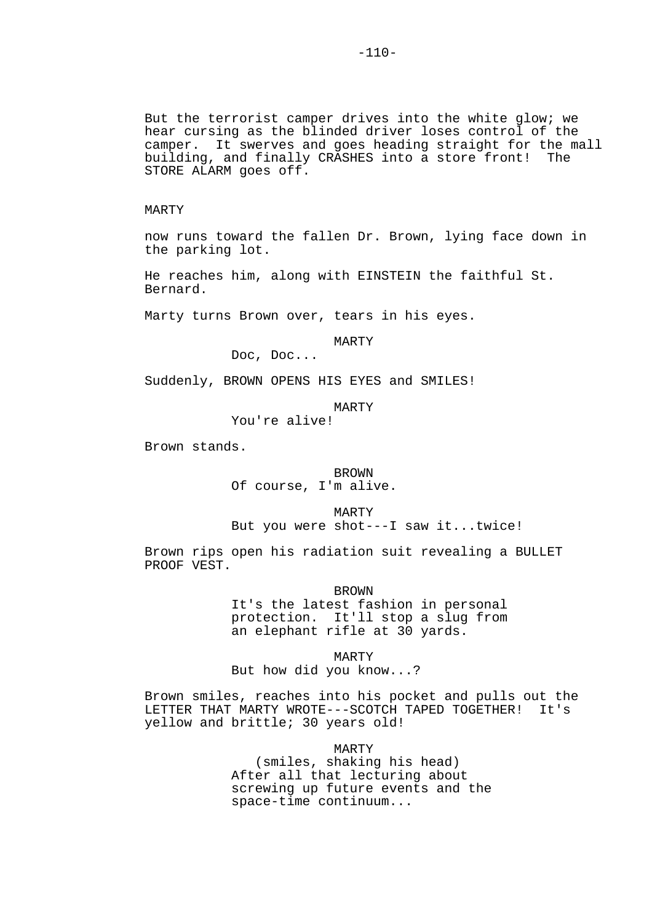But the terrorist camper drives into the white glow; we hear cursing as the blinded driver loses control of the camper. It swerves and goes heading straight for the mall building, and finally CRASHES into a store front! The STORE ALARM goes off.

## MARTY

now runs toward the fallen Dr. Brown, lying face down in the parking lot.

He reaches him, along with EINSTEIN the faithful St. Bernard.

Marty turns Brown over, tears in his eyes.

MARTY

Doc, Doc...

Suddenly, BROWN OPENS HIS EYES and SMILES!

MARTY

You're alive!

Brown stands.

**BROWN** Of course, I'm alive.

MARTY

But you were shot---I saw it...twice!

Brown rips open his radiation suit revealing a BULLET PROOF VEST.

BROWN

 It's the latest fashion in personal protection. It'll stop a slug from an elephant rifle at 30 yards.

 MARTY But how did you know...?

Brown smiles, reaches into his pocket and pulls out the LETTER THAT MARTY WROTE---SCOTCH TAPED TOGETHER! It's yellow and brittle; 30 years old!

> MARTY (smiles, shaking his head) After all that lecturing about screwing up future events and the space-time continuum...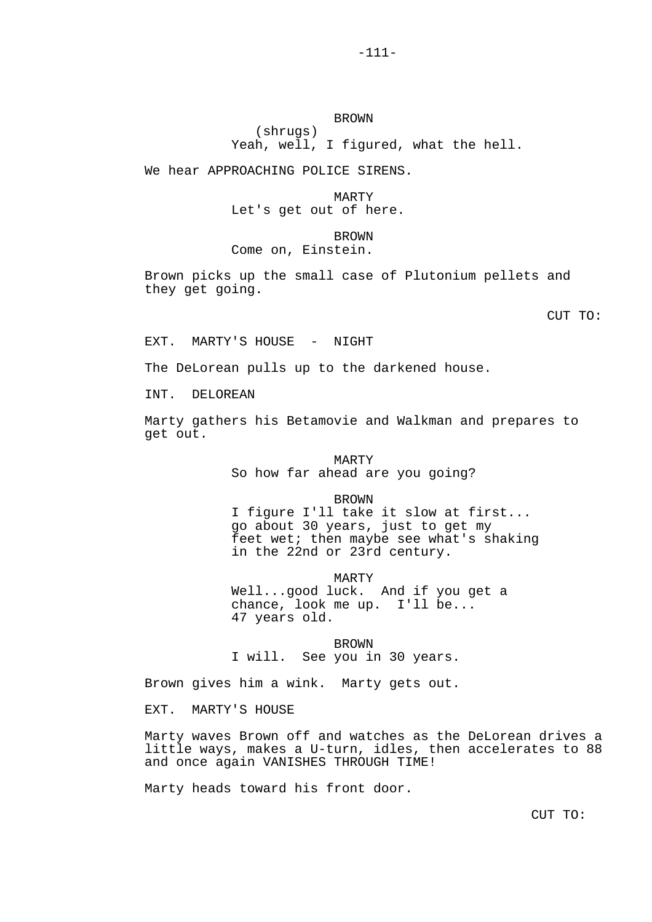## BROWN (shrugs)

Yeah, well, I figured, what the hell.

We hear APPROACHING POLICE SIRENS.

 MARTY Let's get out of here.

**BROWN** Come on, Einstein.

Brown picks up the small case of Plutonium pellets and they get going.

CUT TO:

EXT. MARTY'S HOUSE - NIGHT

The DeLorean pulls up to the darkened house.

INT. DELOREAN

Marty gathers his Betamovie and Walkman and prepares to get out.

> MARTY So how far ahead are you going?

> > BROWN

 I figure I'll take it slow at first... go about 30 years, just to get my feet wet; then maybe see what's shaking in the 22nd or 23rd century.

MARTY

 Well...good luck. And if you get a chance, look me up. I'll be... 47 years old.

BROWN<br>I will. See you in See you in 30 years.

Brown gives him a wink. Marty gets out.

EXT. MARTY'S HOUSE

Marty waves Brown off and watches as the DeLorean drives a little ways, makes a U-turn, idles, then accelerates to 88 and once again VANISHES THROUGH TIME!

Marty heads toward his front door.

CUT TO: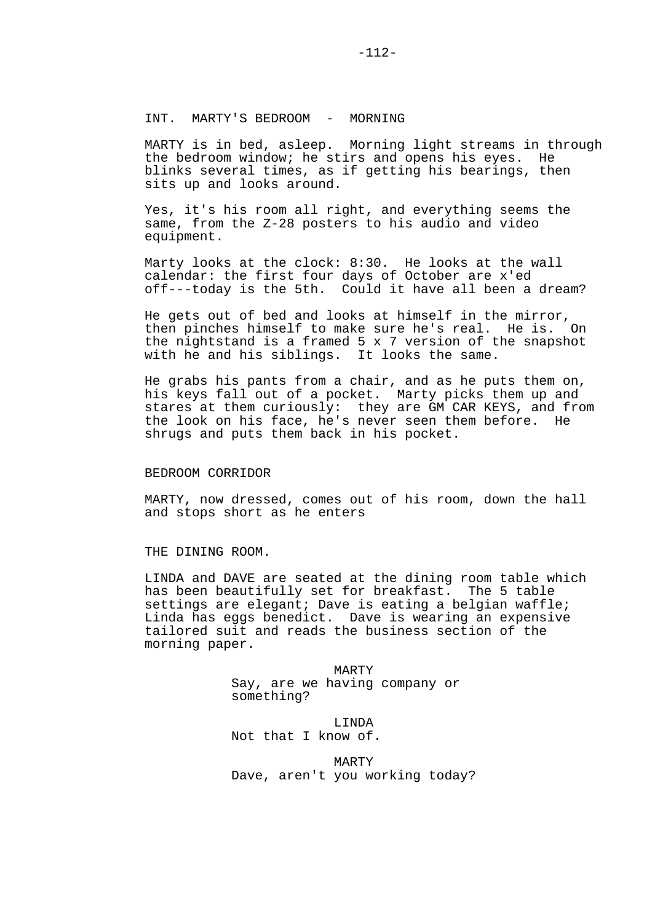MARTY is in bed, asleep. Morning light streams in through the bedroom window; he stirs and opens his eyes. He blinks several times, as if getting his bearings, then sits up and looks around.

Yes, it's his room all right, and everything seems the same, from the Z-28 posters to his audio and video equipment.

Marty looks at the clock: 8:30. He looks at the wall calendar: the first four days of October are x'ed off---today is the 5th. Could it have all been a dream?

He gets out of bed and looks at himself in the mirror, then pinches himself to make sure he's real. He is. On the nightstand is a framed 5 x 7 version of the snapshot with he and his siblings. It looks the same.

He grabs his pants from a chair, and as he puts them on, his keys fall out of a pocket. Marty picks them up and stares at them curiously: they are GM CAR KEYS, and from the look on his face, he's never seen them before. He shrugs and puts them back in his pocket.

## BEDROOM CORRIDOR

MARTY, now dressed, comes out of his room, down the hall and stops short as he enters

THE DINING ROOM.

LINDA and DAVE are seated at the dining room table which has been beautifully set for breakfast. The 5 table settings are elegant; Dave is eating a belgian waffle; Linda has eggs benedict. Dave is wearing an expensive tailored suit and reads the business section of the morning paper.

> MARTY Say, are we having company or something?

 LINDA Not that I know of.

 MARTY Dave, aren't you working today?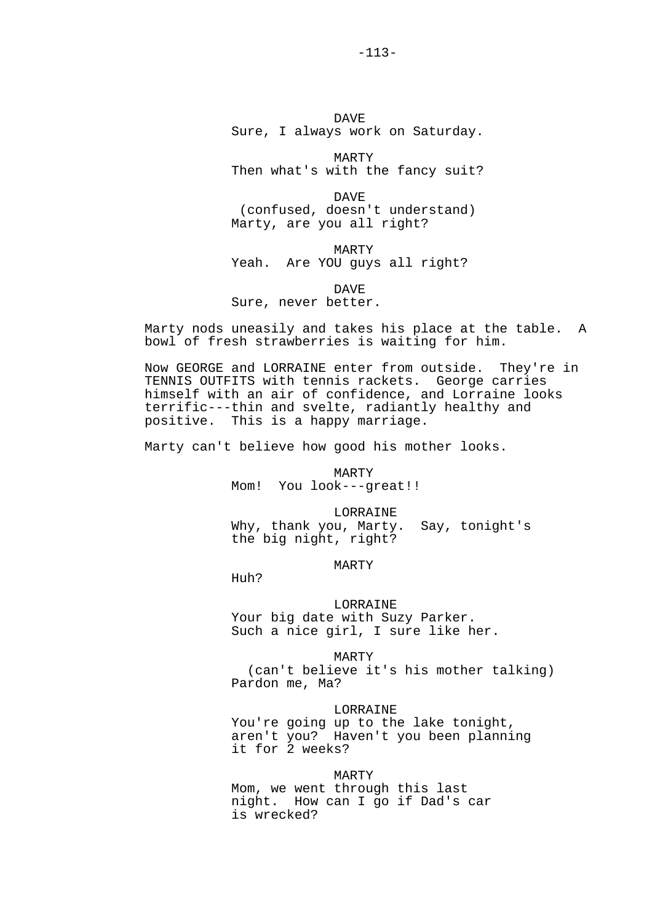DAVE Sure, I always work on Saturday.

 MARTY Then what's with the fancy suit?

 DAVE (confused, doesn't understand) Marty, are you all right?

 MARTY Yeah. Are YOU guys all right?

 DAVE Sure, never better.

Marty nods uneasily and takes his place at the table. A bowl of fresh strawberries is waiting for him.

Now GEORGE and LORRAINE enter from outside. They're in TENNIS OUTFITS with tennis rackets. George carries himself with an air of confidence, and Lorraine looks terrific---thin and svelte, radiantly healthy and positive. This is a happy marriage.

Marty can't believe how good his mother looks.

 MARTY Mom! You look---great!!

 LORRAINE Why, thank you, Marty. Say, tonight's

the big night, right?

MARTY

Huh?

 LORRAINE Your big date with Suzy Parker. Such a nice girl, I sure like her.

 MARTY (can't believe it's his mother talking) Pardon me, Ma?

LORRAINE

You're going up to the lake tonight, aren't you? Haven't you been planning it for 2 weeks?

 MARTY Mom, we went through this last night. How can I go if Dad's car is wrecked?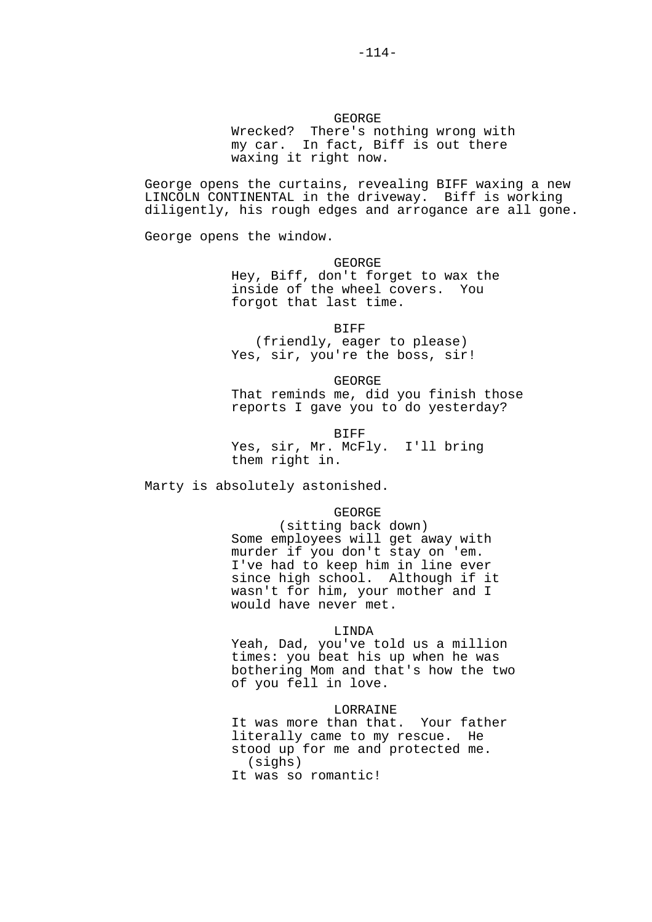GEORGE Wrecked? There's nothing wrong with my car. In fact, Biff is out there waxing it right now.

George opens the curtains, revealing BIFF waxing a new LINCOLN CONTINENTAL in the driveway. Biff is working diligently, his rough edges and arrogance are all gone.

George opens the window.

 GEORGE Hey, Biff, don't forget to wax the inside of the wheel covers. You forgot that last time.

 BIFF (friendly, eager to please) Yes, sir, you're the boss, sir!

 GEORGE That reminds me, did you finish those reports I gave you to do yesterday?

**BIFF**  Yes, sir, Mr. McFly. I'll bring them right in.

Marty is absolutely astonished.

GEORGE

 (sitting back down) Some employees will get away with murder if you don't stay on 'em. I've had to keep him in line ever since high school. Although if it wasn't for him, your mother and I would have never met.

# LINDA

 Yeah, Dad, you've told us a million times: you beat his up when he was bothering Mom and that's how the two of you fell in love.

#### LORRAINE

 It was more than that. Your father literally came to my rescue. He stood up for me and protected me. (sighs) It was so romantic!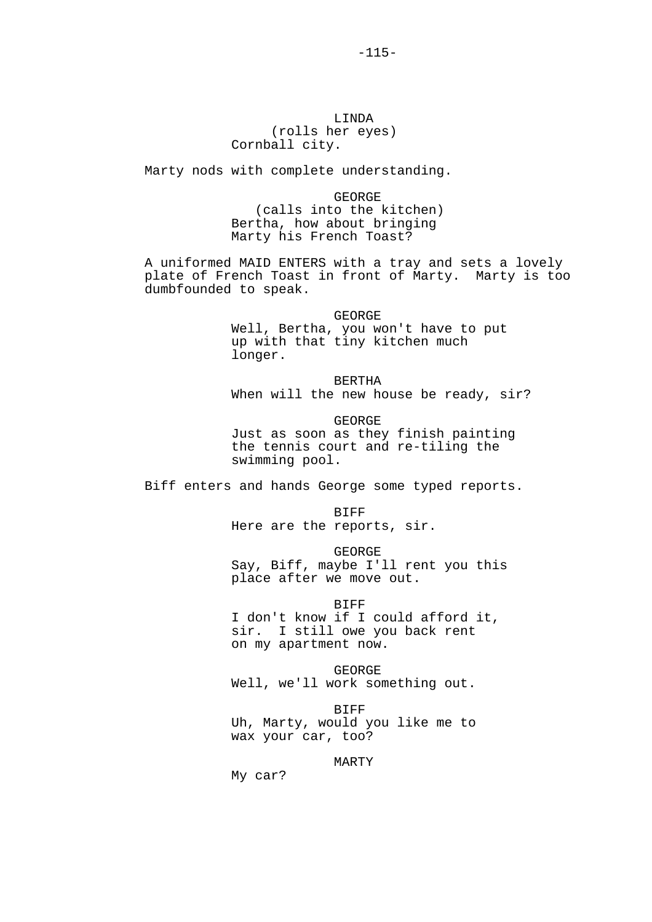# LINDA (rolls her eyes) Cornball city.

Marty nods with complete understanding.

 GEORGE (calls into the kitchen) Bertha, how about bringing Marty his French Toast?

A uniformed MAID ENTERS with a tray and sets a lovely plate of French Toast in front of Marty. Marty is too dumbfounded to speak.

> GEORGE Well, Bertha, you won't have to put up with that tiny kitchen much longer.

 BERTHA When will the new house be ready, sir?

 GEORGE Just as soon as they finish painting the tennis court and re-tiling the swimming pool.

Biff enters and hands George some typed reports.

**BIFF** Here are the reports, sir.

 GEORGE Say, Biff, maybe I'll rent you this

place after we move out.

 BIFF I don't know if I could afford it, sir. I still owe you back rent on my apartment now.

 GEORGE Well, we'll work something out.

 BIFF Uh, Marty, would you like me to wax your car, too?

MARTY

My car?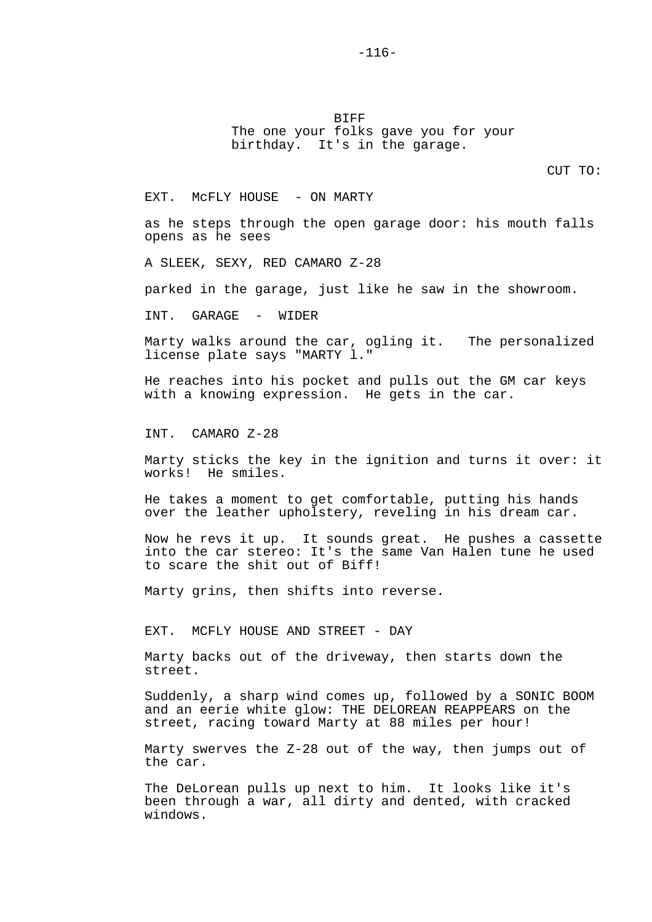BIFF The one your folks gave you for your birthday. It's in the garage.

CUT TO:

EXT. MCFLY HOUSE - ON MARTY

as he steps through the open garage door: his mouth falls opens as he sees

A SLEEK, SEXY, RED CAMARO Z-28

parked in the garage, just like he saw in the showroom.

INT. GARAGE - WIDER

Marty walks around the car, ogling it. The personalized license plate says "MARTY l."

He reaches into his pocket and pulls out the GM car keys with a knowing expression. He gets in the car.

INT. CAMARO Z-28

Marty sticks the key in the ignition and turns it over: it works! He smiles.

He takes a moment to get comfortable, putting his hands over the leather upholstery, reveling in his dream car.

Now he revs it up. It sounds great. He pushes a cassette into the car stereo: It's the same Van Halen tune he used to scare the shit out of Biff!

Marty grins, then shifts into reverse.

EXT. MCFLY HOUSE AND STREET - DAY

Marty backs out of the driveway, then starts down the street.

Suddenly, a sharp wind comes up, followed by a SONIC BOOM and an eerie white glow: THE DELOREAN REAPPEARS on the street, racing toward Marty at 88 miles per hour!

Marty swerves the Z-28 out of the way, then jumps out of the car.

The DeLorean pulls up next to him. It looks like it's been through a war, all dirty and dented, with cracked windows.